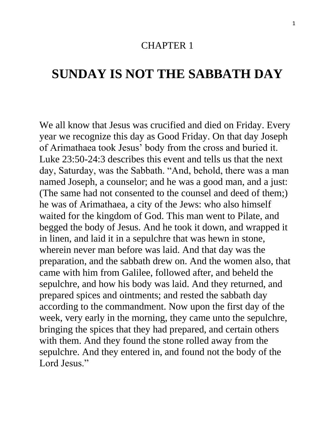## CHAPTER 1

## **SUNDAY IS NOT THE SABBATH DAY**

We all know that Jesus was crucified and died on Friday. Every year we recognize this day as Good Friday. On that day Joseph of Arimathaea took Jesus' body from the cross and buried it. Luke 23:50-24:3 describes this event and tells us that the next day, Saturday, was the Sabbath. "And, behold, there was a man named Joseph, a counselor; and he was a good man, and a just: (The same had not consented to the counsel and deed of them;) he was of Arimathaea, a city of the Jews: who also himself waited for the kingdom of God. This man went to Pilate, and begged the body of Jesus. And he took it down, and wrapped it in linen, and laid it in a sepulchre that was hewn in stone, wherein never man before was laid. And that day was the preparation, and the sabbath drew on. And the women also, that came with him from Galilee, followed after, and beheld the sepulchre, and how his body was laid. And they returned, and prepared spices and ointments; and rested the sabbath day according to the commandment. Now upon the first day of the week, very early in the morning, they came unto the sepulchre, bringing the spices that they had prepared, and certain others with them. And they found the stone rolled away from the sepulchre. And they entered in, and found not the body of the Lord Jesus<sup>"</sup>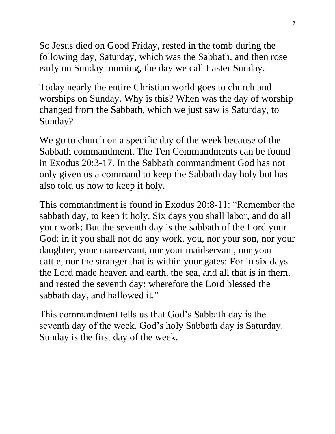So Jesus died on Good Friday, rested in the tomb during the following day, Saturday, which was the Sabbath, and then rose early on Sunday morning, the day we call Easter Sunday.

Today nearly the entire Christian world goes to church and worships on Sunday. Why is this? When was the day of worship changed from the Sabbath, which we just saw is Saturday, to Sunday?

We go to church on a specific day of the week because of the Sabbath commandment. The Ten Commandments can be found in Exodus 20:3-17. In the Sabbath commandment God has not only given us a command to keep the Sabbath day holy but has also told us how to keep it holy.

This commandment is found in Exodus 20:8-11: "Remember the sabbath day, to keep it holy. Six days you shall labor, and do all your work: But the seventh day is the sabbath of the Lord your God: in it you shall not do any work, you, nor your son, nor your daughter, your manservant, nor your maidservant, nor your cattle, nor the stranger that is within your gates: For in six days the Lord made heaven and earth, the sea, and all that is in them, and rested the seventh day: wherefore the Lord blessed the sabbath day, and hallowed it."

This commandment tells us that God's Sabbath day is the seventh day of the week. God's holy Sabbath day is Saturday. Sunday is the first day of the week.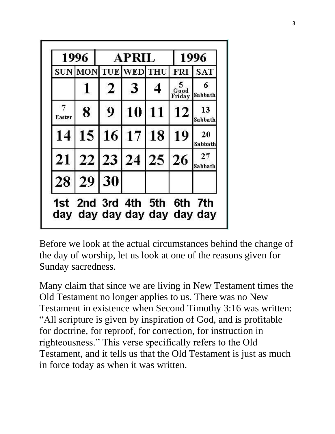| 1996   |                                                            | <b>APRIL</b>   |             |            | 1996           |                |
|--------|------------------------------------------------------------|----------------|-------------|------------|----------------|----------------|
|        | <b>SUN MON TUE WED</b>                                     |                |             | <b>THU</b> | <b>FRI</b>     | <b>SAT</b>     |
|        |                                                            | $\overline{2}$ | 3           |            | Good<br>Friday | 6<br>Sabbath   |
| Easter | 8                                                          | 9              | 10          | <b>11</b>  | 12             | 13<br>Sabbath  |
| 14     |                                                            |                | 15 16 17 18 |            | 19             | -20<br>Sabbath |
|        | 21 22 23 24 25                                             |                |             |            | 26             | 27<br>Sabbath  |
|        | 28 29 30                                                   |                |             |            |                |                |
|        | 1st 2nd 3rd 4th 5th 6th 7th<br>day day day day day day day |                |             |            |                |                |

Before we look at the actual circumstances behind the change of the day of worship, let us look at one of the reasons given for Sunday sacredness.

Many claim that since we are living in New Testament times the Old Testament no longer applies to us. There was no New Testament in existence when Second Timothy 3:16 was written: "All scripture is given by inspiration of God, and is profitable for doctrine, for reproof, for correction, for instruction in righteousness." This verse specifically refers to the Old Testament, and it tells us that the Old Testament is just as much in force today as when it was written.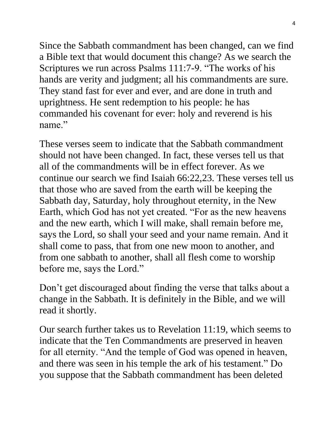Since the Sabbath commandment has been changed, can we find a Bible text that would document this change? As we search the Scriptures we run across Psalms 111:7-9. "The works of his hands are verity and judgment; all his commandments are sure. They stand fast for ever and ever, and are done in truth and uprightness. He sent redemption to his people: he has commanded his covenant for ever: holy and reverend is his name"

These verses seem to indicate that the Sabbath commandment should not have been changed. In fact, these verses tell us that all of the commandments will be in effect forever. As we continue our search we find Isaiah 66:22,23. These verses tell us that those who are saved from the earth will be keeping the Sabbath day, Saturday, holy throughout eternity, in the New Earth, which God has not yet created. "For as the new heavens and the new earth, which I will make, shall remain before me, says the Lord, so shall your seed and your name remain. And it shall come to pass, that from one new moon to another, and from one sabbath to another, shall all flesh come to worship before me, says the Lord."

Don't get discouraged about finding the verse that talks about a change in the Sabbath. It is definitely in the Bible, and we will read it shortly.

Our search further takes us to Revelation 11:19, which seems to indicate that the Ten Commandments are preserved in heaven for all eternity. "And the temple of God was opened in heaven, and there was seen in his temple the ark of his testament." Do you suppose that the Sabbath commandment has been deleted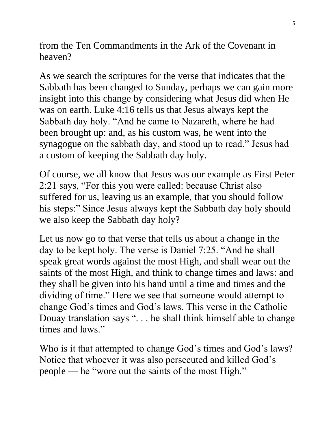from the Ten Commandments in the Ark of the Covenant in heaven?

As we search the scriptures for the verse that indicates that the Sabbath has been changed to Sunday, perhaps we can gain more insight into this change by considering what Jesus did when He was on earth. Luke 4:16 tells us that Jesus always kept the Sabbath day holy. "And he came to Nazareth, where he had been brought up: and, as his custom was, he went into the synagogue on the sabbath day, and stood up to read." Jesus had a custom of keeping the Sabbath day holy.

Of course, we all know that Jesus was our example as First Peter 2:21 says, "For this you were called: because Christ also suffered for us, leaving us an example, that you should follow his steps:" Since Jesus always kept the Sabbath day holy should we also keep the Sabbath day holy?

Let us now go to that verse that tells us about a change in the day to be kept holy. The verse is Daniel 7:25. "And he shall speak great words against the most High, and shall wear out the saints of the most High, and think to change times and laws: and they shall be given into his hand until a time and times and the dividing of time." Here we see that someone would attempt to change God's times and God's laws. This verse in the Catholic Douay translation says ". . . he shall think himself able to change times and laws."

Who is it that attempted to change God's times and God's laws? Notice that whoever it was also persecuted and killed God's people — he "wore out the saints of the most High."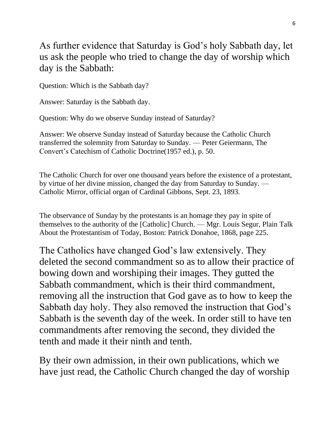As further evidence that Saturday is God's holy Sabbath day, let us ask the people who tried to change the day of worship which day is the Sabbath:

Question: Which is the Sabbath day?

Answer: Saturday is the Sabbath day.

Question: Why do we observe Sunday instead of Saturday?

Answer: We observe Sunday instead of Saturday because the Catholic Church transferred the solemnity from Saturday to Sunday. — Peter Geiermann, The Convert's Catechism of Catholic Doctrine(1957 ed.), p. 50.

The Catholic Church for over one thousand years before the existence of a protestant, by virtue of her divine mission, changed the day from Saturday to Sunday. — Catholic Mirror, official organ of Cardinal Gibbons, Sept. 23, 1893.

The observance of Sunday by the protestants is an homage they pay in spite of themselves to the authority of the [Catholic] Church. — Mgr. Louis Segur, Plain Talk About the Protestantism of Today, Boston: Patrick Donahoe, 1868, page 225.

The Catholics have changed God's law extensively. They deleted the second commandment so as to allow their practice of bowing down and worshiping their images. They gutted the Sabbath commandment, which is their third commandment, removing all the instruction that God gave as to how to keep the Sabbath day holy. They also removed the instruction that God's Sabbath is the seventh day of the week. In order still to have ten commandments after removing the second, they divided the tenth and made it their ninth and tenth.

By their own admission, in their own publications, which we have just read, the Catholic Church changed the day of worship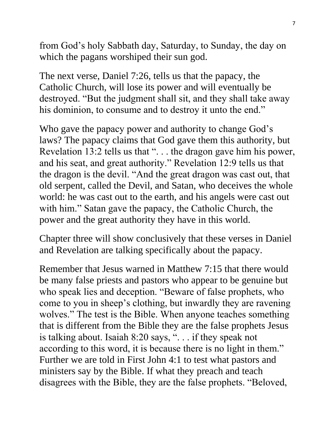from God's holy Sabbath day, Saturday, to Sunday, the day on which the pagans worshiped their sun god.

The next verse, Daniel 7:26, tells us that the papacy, the Catholic Church, will lose its power and will eventually be destroyed. "But the judgment shall sit, and they shall take away his dominion, to consume and to destroy it unto the end."

Who gave the papacy power and authority to change God's laws? The papacy claims that God gave them this authority, but Revelation 13:2 tells us that ". . . the dragon gave him his power, and his seat, and great authority." Revelation 12:9 tells us that the dragon is the devil. "And the great dragon was cast out, that old serpent, called the Devil, and Satan, who deceives the whole world: he was cast out to the earth, and his angels were cast out with him." Satan gave the papacy, the Catholic Church, the power and the great authority they have in this world.

Chapter three will show conclusively that these verses in Daniel and Revelation are talking specifically about the papacy.

Remember that Jesus warned in Matthew 7:15 that there would be many false priests and pastors who appear to be genuine but who speak lies and deception. "Beware of false prophets, who come to you in sheep's clothing, but inwardly they are ravening wolves." The test is the Bible. When anyone teaches something that is different from the Bible they are the false prophets Jesus is talking about. Isaiah 8:20 says, ". . . if they speak not according to this word, it is because there is no light in them." Further we are told in First John 4:1 to test what pastors and ministers say by the Bible. If what they preach and teach disagrees with the Bible, they are the false prophets. "Beloved,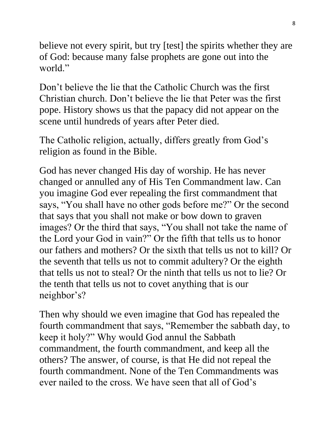believe not every spirit, but try [test] the spirits whether they are of God: because many false prophets are gone out into the world"

Don't believe the lie that the Catholic Church was the first Christian church. Don't believe the lie that Peter was the first pope. History shows us that the papacy did not appear on the scene until hundreds of years after Peter died.

The Catholic religion, actually, differs greatly from God's religion as found in the Bible.

God has never changed His day of worship. He has never changed or annulled any of His Ten Commandment law. Can you imagine God ever repealing the first commandment that says, "You shall have no other gods before me?" Or the second that says that you shall not make or bow down to graven images? Or the third that says, "You shall not take the name of the Lord your God in vain?" Or the fifth that tells us to honor our fathers and mothers? Or the sixth that tells us not to kill? Or the seventh that tells us not to commit adultery? Or the eighth that tells us not to steal? Or the ninth that tells us not to lie? Or the tenth that tells us not to covet anything that is our neighbor's?

Then why should we even imagine that God has repealed the fourth commandment that says, "Remember the sabbath day, to keep it holy?" Why would God annul the Sabbath commandment, the fourth commandment, and keep all the others? The answer, of course, is that He did not repeal the fourth commandment. None of the Ten Commandments was ever nailed to the cross. We have seen that all of God's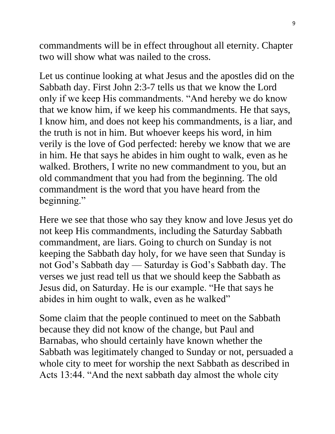commandments will be in effect throughout all eternity. Chapter two will show what was nailed to the cross.

Let us continue looking at what Jesus and the apostles did on the Sabbath day. First John 2:3-7 tells us that we know the Lord only if we keep His commandments. "And hereby we do know that we know him, if we keep his commandments. He that says, I know him, and does not keep his commandments, is a liar, and the truth is not in him. But whoever keeps his word, in him verily is the love of God perfected: hereby we know that we are in him. He that says he abides in him ought to walk, even as he walked. Brothers, I write no new commandment to you, but an old commandment that you had from the beginning. The old commandment is the word that you have heard from the beginning."

Here we see that those who say they know and love Jesus yet do not keep His commandments, including the Saturday Sabbath commandment, are liars. Going to church on Sunday is not keeping the Sabbath day holy, for we have seen that Sunday is not God's Sabbath day — Saturday is God's Sabbath day. The verses we just read tell us that we should keep the Sabbath as Jesus did, on Saturday. He is our example. "He that says he abides in him ought to walk, even as he walked"

Some claim that the people continued to meet on the Sabbath because they did not know of the change, but Paul and Barnabas, who should certainly have known whether the Sabbath was legitimately changed to Sunday or not, persuaded a whole city to meet for worship the next Sabbath as described in Acts 13:44. "And the next sabbath day almost the whole city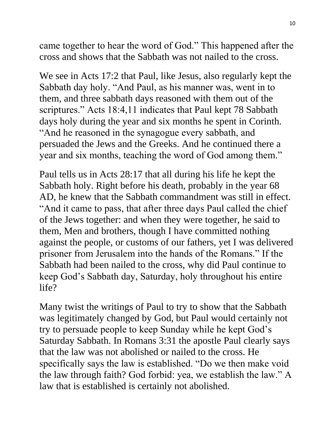came together to hear the word of God." This happened after the cross and shows that the Sabbath was not nailed to the cross.

We see in Acts 17:2 that Paul, like Jesus, also regularly kept the Sabbath day holy. "And Paul, as his manner was, went in to them, and three sabbath days reasoned with them out of the scriptures." Acts 18:4,11 indicates that Paul kept 78 Sabbath days holy during the year and six months he spent in Corinth. "And he reasoned in the synagogue every sabbath, and persuaded the Jews and the Greeks. And he continued there a year and six months, teaching the word of God among them."

Paul tells us in Acts 28:17 that all during his life he kept the Sabbath holy. Right before his death, probably in the year 68 AD, he knew that the Sabbath commandment was still in effect. "And it came to pass, that after three days Paul called the chief of the Jews together: and when they were together, he said to them, Men and brothers, though I have committed nothing against the people, or customs of our fathers, yet I was delivered prisoner from Jerusalem into the hands of the Romans." If the Sabbath had been nailed to the cross, why did Paul continue to keep God's Sabbath day, Saturday, holy throughout his entire life?

Many twist the writings of Paul to try to show that the Sabbath was legitimately changed by God, but Paul would certainly not try to persuade people to keep Sunday while he kept God's Saturday Sabbath. In Romans 3:31 the apostle Paul clearly says that the law was not abolished or nailed to the cross. He specifically says the law is established. "Do we then make void the law through faith? God forbid: yea, we establish the law." A law that is established is certainly not abolished.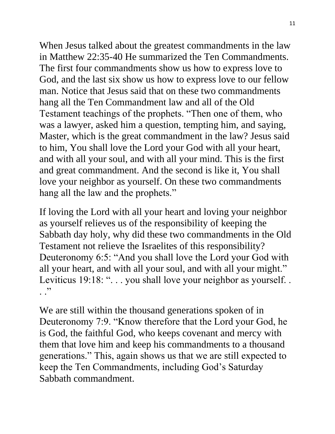When Jesus talked about the greatest commandments in the law in Matthew 22:35-40 He summarized the Ten Commandments. The first four commandments show us how to express love to God, and the last six show us how to express love to our fellow man. Notice that Jesus said that on these two commandments hang all the Ten Commandment law and all of the Old Testament teachings of the prophets. "Then one of them, who was a lawyer, asked him a question, tempting him, and saying, Master, which is the great commandment in the law? Jesus said to him, You shall love the Lord your God with all your heart, and with all your soul, and with all your mind. This is the first and great commandment. And the second is like it, You shall love your neighbor as yourself. On these two commandments hang all the law and the prophets."

If loving the Lord with all your heart and loving your neighbor as yourself relieves us of the responsibility of keeping the Sabbath day holy, why did these two commandments in the Old Testament not relieve the Israelites of this responsibility? Deuteronomy 6:5: "And you shall love the Lord your God with all your heart, and with all your soul, and with all your might." Leviticus 19:18: "... you shall love your neighbor as yourself... . .<sup>,</sup>

We are still within the thousand generations spoken of in Deuteronomy 7:9. "Know therefore that the Lord your God, he is God, the faithful God, who keeps covenant and mercy with them that love him and keep his commandments to a thousand generations." This, again shows us that we are still expected to keep the Ten Commandments, including God's Saturday Sabbath commandment.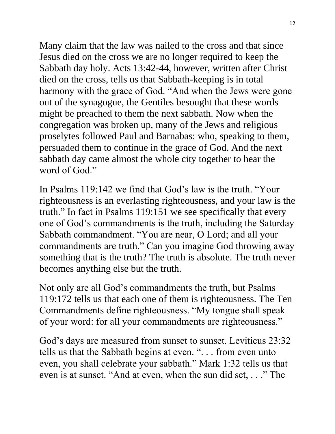Many claim that the law was nailed to the cross and that since Jesus died on the cross we are no longer required to keep the Sabbath day holy. Acts 13:42-44, however, written after Christ died on the cross, tells us that Sabbath-keeping is in total harmony with the grace of God. "And when the Jews were gone out of the synagogue, the Gentiles besought that these words might be preached to them the next sabbath. Now when the congregation was broken up, many of the Jews and religious proselytes followed Paul and Barnabas: who, speaking to them, persuaded them to continue in the grace of God. And the next sabbath day came almost the whole city together to hear the word of God."

In Psalms 119:142 we find that God's law is the truth. "Your righteousness is an everlasting righteousness, and your law is the truth." In fact in Psalms 119:151 we see specifically that every one of God's commandments is the truth, including the Saturday Sabbath commandment. "You are near, O Lord; and all your commandments are truth." Can you imagine God throwing away something that is the truth? The truth is absolute. The truth never becomes anything else but the truth.

Not only are all God's commandments the truth, but Psalms 119:172 tells us that each one of them is righteousness. The Ten Commandments define righteousness. "My tongue shall speak of your word: for all your commandments are righteousness."

God's days are measured from sunset to sunset. Leviticus 23:32 tells us that the Sabbath begins at even. ". . . from even unto even, you shall celebrate your sabbath." Mark 1:32 tells us that even is at sunset. "And at even, when the sun did set, . . ." The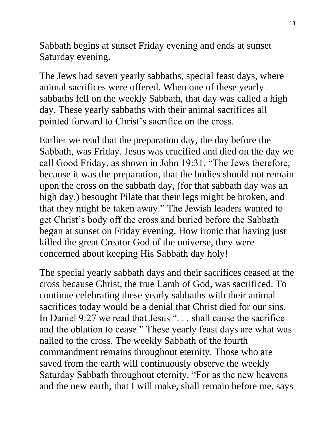Sabbath begins at sunset Friday evening and ends at sunset Saturday evening.

The Jews had seven yearly sabbaths, special feast days, where animal sacrifices were offered. When one of these yearly sabbaths fell on the weekly Sabbath, that day was called a high day. These yearly sabbaths with their animal sacrifices all pointed forward to Christ's sacrifice on the cross.

Earlier we read that the preparation day, the day before the Sabbath, was Friday. Jesus was crucified and died on the day we call Good Friday, as shown in John 19:31. "The Jews therefore, because it was the preparation, that the bodies should not remain upon the cross on the sabbath day, (for that sabbath day was an high day,) besought Pilate that their legs might be broken, and that they might be taken away." The Jewish leaders wanted to get Christ's body off the cross and buried before the Sabbath began at sunset on Friday evening. How ironic that having just killed the great Creator God of the universe, they were concerned about keeping His Sabbath day holy!

The special yearly sabbath days and their sacrifices ceased at the cross because Christ, the true Lamb of God, was sacrificed. To continue celebrating these yearly sabbaths with their animal sacrifices today would be a denial that Christ died for our sins. In Daniel 9:27 we read that Jesus ". . . shall cause the sacrifice and the oblation to cease." These yearly feast days are what was nailed to the cross. The weekly Sabbath of the fourth commandment remains throughout eternity. Those who are saved from the earth will continuously observe the weekly Saturday Sabbath throughout eternity. "For as the new heavens and the new earth, that I will make, shall remain before me, says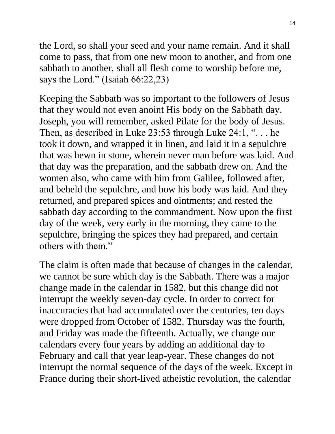the Lord, so shall your seed and your name remain. And it shall come to pass, that from one new moon to another, and from one sabbath to another, shall all flesh come to worship before me, says the Lord." (Isaiah 66:22,23)

Keeping the Sabbath was so important to the followers of Jesus that they would not even anoint His body on the Sabbath day. Joseph, you will remember, asked Pilate for the body of Jesus. Then, as described in Luke 23:53 through Luke 24:1, ". . . he took it down, and wrapped it in linen, and laid it in a sepulchre that was hewn in stone, wherein never man before was laid. And that day was the preparation, and the sabbath drew on. And the women also, who came with him from Galilee, followed after, and beheld the sepulchre, and how his body was laid. And they returned, and prepared spices and ointments; and rested the sabbath day according to the commandment. Now upon the first day of the week, very early in the morning, they came to the sepulchre, bringing the spices they had prepared, and certain others with them."

The claim is often made that because of changes in the calendar, we cannot be sure which day is the Sabbath. There was a major change made in the calendar in 1582, but this change did not interrupt the weekly seven-day cycle. In order to correct for inaccuracies that had accumulated over the centuries, ten days were dropped from October of 1582. Thursday was the fourth, and Friday was made the fifteenth. Actually, we change our calendars every four years by adding an additional day to February and call that year leap-year. These changes do not interrupt the normal sequence of the days of the week. Except in France during their short-lived atheistic revolution, the calendar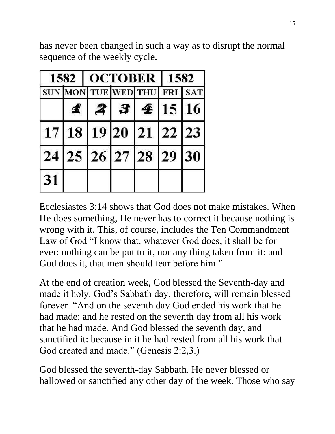has never been changed in such a way as to disrupt the normal sequence of the weekly cycle.

|    |                                  |             | 1582   OCTOBER   1582 |  |  |
|----|----------------------------------|-------------|-----------------------|--|--|
|    | SUN MON TUE WED THU FRI SAT      |             |                       |  |  |
|    | 1                                | 2 3 4 15 16 |                       |  |  |
|    | 17   18   19   20   21   22   23 |             |                       |  |  |
|    | 24 25 26 27 28 29 30             |             |                       |  |  |
| 31 |                                  |             |                       |  |  |

Ecclesiastes 3:14 shows that God does not make mistakes. When He does something, He never has to correct it because nothing is wrong with it. This, of course, includes the Ten Commandment Law of God "I know that, whatever God does, it shall be for ever: nothing can be put to it, nor any thing taken from it: and God does it, that men should fear before him."

At the end of creation week, God blessed the Seventh-day and made it holy. God's Sabbath day, therefore, will remain blessed forever. "And on the seventh day God ended his work that he had made; and he rested on the seventh day from all his work that he had made. And God blessed the seventh day, and sanctified it: because in it he had rested from all his work that God created and made." (Genesis 2:2,3.)

God blessed the seventh-day Sabbath. He never blessed or hallowed or sanctified any other day of the week. Those who say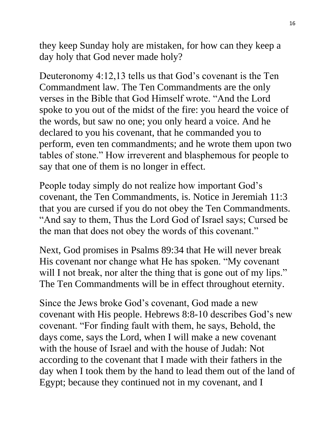they keep Sunday holy are mistaken, for how can they keep a day holy that God never made holy?

Deuteronomy 4:12,13 tells us that God's covenant is the Ten Commandment law. The Ten Commandments are the only verses in the Bible that God Himself wrote. "And the Lord spoke to you out of the midst of the fire: you heard the voice of the words, but saw no one; you only heard a voice. And he declared to you his covenant, that he commanded you to perform, even ten commandments; and he wrote them upon two tables of stone." How irreverent and blasphemous for people to say that one of them is no longer in effect.

People today simply do not realize how important God's covenant, the Ten Commandments, is. Notice in Jeremiah 11:3 that you are cursed if you do not obey the Ten Commandments. "And say to them, Thus the Lord God of Israel says; Cursed be the man that does not obey the words of this covenant."

Next, God promises in Psalms 89:34 that He will never break His covenant nor change what He has spoken. "My covenant will I not break, nor alter the thing that is gone out of my lips." The Ten Commandments will be in effect throughout eternity.

Since the Jews broke God's covenant, God made a new covenant with His people. Hebrews 8:8-10 describes God's new covenant. "For finding fault with them, he says, Behold, the days come, says the Lord, when I will make a new covenant with the house of Israel and with the house of Judah: Not according to the covenant that I made with their fathers in the day when I took them by the hand to lead them out of the land of Egypt; because they continued not in my covenant, and I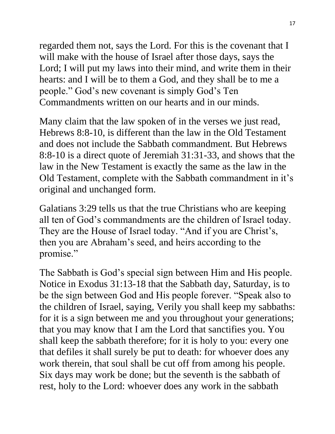regarded them not, says the Lord. For this is the covenant that I will make with the house of Israel after those days, says the Lord; I will put my laws into their mind, and write them in their hearts: and I will be to them a God, and they shall be to me a people." God's new covenant is simply God's Ten Commandments written on our hearts and in our minds.

Many claim that the law spoken of in the verses we just read, Hebrews 8:8-10, is different than the law in the Old Testament and does not include the Sabbath commandment. But Hebrews 8:8-10 is a direct quote of Jeremiah 31:31-33, and shows that the law in the New Testament is exactly the same as the law in the Old Testament, complete with the Sabbath commandment in it's original and unchanged form.

Galatians 3:29 tells us that the true Christians who are keeping all ten of God's commandments are the children of Israel today. They are the House of Israel today. "And if you are Christ's, then you are Abraham's seed, and heirs according to the promise."

The Sabbath is God's special sign between Him and His people. Notice in Exodus 31:13-18 that the Sabbath day, Saturday, is to be the sign between God and His people forever. "Speak also to the children of Israel, saying, Verily you shall keep my sabbaths: for it is a sign between me and you throughout your generations; that you may know that I am the Lord that sanctifies you. You shall keep the sabbath therefore; for it is holy to you: every one that defiles it shall surely be put to death: for whoever does any work therein, that soul shall be cut off from among his people. Six days may work be done; but the seventh is the sabbath of rest, holy to the Lord: whoever does any work in the sabbath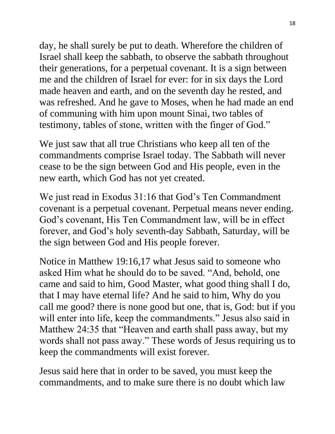day, he shall surely be put to death. Wherefore the children of Israel shall keep the sabbath, to observe the sabbath throughout their generations, for a perpetual covenant. It is a sign between me and the children of Israel for ever: for in six days the Lord made heaven and earth, and on the seventh day he rested, and was refreshed. And he gave to Moses, when he had made an end of communing with him upon mount Sinai, two tables of testimony, tables of stone, written with the finger of God."

We just saw that all true Christians who keep all ten of the commandments comprise Israel today. The Sabbath will never cease to be the sign between God and His people, even in the new earth, which God has not yet created.

We just read in Exodus 31:16 that God's Ten Commandment covenant is a perpetual covenant. Perpetual means never ending. God's covenant, His Ten Commandment law, will be in effect forever, and God's holy seventh-day Sabbath, Saturday, will be the sign between God and His people forever.

Notice in Matthew 19:16,17 what Jesus said to someone who asked Him what he should do to be saved. "And, behold, one came and said to him, Good Master, what good thing shall I do, that I may have eternal life? And he said to him, Why do you call me good? there is none good but one, that is, God: but if you will enter into life, keep the commandments." Jesus also said in Matthew 24:35 that "Heaven and earth shall pass away, but my words shall not pass away." These words of Jesus requiring us to keep the commandments will exist forever.

Jesus said here that in order to be saved, you must keep the commandments, and to make sure there is no doubt which law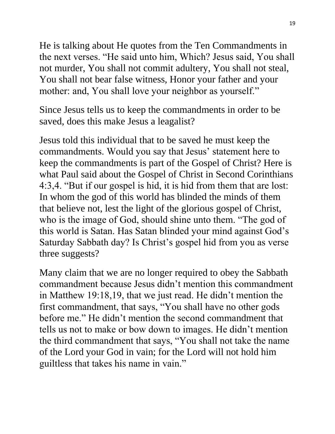He is talking about He quotes from the Ten Commandments in the next verses. "He said unto him, Which? Jesus said, You shall not murder, You shall not commit adultery, You shall not steal, You shall not bear false witness, Honor your father and your mother: and, You shall love your neighbor as yourself."

Since Jesus tells us to keep the commandments in order to be saved, does this make Jesus a leagalist?

Jesus told this individual that to be saved he must keep the commandments. Would you say that Jesus' statement here to keep the commandments is part of the Gospel of Christ? Here is what Paul said about the Gospel of Christ in Second Corinthians 4:3,4. "But if our gospel is hid, it is hid from them that are lost: In whom the god of this world has blinded the minds of them that believe not, lest the light of the glorious gospel of Christ, who is the image of God, should shine unto them. "The god of this world is Satan. Has Satan blinded your mind against God's Saturday Sabbath day? Is Christ's gospel hid from you as verse three suggests?

Many claim that we are no longer required to obey the Sabbath commandment because Jesus didn't mention this commandment in Matthew 19:18,19, that we just read. He didn't mention the first commandment, that says, "You shall have no other gods before me." He didn't mention the second commandment that tells us not to make or bow down to images. He didn't mention the third commandment that says, "You shall not take the name of the Lord your God in vain; for the Lord will not hold him guiltless that takes his name in vain."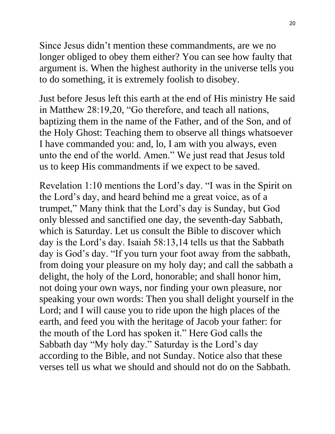Since Jesus didn't mention these commandments, are we no longer obliged to obey them either? You can see how faulty that argument is. When the highest authority in the universe tells you to do something, it is extremely foolish to disobey.

Just before Jesus left this earth at the end of His ministry He said in Matthew 28:19,20, "Go therefore, and teach all nations, baptizing them in the name of the Father, and of the Son, and of the Holy Ghost: Teaching them to observe all things whatsoever I have commanded you: and, lo, I am with you always, even unto the end of the world. Amen." We just read that Jesus told us to keep His commandments if we expect to be saved.

Revelation 1:10 mentions the Lord's day. "I was in the Spirit on the Lord's day, and heard behind me a great voice, as of a trumpet," Many think that the Lord's day is Sunday, but God only blessed and sanctified one day, the seventh-day Sabbath, which is Saturday. Let us consult the Bible to discover which day is the Lord's day. Isaiah 58:13,14 tells us that the Sabbath day is God's day. "If you turn your foot away from the sabbath, from doing your pleasure on my holy day; and call the sabbath a delight, the holy of the Lord, honorable; and shall honor him, not doing your own ways, nor finding your own pleasure, nor speaking your own words: Then you shall delight yourself in the Lord; and I will cause you to ride upon the high places of the earth, and feed you with the heritage of Jacob your father: for the mouth of the Lord has spoken it." Here God calls the Sabbath day "My holy day." Saturday is the Lord's day according to the Bible, and not Sunday. Notice also that these verses tell us what we should and should not do on the Sabbath.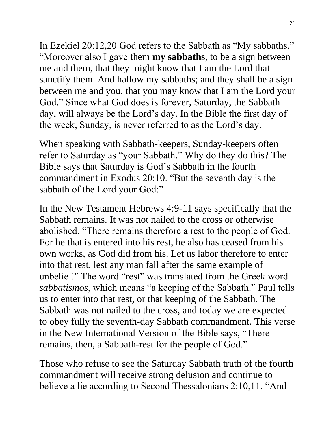In Ezekiel 20:12,20 God refers to the Sabbath as "My sabbaths." "Moreover also I gave them **my sabbaths**, to be a sign between me and them, that they might know that I am the Lord that sanctify them. And hallow my sabbaths; and they shall be a sign between me and you, that you may know that I am the Lord your God." Since what God does is forever, Saturday, the Sabbath day, will always be the Lord's day. In the Bible the first day of the week, Sunday, is never referred to as the Lord's day.

When speaking with Sabbath-keepers, Sunday-keepers often refer to Saturday as "your Sabbath." Why do they do this? The Bible says that Saturday is God's Sabbath in the fourth commandment in Exodus 20:10. "But the seventh day is the sabbath of the Lord your God:"

In the New Testament Hebrews 4:9-11 says specifically that the Sabbath remains. It was not nailed to the cross or otherwise abolished. "There remains therefore a rest to the people of God. For he that is entered into his rest, he also has ceased from his own works, as God did from his. Let us labor therefore to enter into that rest, lest any man fall after the same example of unbelief." The word "rest" was translated from the Greek word *sabbatismos*, which means "a keeping of the Sabbath." Paul tells us to enter into that rest, or that keeping of the Sabbath. The Sabbath was not nailed to the cross, and today we are expected to obey fully the seventh-day Sabbath commandment. This verse in the New International Version of the Bible says, "There remains, then, a Sabbath-rest for the people of God."

Those who refuse to see the Saturday Sabbath truth of the fourth commandment will receive strong delusion and continue to believe a lie according to Second Thessalonians 2:10,11. "And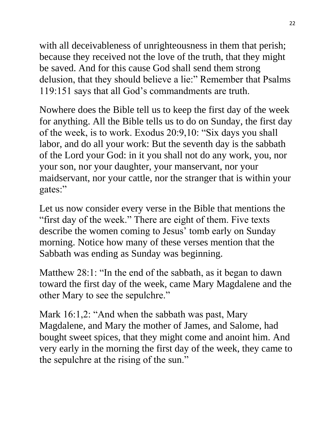with all deceivableness of unrighteousness in them that perish; because they received not the love of the truth, that they might be saved. And for this cause God shall send them strong delusion, that they should believe a lie:" Remember that Psalms 119:151 says that all God's commandments are truth.

Nowhere does the Bible tell us to keep the first day of the week for anything. All the Bible tells us to do on Sunday, the first day of the week, is to work. Exodus 20:9,10: "Six days you shall labor, and do all your work: But the seventh day is the sabbath of the Lord your God: in it you shall not do any work, you, nor your son, nor your daughter, your manservant, nor your maidservant, nor your cattle, nor the stranger that is within your gates:"

Let us now consider every verse in the Bible that mentions the "first day of the week." There are eight of them. Five texts describe the women coming to Jesus' tomb early on Sunday morning. Notice how many of these verses mention that the Sabbath was ending as Sunday was beginning.

Matthew 28:1: "In the end of the sabbath, as it began to dawn toward the first day of the week, came Mary Magdalene and the other Mary to see the sepulchre."

Mark 16:1,2: "And when the sabbath was past, Mary Magdalene, and Mary the mother of James, and Salome, had bought sweet spices, that they might come and anoint him. And very early in the morning the first day of the week, they came to the sepulchre at the rising of the sun."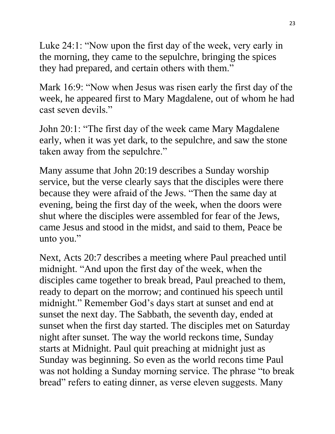Luke 24:1: "Now upon the first day of the week, very early in the morning, they came to the sepulchre, bringing the spices they had prepared, and certain others with them."

Mark 16:9: "Now when Jesus was risen early the first day of the week, he appeared first to Mary Magdalene, out of whom he had cast seven devils."

John 20:1: "The first day of the week came Mary Magdalene early, when it was yet dark, to the sepulchre, and saw the stone taken away from the sepulchre."

Many assume that John 20:19 describes a Sunday worship service, but the verse clearly says that the disciples were there because they were afraid of the Jews. "Then the same day at evening, being the first day of the week, when the doors were shut where the disciples were assembled for fear of the Jews, came Jesus and stood in the midst, and said to them, Peace be unto you."

Next, Acts 20:7 describes a meeting where Paul preached until midnight. "And upon the first day of the week, when the disciples came together to break bread, Paul preached to them, ready to depart on the morrow; and continued his speech until midnight." Remember God's days start at sunset and end at sunset the next day. The Sabbath, the seventh day, ended at sunset when the first day started. The disciples met on Saturday night after sunset. The way the world reckons time, Sunday starts at Midnight. Paul quit preaching at midnight just as Sunday was beginning. So even as the world recons time Paul was not holding a Sunday morning service. The phrase "to break bread" refers to eating dinner, as verse eleven suggests. Many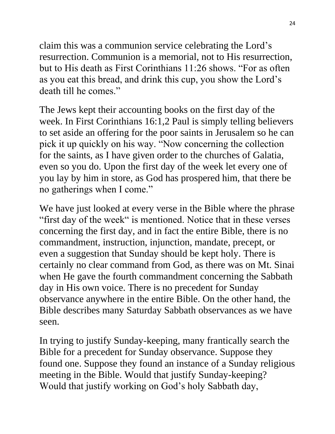claim this was a communion service celebrating the Lord's resurrection. Communion is a memorial, not to His resurrection, but to His death as First Corinthians 11:26 shows. "For as often as you eat this bread, and drink this cup, you show the Lord's death till he comes."

The Jews kept their accounting books on the first day of the week. In First Corinthians 16:1,2 Paul is simply telling believers to set aside an offering for the poor saints in Jerusalem so he can pick it up quickly on his way. "Now concerning the collection for the saints, as I have given order to the churches of Galatia, even so you do. Upon the first day of the week let every one of you lay by him in store, as God has prospered him, that there be no gatherings when I come."

We have just looked at every verse in the Bible where the phrase "first day of the week" is mentioned. Notice that in these verses concerning the first day, and in fact the entire Bible, there is no commandment, instruction, injunction, mandate, precept, or even a suggestion that Sunday should be kept holy. There is certainly no clear command from God, as there was on Mt. Sinai when He gave the fourth commandment concerning the Sabbath day in His own voice. There is no precedent for Sunday observance anywhere in the entire Bible. On the other hand, the Bible describes many Saturday Sabbath observances as we have seen.

In trying to justify Sunday-keeping, many frantically search the Bible for a precedent for Sunday observance. Suppose they found one. Suppose they found an instance of a Sunday religious meeting in the Bible. Would that justify Sunday-keeping? Would that justify working on God's holy Sabbath day,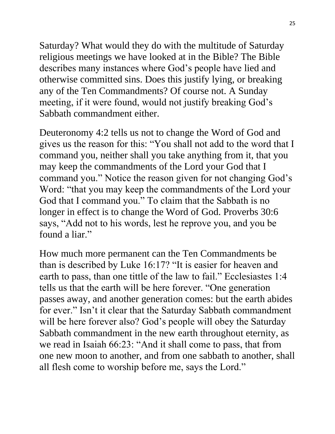Saturday? What would they do with the multitude of Saturday religious meetings we have looked at in the Bible? The Bible describes many instances where God's people have lied and otherwise committed sins. Does this justify lying, or breaking any of the Ten Commandments? Of course not. A Sunday meeting, if it were found, would not justify breaking God's Sabbath commandment either.

Deuteronomy 4:2 tells us not to change the Word of God and gives us the reason for this: "You shall not add to the word that I command you, neither shall you take anything from it, that you may keep the commandments of the Lord your God that I command you." Notice the reason given for not changing God's Word: "that you may keep the commandments of the Lord your God that I command you." To claim that the Sabbath is no longer in effect is to change the Word of God. Proverbs 30:6 says, "Add not to his words, lest he reprove you, and you be found a liar."

How much more permanent can the Ten Commandments be than is described by Luke 16:17? "It is easier for heaven and earth to pass, than one tittle of the law to fail." Ecclesiastes 1:4 tells us that the earth will be here forever. "One generation passes away, and another generation comes: but the earth abides for ever." Isn't it clear that the Saturday Sabbath commandment will be here forever also? God's people will obey the Saturday Sabbath commandment in the new earth throughout eternity, as we read in Isaiah 66:23: "And it shall come to pass, that from one new moon to another, and from one sabbath to another, shall all flesh come to worship before me, says the Lord."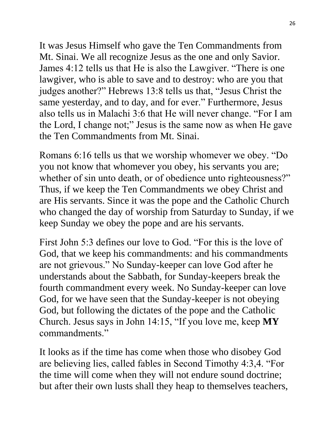It was Jesus Himself who gave the Ten Commandments from Mt. Sinai. We all recognize Jesus as the one and only Savior. James 4:12 tells us that He is also the Lawgiver. "There is one lawgiver, who is able to save and to destroy: who are you that judges another?" Hebrews 13:8 tells us that, "Jesus Christ the same yesterday, and to day, and for ever." Furthermore, Jesus also tells us in Malachi 3:6 that He will never change. "For I am the Lord, I change not;" Jesus is the same now as when He gave the Ten Commandments from Mt. Sinai.

Romans 6:16 tells us that we worship whomever we obey. "Do you not know that whomever you obey, his servants you are; whether of sin unto death, or of obedience unto righteousness?" Thus, if we keep the Ten Commandments we obey Christ and are His servants. Since it was the pope and the Catholic Church who changed the day of worship from Saturday to Sunday, if we keep Sunday we obey the pope and are his servants.

First John 5:3 defines our love to God. "For this is the love of God, that we keep his commandments: and his commandments are not grievous." No Sunday-keeper can love God after he understands about the Sabbath, for Sunday-keepers break the fourth commandment every week. No Sunday-keeper can love God, for we have seen that the Sunday-keeper is not obeying God, but following the dictates of the pope and the Catholic Church. Jesus says in John 14:15, "If you love me, keep **MY** commandments."

It looks as if the time has come when those who disobey God are believing lies, called fables in Second Timothy 4:3,4. "For the time will come when they will not endure sound doctrine; but after their own lusts shall they heap to themselves teachers,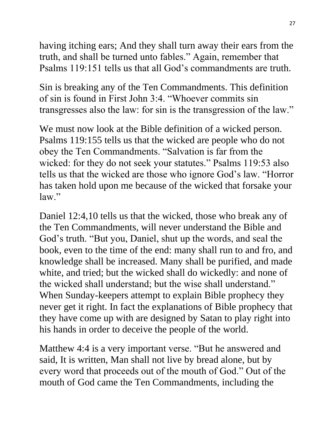having itching ears; And they shall turn away their ears from the truth, and shall be turned unto fables." Again, remember that Psalms 119:151 tells us that all God's commandments are truth.

Sin is breaking any of the Ten Commandments. This definition of sin is found in First John 3:4. "Whoever commits sin transgresses also the law: for sin is the transgression of the law."

We must now look at the Bible definition of a wicked person. Psalms 119:155 tells us that the wicked are people who do not obey the Ten Commandments. "Salvation is far from the wicked: for they do not seek your statutes." Psalms 119:53 also tells us that the wicked are those who ignore God's law. "Horror has taken hold upon me because of the wicked that forsake your law."

Daniel 12:4,10 tells us that the wicked, those who break any of the Ten Commandments, will never understand the Bible and God's truth. "But you, Daniel, shut up the words, and seal the book, even to the time of the end: many shall run to and fro, and knowledge shall be increased. Many shall be purified, and made white, and tried; but the wicked shall do wickedly: and none of the wicked shall understand; but the wise shall understand." When Sunday-keepers attempt to explain Bible prophecy they never get it right. In fact the explanations of Bible prophecy that they have come up with are designed by Satan to play right into his hands in order to deceive the people of the world.

Matthew 4:4 is a very important verse. "But he answered and said, It is written, Man shall not live by bread alone, but by every word that proceeds out of the mouth of God." Out of the mouth of God came the Ten Commandments, including the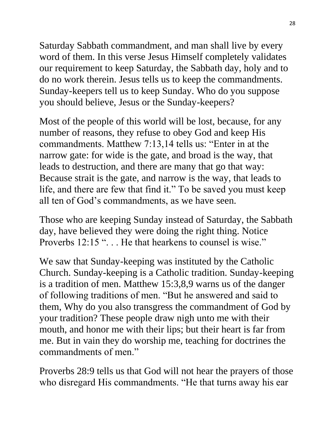Saturday Sabbath commandment, and man shall live by every word of them. In this verse Jesus Himself completely validates our requirement to keep Saturday, the Sabbath day, holy and to do no work therein. Jesus tells us to keep the commandments. Sunday-keepers tell us to keep Sunday. Who do you suppose you should believe, Jesus or the Sunday-keepers?

Most of the people of this world will be lost, because, for any number of reasons, they refuse to obey God and keep His commandments. Matthew 7:13,14 tells us: "Enter in at the narrow gate: for wide is the gate, and broad is the way, that leads to destruction, and there are many that go that way: Because strait is the gate, and narrow is the way, that leads to life, and there are few that find it." To be saved you must keep all ten of God's commandments, as we have seen.

Those who are keeping Sunday instead of Saturday, the Sabbath day, have believed they were doing the right thing. Notice Proverbs 12:15 "... He that hearkens to counsel is wise."

We saw that Sunday-keeping was instituted by the Catholic Church. Sunday-keeping is a Catholic tradition. Sunday-keeping is a tradition of men. Matthew 15:3,8,9 warns us of the danger of following traditions of men. "But he answered and said to them, Why do you also transgress the commandment of God by your tradition? These people draw nigh unto me with their mouth, and honor me with their lips; but their heart is far from me. But in vain they do worship me, teaching for doctrines the commandments of men."

Proverbs 28:9 tells us that God will not hear the prayers of those who disregard His commandments. "He that turns away his ear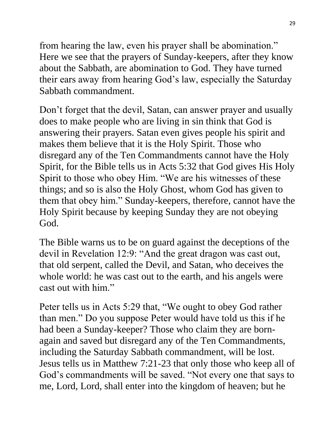from hearing the law, even his prayer shall be abomination." Here we see that the prayers of Sunday-keepers, after they know about the Sabbath, are abomination to God. They have turned their ears away from hearing God's law, especially the Saturday Sabbath commandment.

Don't forget that the devil, Satan, can answer prayer and usually does to make people who are living in sin think that God is answering their prayers. Satan even gives people his spirit and makes them believe that it is the Holy Spirit. Those who disregard any of the Ten Commandments cannot have the Holy Spirit, for the Bible tells us in Acts 5:32 that God gives His Holy Spirit to those who obey Him. "We are his witnesses of these things; and so is also the Holy Ghost, whom God has given to them that obey him." Sunday-keepers, therefore, cannot have the Holy Spirit because by keeping Sunday they are not obeying God.

The Bible warns us to be on guard against the deceptions of the devil in Revelation 12:9: "And the great dragon was cast out, that old serpent, called the Devil, and Satan, who deceives the whole world: he was cast out to the earth, and his angels were cast out with him."

Peter tells us in Acts 5:29 that, "We ought to obey God rather than men." Do you suppose Peter would have told us this if he had been a Sunday-keeper? Those who claim they are bornagain and saved but disregard any of the Ten Commandments, including the Saturday Sabbath commandment, will be lost. Jesus tells us in Matthew 7:21-23 that only those who keep all of God's commandments will be saved. "Not every one that says to me, Lord, Lord, shall enter into the kingdom of heaven; but he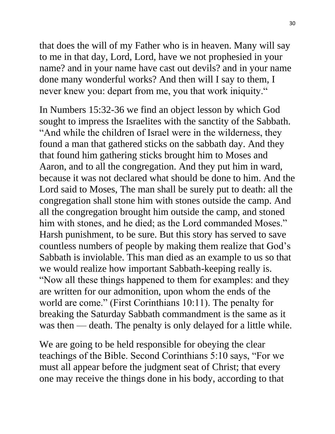that does the will of my Father who is in heaven. Many will say to me in that day, Lord, Lord, have we not prophesied in your name? and in your name have cast out devils? and in your name done many wonderful works? And then will I say to them, I never knew you: depart from me, you that work iniquity."

In Numbers 15:32-36 we find an object lesson by which God sought to impress the Israelites with the sanctity of the Sabbath. "And while the children of Israel were in the wilderness, they found a man that gathered sticks on the sabbath day. And they that found him gathering sticks brought him to Moses and Aaron, and to all the congregation. And they put him in ward, because it was not declared what should be done to him. And the Lord said to Moses, The man shall be surely put to death: all the congregation shall stone him with stones outside the camp. And all the congregation brought him outside the camp, and stoned him with stones, and he died; as the Lord commanded Moses." Harsh punishment, to be sure. But this story has served to save countless numbers of people by making them realize that God's Sabbath is inviolable. This man died as an example to us so that we would realize how important Sabbath-keeping really is. "Now all these things happened to them for examples: and they are written for our admonition, upon whom the ends of the world are come." (First Corinthians 10:11). The penalty for breaking the Saturday Sabbath commandment is the same as it was then — death. The penalty is only delayed for a little while.

We are going to be held responsible for obeying the clear teachings of the Bible. Second Corinthians 5:10 says, "For we must all appear before the judgment seat of Christ; that every one may receive the things done in his body, according to that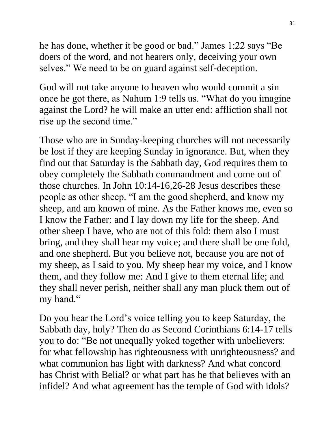he has done, whether it be good or bad." James 1:22 says "Be doers of the word, and not hearers only, deceiving your own selves." We need to be on guard against self-deception.

God will not take anyone to heaven who would commit a sin once he got there, as Nahum 1:9 tells us. "What do you imagine against the Lord? he will make an utter end: affliction shall not rise up the second time."

Those who are in Sunday-keeping churches will not necessarily be lost if they are keeping Sunday in ignorance. But, when they find out that Saturday is the Sabbath day, God requires them to obey completely the Sabbath commandment and come out of those churches. In John 10:14-16,26-28 Jesus describes these people as other sheep. "I am the good shepherd, and know my sheep, and am known of mine. As the Father knows me, even so I know the Father: and I lay down my life for the sheep. And other sheep I have, who are not of this fold: them also I must bring, and they shall hear my voice; and there shall be one fold, and one shepherd. But you believe not, because you are not of my sheep, as I said to you. My sheep hear my voice, and I know them, and they follow me: And I give to them eternal life; and they shall never perish, neither shall any man pluck them out of my hand."

Do you hear the Lord's voice telling you to keep Saturday, the Sabbath day, holy? Then do as Second Corinthians 6:14-17 tells you to do: "Be not unequally yoked together with unbelievers: for what fellowship has righteousness with unrighteousness? and what communion has light with darkness? And what concord has Christ with Belial? or what part has he that believes with an infidel? And what agreement has the temple of God with idols?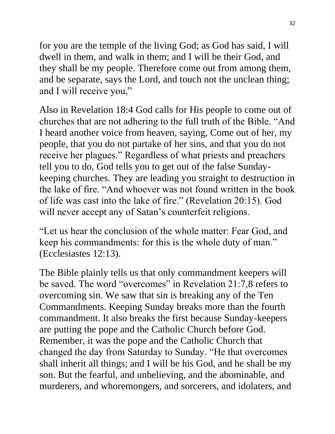for you are the temple of the living God; as God has said, I will dwell in them, and walk in them; and I will be their God, and they shall be my people. Therefore come out from among them, and be separate, says the Lord, and touch not the unclean thing; and I will receive you,"

Also in Revelation 18:4 God calls for His people to come out of churches that are not adhering to the full truth of the Bible. "And I heard another voice from heaven, saying, Come out of her, my people, that you do not partake of her sins, and that you do not receive her plagues." Regardless of what priests and preachers tell you to do, God tells you to get out of the false Sundaykeeping churches. They are leading you straight to destruction in the lake of fire. "And whoever was not found written in the book of life was cast into the lake of fire." (Revelation 20:15). God will never accept any of Satan's counterfeit religions.

"Let us hear the conclusion of the whole matter: Fear God, and keep his commandments: for this is the whole duty of man." (Ecclesiastes 12:13).

The Bible plainly tells us that only commandment keepers will be saved. The word "overcomes" in Revelation 21:7,8 refers to overcoming sin. We saw that sin is breaking any of the Ten Commandments. Keeping Sunday breaks more than the fourth commandment. It also breaks the first because Sunday-keepers are putting the pope and the Catholic Church before God. Remember, it was the pope and the Catholic Church that changed the day from Saturday to Sunday. "He that overcomes shall inherit all things; and I will be his God, and he shall be my son. But the fearful, and unbelieving, and the abominable, and murderers, and whoremongers, and sorcerers, and idolaters, and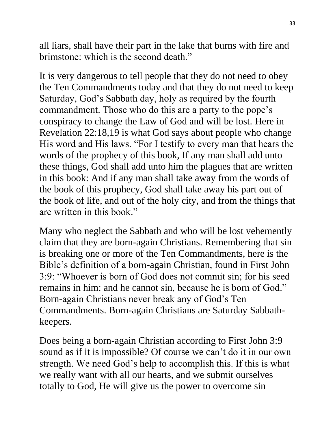all liars, shall have their part in the lake that burns with fire and brimstone: which is the second death."

It is very dangerous to tell people that they do not need to obey the Ten Commandments today and that they do not need to keep Saturday, God's Sabbath day, holy as required by the fourth commandment. Those who do this are a party to the pope's conspiracy to change the Law of God and will be lost. Here in Revelation 22:18,19 is what God says about people who change His word and His laws. "For I testify to every man that hears the words of the prophecy of this book, If any man shall add unto these things, God shall add unto him the plagues that are written in this book: And if any man shall take away from the words of the book of this prophecy, God shall take away his part out of the book of life, and out of the holy city, and from the things that are written in this book."

Many who neglect the Sabbath and who will be lost vehemently claim that they are born-again Christians. Remembering that sin is breaking one or more of the Ten Commandments, here is the Bible's definition of a born-again Christian, found in First John 3:9: "Whoever is born of God does not commit sin; for his seed remains in him: and he cannot sin, because he is born of God." Born-again Christians never break any of God's Ten Commandments. Born-again Christians are Saturday Sabbathkeepers.

Does being a born-again Christian according to First John 3:9 sound as if it is impossible? Of course we can't do it in our own strength. We need God's help to accomplish this. If this is what we really want with all our hearts, and we submit ourselves totally to God, He will give us the power to overcome sin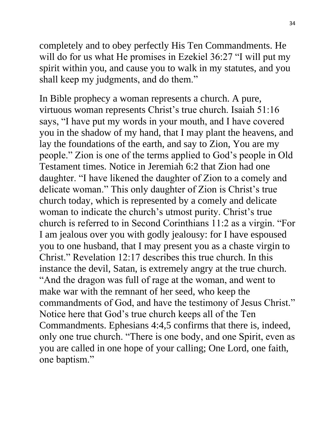completely and to obey perfectly His Ten Commandments. He will do for us what He promises in Ezekiel 36:27 "I will put my spirit within you, and cause you to walk in my statutes, and you shall keep my judgments, and do them."

In Bible prophecy a woman represents a church. A pure, virtuous woman represents Christ's true church. Isaiah 51:16 says, "I have put my words in your mouth, and I have covered you in the shadow of my hand, that I may plant the heavens, and lay the foundations of the earth, and say to Zion, You are my people." Zion is one of the terms applied to God's people in Old Testament times. Notice in Jeremiah 6:2 that Zion had one daughter. "I have likened the daughter of Zion to a comely and delicate woman." This only daughter of Zion is Christ's true church today, which is represented by a comely and delicate woman to indicate the church's utmost purity. Christ's true church is referred to in Second Corinthians 11:2 as a virgin. "For I am jealous over you with godly jealousy: for I have espoused you to one husband, that I may present you as a chaste virgin to Christ." Revelation 12:17 describes this true church. In this instance the devil, Satan, is extremely angry at the true church. "And the dragon was full of rage at the woman, and went to make war with the remnant of her seed, who keep the commandments of God, and have the testimony of Jesus Christ." Notice here that God's true church keeps all of the Ten Commandments. Ephesians 4:4,5 confirms that there is, indeed, only one true church. "There is one body, and one Spirit, even as you are called in one hope of your calling; One Lord, one faith, one baptism."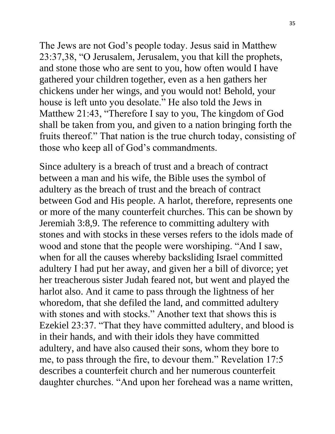The Jews are not God's people today. Jesus said in Matthew 23:37,38, "O Jerusalem, Jerusalem, you that kill the prophets, and stone those who are sent to you, how often would I have gathered your children together, even as a hen gathers her chickens under her wings, and you would not! Behold, your house is left unto you desolate." He also told the Jews in Matthew 21:43, "Therefore I say to you, The kingdom of God shall be taken from you, and given to a nation bringing forth the fruits thereof." That nation is the true church today, consisting of those who keep all of God's commandments.

Since adultery is a breach of trust and a breach of contract between a man and his wife, the Bible uses the symbol of adultery as the breach of trust and the breach of contract between God and His people. A harlot, therefore, represents one or more of the many counterfeit churches. This can be shown by Jeremiah 3:8,9. The reference to committing adultery with stones and with stocks in these verses refers to the idols made of wood and stone that the people were worshiping. "And I saw, when for all the causes whereby backsliding Israel committed adultery I had put her away, and given her a bill of divorce; yet her treacherous sister Judah feared not, but went and played the harlot also. And it came to pass through the lightness of her whoredom, that she defiled the land, and committed adultery with stones and with stocks." Another text that shows this is Ezekiel 23:37. "That they have committed adultery, and blood is in their hands, and with their idols they have committed adultery, and have also caused their sons, whom they bore to me, to pass through the fire, to devour them." Revelation 17:5 describes a counterfeit church and her numerous counterfeit daughter churches. "And upon her forehead was a name written,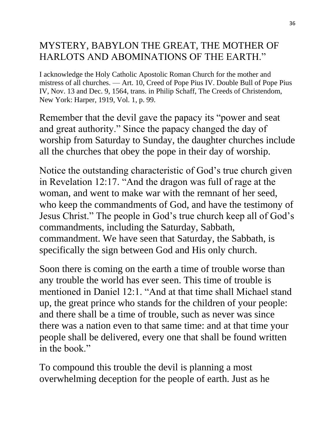## MYSTERY, BABYLON THE GREAT, THE MOTHER OF HARLOTS AND ABOMINATIONS OF THE EARTH."

I acknowledge the Holy Catholic Apostolic Roman Church for the mother and mistress of all churches. — Art. 10, Creed of Pope Pius IV. Double Bull of Pope Pius IV, Nov. 13 and Dec. 9, 1564, trans. in Philip Schaff, The Creeds of Christendom, New York: Harper, 1919, Vol. 1, p. 99.

Remember that the devil gave the papacy its "power and seat and great authority." Since the papacy changed the day of worship from Saturday to Sunday, the daughter churches include all the churches that obey the pope in their day of worship.

Notice the outstanding characteristic of God's true church given in Revelation 12:17. "And the dragon was full of rage at the woman, and went to make war with the remnant of her seed, who keep the commandments of God, and have the testimony of Jesus Christ." The people in God's true church keep all of God's commandments, including the Saturday, Sabbath, commandment. We have seen that Saturday, the Sabbath, is specifically the sign between God and His only church.

Soon there is coming on the earth a time of trouble worse than any trouble the world has ever seen. This time of trouble is mentioned in Daniel 12:1. "And at that time shall Michael stand up, the great prince who stands for the children of your people: and there shall be a time of trouble, such as never was since there was a nation even to that same time: and at that time your people shall be delivered, every one that shall be found written in the book"

To compound this trouble the devil is planning a most overwhelming deception for the people of earth. Just as he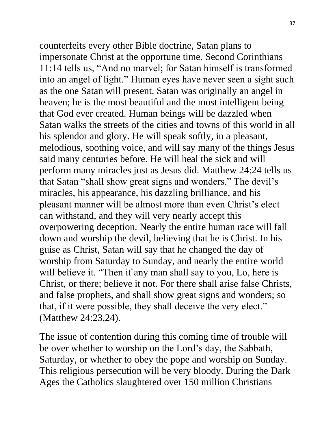counterfeits every other Bible doctrine, Satan plans to impersonate Christ at the opportune time. Second Corinthians 11:14 tells us, "And no marvel; for Satan himself is transformed into an angel of light." Human eyes have never seen a sight such as the one Satan will present. Satan was originally an angel in heaven; he is the most beautiful and the most intelligent being that God ever created. Human beings will be dazzled when Satan walks the streets of the cities and towns of this world in all his splendor and glory. He will speak softly, in a pleasant, melodious, soothing voice, and will say many of the things Jesus said many centuries before. He will heal the sick and will perform many miracles just as Jesus did. Matthew 24:24 tells us that Satan "shall show great signs and wonders." The devil's miracles, his appearance, his dazzling brilliance, and his pleasant manner will be almost more than even Christ's elect can withstand, and they will very nearly accept this overpowering deception. Nearly the entire human race will fall down and worship the devil, believing that he is Christ. In his guise as Christ, Satan will say that he changed the day of worship from Saturday to Sunday, and nearly the entire world will believe it. "Then if any man shall say to you, Lo, here is Christ, or there; believe it not. For there shall arise false Christs, and false prophets, and shall show great signs and wonders; so that, if it were possible, they shall deceive the very elect." (Matthew 24:23,24).

The issue of contention during this coming time of trouble will be over whether to worship on the Lord's day, the Sabbath, Saturday, or whether to obey the pope and worship on Sunday. This religious persecution will be very bloody. During the Dark Ages the Catholics slaughtered over 150 million Christians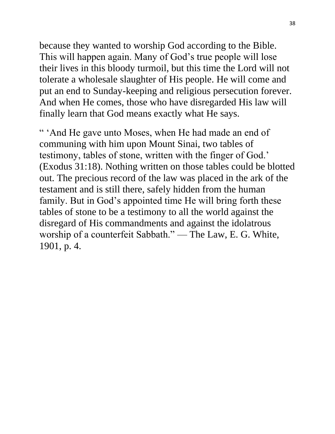because they wanted to worship God according to the Bible. This will happen again. Many of God's true people will lose their lives in this bloody turmoil, but this time the Lord will not tolerate a wholesale slaughter of His people. He will come and put an end to Sunday-keeping and religious persecution forever. And when He comes, those who have disregarded His law will finally learn that God means exactly what He says.

" 'And He gave unto Moses, when He had made an end of communing with him upon Mount Sinai, two tables of testimony, tables of stone, written with the finger of God.' (Exodus 31:18). Nothing written on those tables could be blotted out. The precious record of the law was placed in the ark of the testament and is still there, safely hidden from the human family. But in God's appointed time He will bring forth these tables of stone to be a testimony to all the world against the disregard of His commandments and against the idolatrous worship of a counterfeit Sabbath." — The Law, E. G. White, 1901, p. 4.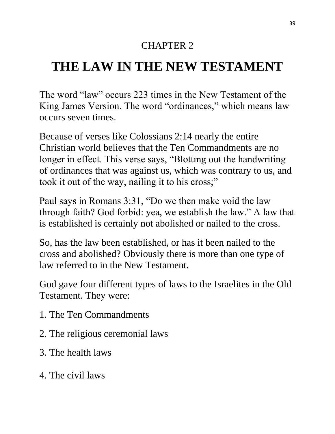## CHAPTER 2

# **THE LAW IN THE NEW TESTAMENT**

The word "law" occurs 223 times in the New Testament of the King James Version. The word "ordinances," which means law occurs seven times.

Because of verses like Colossians 2:14 nearly the entire Christian world believes that the Ten Commandments are no longer in effect. This verse says, "Blotting out the handwriting of ordinances that was against us, which was contrary to us, and took it out of the way, nailing it to his cross;"

Paul says in Romans 3:31, "Do we then make void the law through faith? God forbid: yea, we establish the law." A law that is established is certainly not abolished or nailed to the cross.

So, has the law been established, or has it been nailed to the cross and abolished? Obviously there is more than one type of law referred to in the New Testament.

God gave four different types of laws to the Israelites in the Old Testament. They were:

- 1. The Ten Commandments
- 2. The religious ceremonial laws
- 3. The health laws
- 4. The civil laws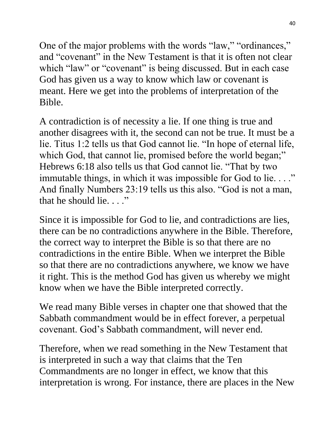One of the major problems with the words "law," "ordinances," and "covenant" in the New Testament is that it is often not clear which "law" or "covenant" is being discussed. But in each case God has given us a way to know which law or covenant is meant. Here we get into the problems of interpretation of the Bible.

A contradiction is of necessity a lie. If one thing is true and another disagrees with it, the second can not be true. It must be a lie. Titus 1:2 tells us that God cannot lie. "In hope of eternal life, which God, that cannot lie, promised before the world began;" Hebrews 6:18 also tells us that God cannot lie. "That by two immutable things, in which it was impossible for God to lie...." And finally Numbers 23:19 tells us this also. "God is not a man, that he should lie. . . . "

Since it is impossible for God to lie, and contradictions are lies, there can be no contradictions anywhere in the Bible. Therefore, the correct way to interpret the Bible is so that there are no contradictions in the entire Bible. When we interpret the Bible so that there are no contradictions anywhere, we know we have it right. This is the method God has given us whereby we might know when we have the Bible interpreted correctly.

We read many Bible verses in chapter one that showed that the Sabbath commandment would be in effect forever, a perpetual covenant. God's Sabbath commandment, will never end.

Therefore, when we read something in the New Testament that is interpreted in such a way that claims that the Ten Commandments are no longer in effect, we know that this interpretation is wrong. For instance, there are places in the New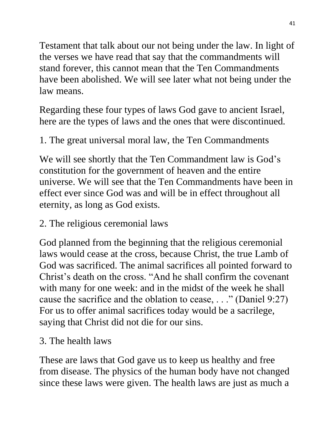Testament that talk about our not being under the law. In light of the verses we have read that say that the commandments will stand forever, this cannot mean that the Ten Commandments have been abolished. We will see later what not being under the law means.

Regarding these four types of laws God gave to ancient Israel, here are the types of laws and the ones that were discontinued.

1. The great universal moral law, the Ten Commandments

We will see shortly that the Ten Commandment law is God's constitution for the government of heaven and the entire universe. We will see that the Ten Commandments have been in effect ever since God was and will be in effect throughout all eternity, as long as God exists.

2. The religious ceremonial laws

God planned from the beginning that the religious ceremonial laws would cease at the cross, because Christ, the true Lamb of God was sacrificed. The animal sacrifices all pointed forward to Christ's death on the cross. "And he shall confirm the covenant with many for one week: and in the midst of the week he shall cause the sacrifice and the oblation to cease, . . ." (Daniel 9:27) For us to offer animal sacrifices today would be a sacrilege, saying that Christ did not die for our sins.

### 3. The health laws

These are laws that God gave us to keep us healthy and free from disease. The physics of the human body have not changed since these laws were given. The health laws are just as much a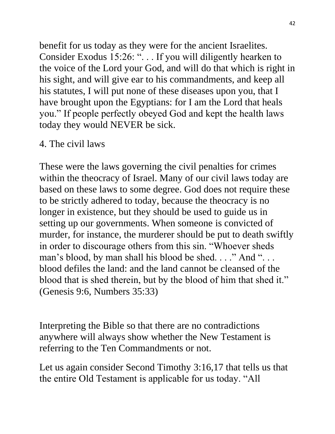benefit for us today as they were for the ancient Israelites. Consider Exodus 15:26: "... If you will diligently hearken to the voice of the Lord your God, and will do that which is right in his sight, and will give ear to his commandments, and keep all his statutes, I will put none of these diseases upon you, that I have brought upon the Egyptians: for I am the Lord that heals you." If people perfectly obeyed God and kept the health laws today they would NEVER be sick.

### 4. The civil laws

These were the laws governing the civil penalties for crimes within the theocracy of Israel. Many of our civil laws today are based on these laws to some degree. God does not require these to be strictly adhered to today, because the theocracy is no longer in existence, but they should be used to guide us in setting up our governments. When someone is convicted of murder, for instance, the murderer should be put to death swiftly in order to discourage others from this sin. "Whoever sheds man's blood, by man shall his blood be shed...." And "... blood defiles the land: and the land cannot be cleansed of the blood that is shed therein, but by the blood of him that shed it." (Genesis 9:6, Numbers 35:33)

Interpreting the Bible so that there are no contradictions anywhere will always show whether the New Testament is referring to the Ten Commandments or not.

Let us again consider Second Timothy 3:16,17 that tells us that the entire Old Testament is applicable for us today. "All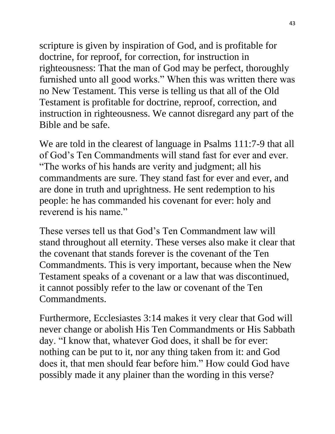scripture is given by inspiration of God, and is profitable for doctrine, for reproof, for correction, for instruction in righteousness: That the man of God may be perfect, thoroughly furnished unto all good works." When this was written there was no New Testament. This verse is telling us that all of the Old Testament is profitable for doctrine, reproof, correction, and instruction in righteousness. We cannot disregard any part of the Bible and be safe.

We are told in the clearest of language in Psalms 111:7-9 that all of God's Ten Commandments will stand fast for ever and ever. "The works of his hands are verity and judgment; all his commandments are sure. They stand fast for ever and ever, and are done in truth and uprightness. He sent redemption to his people: he has commanded his covenant for ever: holy and reverend is his name."

These verses tell us that God's Ten Commandment law will stand throughout all eternity. These verses also make it clear that the covenant that stands forever is the covenant of the Ten Commandments. This is very important, because when the New Testament speaks of a covenant or a law that was discontinued, it cannot possibly refer to the law or covenant of the Ten Commandments.

Furthermore, Ecclesiastes 3:14 makes it very clear that God will never change or abolish His Ten Commandments or His Sabbath day. "I know that, whatever God does, it shall be for ever: nothing can be put to it, nor any thing taken from it: and God does it, that men should fear before him." How could God have possibly made it any plainer than the wording in this verse?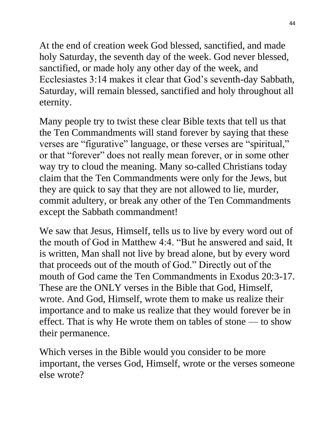At the end of creation week God blessed, sanctified, and made holy Saturday, the seventh day of the week. God never blessed, sanctified, or made holy any other day of the week, and Ecclesiastes 3:14 makes it clear that God's seventh-day Sabbath, Saturday, will remain blessed, sanctified and holy throughout all eternity.

Many people try to twist these clear Bible texts that tell us that the Ten Commandments will stand forever by saying that these verses are "figurative" language, or these verses are "spiritual," or that "forever" does not really mean forever, or in some other way try to cloud the meaning. Many so-called Christians today claim that the Ten Commandments were only for the Jews, but they are quick to say that they are not allowed to lie, murder, commit adultery, or break any other of the Ten Commandments except the Sabbath commandment!

We saw that Jesus, Himself, tells us to live by every word out of the mouth of God in Matthew 4:4. "But he answered and said, It is written, Man shall not live by bread alone, but by every word that proceeds out of the mouth of God." Directly out of the mouth of God came the Ten Commandments in Exodus 20:3-17. These are the ONLY verses in the Bible that God, Himself, wrote. And God, Himself, wrote them to make us realize their importance and to make us realize that they would forever be in effect. That is why He wrote them on tables of stone — to show their permanence.

Which verses in the Bible would you consider to be more important, the verses God, Himself, wrote or the verses someone else wrote?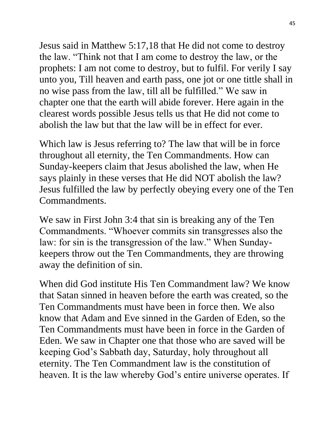Jesus said in Matthew 5:17,18 that He did not come to destroy the law. "Think not that I am come to destroy the law, or the prophets: I am not come to destroy, but to fulfil. For verily I say unto you, Till heaven and earth pass, one jot or one tittle shall in no wise pass from the law, till all be fulfilled." We saw in chapter one that the earth will abide forever. Here again in the clearest words possible Jesus tells us that He did not come to abolish the law but that the law will be in effect for ever.

Which law is Jesus referring to? The law that will be in force throughout all eternity, the Ten Commandments. How can Sunday-keepers claim that Jesus abolished the law, when He says plainly in these verses that He did NOT abolish the law? Jesus fulfilled the law by perfectly obeying every one of the Ten Commandments.

We saw in First John 3:4 that sin is breaking any of the Ten Commandments. "Whoever commits sin transgresses also the law: for sin is the transgression of the law." When Sundaykeepers throw out the Ten Commandments, they are throwing away the definition of sin.

When did God institute His Ten Commandment law? We know that Satan sinned in heaven before the earth was created, so the Ten Commandments must have been in force then. We also know that Adam and Eve sinned in the Garden of Eden, so the Ten Commandments must have been in force in the Garden of Eden. We saw in Chapter one that those who are saved will be keeping God's Sabbath day, Saturday, holy throughout all eternity. The Ten Commandment law is the constitution of heaven. It is the law whereby God's entire universe operates. If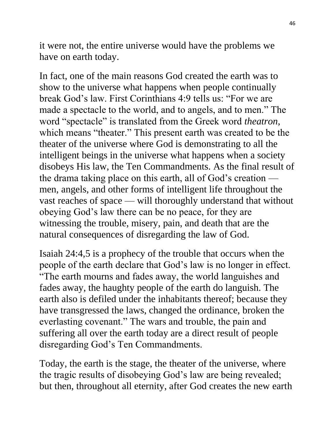it were not, the entire universe would have the problems we have on earth today.

In fact, one of the main reasons God created the earth was to show to the universe what happens when people continually break God's law. First Corinthians 4:9 tells us: "For we are made a spectacle to the world, and to angels, and to men." The word "spectacle" is translated from the Greek word *theatron*, which means "theater." This present earth was created to be the theater of the universe where God is demonstrating to all the intelligent beings in the universe what happens when a society disobeys His law, the Ten Commandments. As the final result of the drama taking place on this earth, all of God's creation men, angels, and other forms of intelligent life throughout the vast reaches of space — will thoroughly understand that without obeying God's law there can be no peace, for they are witnessing the trouble, misery, pain, and death that are the natural consequences of disregarding the law of God.

Isaiah 24:4,5 is a prophecy of the trouble that occurs when the people of the earth declare that God's law is no longer in effect. "The earth mourns and fades away, the world languishes and fades away, the haughty people of the earth do languish. The earth also is defiled under the inhabitants thereof; because they have transgressed the laws, changed the ordinance, broken the everlasting covenant." The wars and trouble, the pain and suffering all over the earth today are a direct result of people disregarding God's Ten Commandments.

Today, the earth is the stage, the theater of the universe, where the tragic results of disobeying God's law are being revealed; but then, throughout all eternity, after God creates the new earth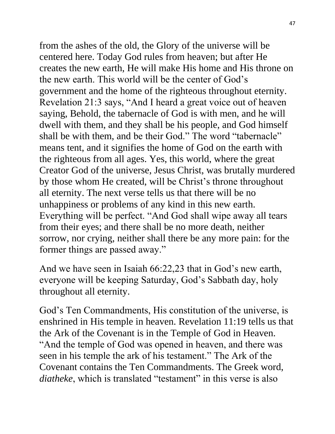from the ashes of the old, the Glory of the universe will be centered here. Today God rules from heaven; but after He creates the new earth, He will make His home and His throne on the new earth. This world will be the center of God's government and the home of the righteous throughout eternity. Revelation 21:3 says, "And I heard a great voice out of heaven saying, Behold, the tabernacle of God is with men, and he will dwell with them, and they shall be his people, and God himself shall be with them, and be their God." The word "tabernacle" means tent, and it signifies the home of God on the earth with the righteous from all ages. Yes, this world, where the great Creator God of the universe, Jesus Christ, was brutally murdered by those whom He created, will be Christ's throne throughout all eternity. The next verse tells us that there will be no unhappiness or problems of any kind in this new earth. Everything will be perfect. "And God shall wipe away all tears from their eyes; and there shall be no more death, neither sorrow, nor crying, neither shall there be any more pain: for the former things are passed away."

And we have seen in Isaiah 66:22,23 that in God's new earth, everyone will be keeping Saturday, God's Sabbath day, holy throughout all eternity.

God's Ten Commandments, His constitution of the universe, is enshrined in His temple in heaven. Revelation 11:19 tells us that the Ark of the Covenant is in the Temple of God in Heaven. "And the temple of God was opened in heaven, and there was seen in his temple the ark of his testament." The Ark of the Covenant contains the Ten Commandments. The Greek word, *diatheke*, which is translated "testament" in this verse is also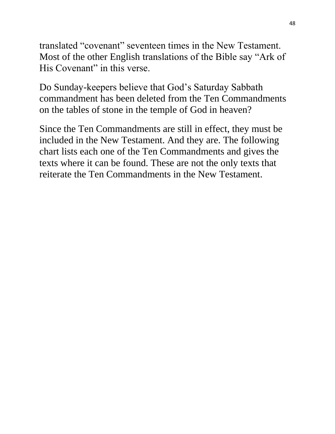translated "covenant" seventeen times in the New Testament. Most of the other English translations of the Bible say "Ark of His Covenant" in this verse.

Do Sunday-keepers believe that God's Saturday Sabbath commandment has been deleted from the Ten Commandments on the tables of stone in the temple of God in heaven?

Since the Ten Commandments are still in effect, they must be included in the New Testament. And they are. The following chart lists each one of the Ten Commandments and gives the texts where it can be found. These are not the only texts that reiterate the Ten Commandments in the New Testament.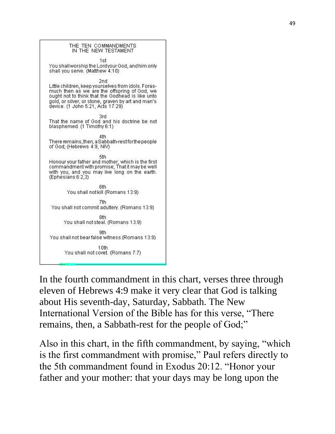

In the fourth commandment in this chart, verses three through eleven of Hebrews 4:9 make it very clear that God is talking about His seventh-day, Saturday, Sabbath. The New International Version of the Bible has for this verse, "There remains, then, a Sabbath-rest for the people of God;"

Also in this chart, in the fifth commandment, by saying, "which is the first commandment with promise," Paul refers directly to the 5th commandment found in Exodus 20:12. "Honor your father and your mother: that your days may be long upon the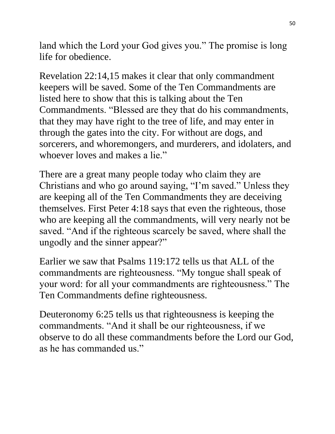land which the Lord your God gives you." The promise is long life for obedience.

Revelation 22:14,15 makes it clear that only commandment keepers will be saved. Some of the Ten Commandments are listed here to show that this is talking about the Ten Commandments. "Blessed are they that do his commandments, that they may have right to the tree of life, and may enter in through the gates into the city. For without are dogs, and sorcerers, and whoremongers, and murderers, and idolaters, and whoever loves and makes a lie."

There are a great many people today who claim they are Christians and who go around saying, "I'm saved." Unless they are keeping all of the Ten Commandments they are deceiving themselves. First Peter 4:18 says that even the righteous, those who are keeping all the commandments, will very nearly not be saved. "And if the righteous scarcely be saved, where shall the ungodly and the sinner appear?"

Earlier we saw that Psalms 119:172 tells us that ALL of the commandments are righteousness. "My tongue shall speak of your word: for all your commandments are righteousness." The Ten Commandments define righteousness.

Deuteronomy 6:25 tells us that righteousness is keeping the commandments. "And it shall be our righteousness, if we observe to do all these commandments before the Lord our God, as he has commanded us."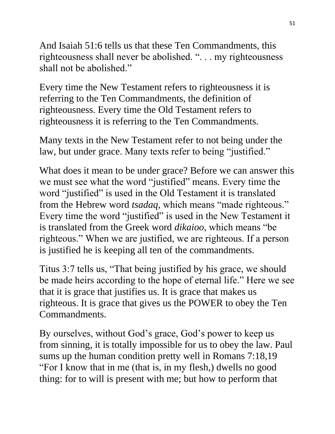And Isaiah 51:6 tells us that these Ten Commandments, this righteousness shall never be abolished. ". . . my righteousness shall not be abolished."

Every time the New Testament refers to righteousness it is referring to the Ten Commandments, the definition of righteousness. Every time the Old Testament refers to righteousness it is referring to the Ten Commandments.

Many texts in the New Testament refer to not being under the law, but under grace. Many texts refer to being "justified."

What does it mean to be under grace? Before we can answer this we must see what the word "justified" means. Every time the word "justified" is used in the Old Testament it is translated from the Hebrew word *tsadaq*, which means "made righteous." Every time the word "justified" is used in the New Testament it is translated from the Greek word *dikaioo*, which means "be righteous." When we are justified, we are righteous. If a person is justified he is keeping all ten of the commandments.

Titus 3:7 tells us, "That being justified by his grace, we should be made heirs according to the hope of eternal life." Here we see that it is grace that justifies us. It is grace that makes us righteous. It is grace that gives us the POWER to obey the Ten Commandments.

By ourselves, without God's grace, God's power to keep us from sinning, it is totally impossible for us to obey the law. Paul sums up the human condition pretty well in Romans 7:18,19 "For I know that in me (that is, in my flesh,) dwells no good thing: for to will is present with me; but how to perform that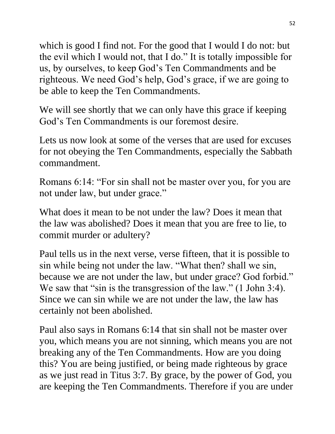which is good I find not. For the good that I would I do not: but the evil which I would not, that I do." It is totally impossible for us, by ourselves, to keep God's Ten Commandments and be righteous. We need God's help, God's grace, if we are going to be able to keep the Ten Commandments.

We will see shortly that we can only have this grace if keeping God's Ten Commandments is our foremost desire.

Lets us now look at some of the verses that are used for excuses for not obeying the Ten Commandments, especially the Sabbath commandment.

Romans 6:14: "For sin shall not be master over you, for you are not under law, but under grace."

What does it mean to be not under the law? Does it mean that the law was abolished? Does it mean that you are free to lie, to commit murder or adultery?

Paul tells us in the next verse, verse fifteen, that it is possible to sin while being not under the law. "What then? shall we sin, because we are not under the law, but under grace? God forbid." We saw that "sin is the transgression of the law." (1 John 3:4). Since we can sin while we are not under the law, the law has certainly not been abolished.

Paul also says in Romans 6:14 that sin shall not be master over you, which means you are not sinning, which means you are not breaking any of the Ten Commandments. How are you doing this? You are being justified, or being made righteous by grace as we just read in Titus 3:7. By grace, by the power of God, you are keeping the Ten Commandments. Therefore if you are under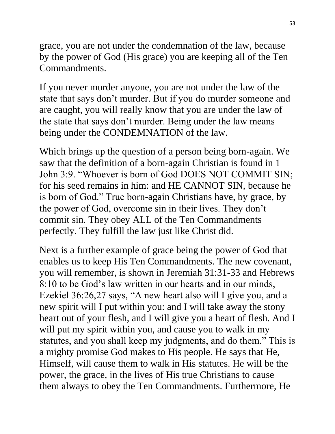grace, you are not under the condemnation of the law, because by the power of God (His grace) you are keeping all of the Ten Commandments.

If you never murder anyone, you are not under the law of the state that says don't murder. But if you do murder someone and are caught, you will really know that you are under the law of the state that says don't murder. Being under the law means being under the CONDEMNATION of the law.

Which brings up the question of a person being born-again. We saw that the definition of a born-again Christian is found in 1 John 3:9. "Whoever is born of God DOES NOT COMMIT SIN; for his seed remains in him: and HE CANNOT SIN, because he is born of God." True born-again Christians have, by grace, by the power of God, overcome sin in their lives. They don't commit sin. They obey ALL of the Ten Commandments perfectly. They fulfill the law just like Christ did.

Next is a further example of grace being the power of God that enables us to keep His Ten Commandments. The new covenant, you will remember, is shown in Jeremiah 31:31-33 and Hebrews 8:10 to be God's law written in our hearts and in our minds, Ezekiel 36:26,27 says, "A new heart also will I give you, and a new spirit will I put within you: and I will take away the stony heart out of your flesh, and I will give you a heart of flesh. And I will put my spirit within you, and cause you to walk in my statutes, and you shall keep my judgments, and do them." This is a mighty promise God makes to His people. He says that He, Himself, will cause them to walk in His statutes. He will be the power, the grace, in the lives of His true Christians to cause them always to obey the Ten Commandments. Furthermore, He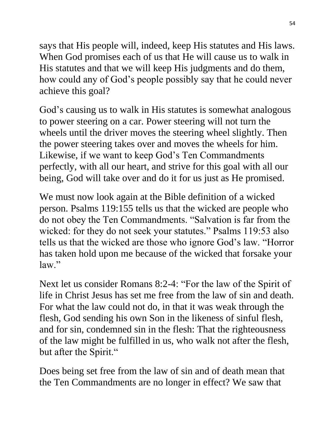says that His people will, indeed, keep His statutes and His laws. When God promises each of us that He will cause us to walk in His statutes and that we will keep His judgments and do them, how could any of God's people possibly say that he could never achieve this goal?

God's causing us to walk in His statutes is somewhat analogous to power steering on a car. Power steering will not turn the wheels until the driver moves the steering wheel slightly. Then the power steering takes over and moves the wheels for him. Likewise, if we want to keep God's Ten Commandments perfectly, with all our heart, and strive for this goal with all our being, God will take over and do it for us just as He promised.

We must now look again at the Bible definition of a wicked person. Psalms 119:155 tells us that the wicked are people who do not obey the Ten Commandments. "Salvation is far from the wicked: for they do not seek your statutes." Psalms 119:53 also tells us that the wicked are those who ignore God's law. "Horror has taken hold upon me because of the wicked that forsake your law."

Next let us consider Romans 8:2-4: "For the law of the Spirit of life in Christ Jesus has set me free from the law of sin and death. For what the law could not do, in that it was weak through the flesh, God sending his own Son in the likeness of sinful flesh, and for sin, condemned sin in the flesh: That the righteousness of the law might be fulfilled in us, who walk not after the flesh, but after the Spirit."

Does being set free from the law of sin and of death mean that the Ten Commandments are no longer in effect? We saw that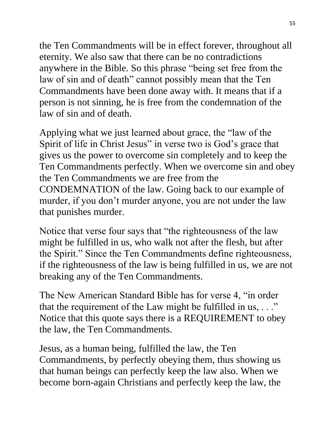the Ten Commandments will be in effect forever, throughout all eternity. We also saw that there can be no contradictions anywhere in the Bible. So this phrase "being set free from the law of sin and of death" cannot possibly mean that the Ten Commandments have been done away with. It means that if a person is not sinning, he is free from the condemnation of the law of sin and of death.

Applying what we just learned about grace, the "law of the Spirit of life in Christ Jesus" in verse two is God's grace that gives us the power to overcome sin completely and to keep the Ten Commandments perfectly. When we overcome sin and obey the Ten Commandments we are free from the CONDEMNATION of the law. Going back to our example of murder, if you don't murder anyone, you are not under the law that punishes murder.

Notice that verse four says that "the righteousness of the law might be fulfilled in us, who walk not after the flesh, but after the Spirit." Since the Ten Commandments define righteousness, if the righteousness of the law is being fulfilled in us, we are not breaking any of the Ten Commandments.

The New American Standard Bible has for verse 4, "in order that the requirement of the Law might be fulfilled in us,  $\ldots$ " Notice that this quote says there is a REQUIREMENT to obey the law, the Ten Commandments.

Jesus, as a human being, fulfilled the law, the Ten Commandments, by perfectly obeying them, thus showing us that human beings can perfectly keep the law also. When we become born-again Christians and perfectly keep the law, the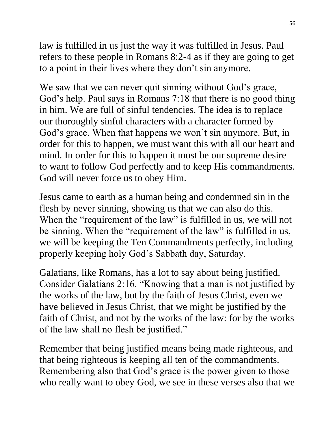law is fulfilled in us just the way it was fulfilled in Jesus. Paul refers to these people in Romans 8:2-4 as if they are going to get to a point in their lives where they don't sin anymore.

We saw that we can never quit sinning without God's grace, God's help. Paul says in Romans 7:18 that there is no good thing in him. We are full of sinful tendencies. The idea is to replace our thoroughly sinful characters with a character formed by God's grace. When that happens we won't sin anymore. But, in order for this to happen, we must want this with all our heart and mind. In order for this to happen it must be our supreme desire to want to follow God perfectly and to keep His commandments. God will never force us to obey Him.

Jesus came to earth as a human being and condemned sin in the flesh by never sinning, showing us that we can also do this. When the "requirement of the law" is fulfilled in us, we will not be sinning. When the "requirement of the law" is fulfilled in us, we will be keeping the Ten Commandments perfectly, including properly keeping holy God's Sabbath day, Saturday.

Galatians, like Romans, has a lot to say about being justified. Consider Galatians 2:16. "Knowing that a man is not justified by the works of the law, but by the faith of Jesus Christ, even we have believed in Jesus Christ, that we might be justified by the faith of Christ, and not by the works of the law: for by the works of the law shall no flesh be justified."

Remember that being justified means being made righteous, and that being righteous is keeping all ten of the commandments. Remembering also that God's grace is the power given to those who really want to obey God, we see in these verses also that we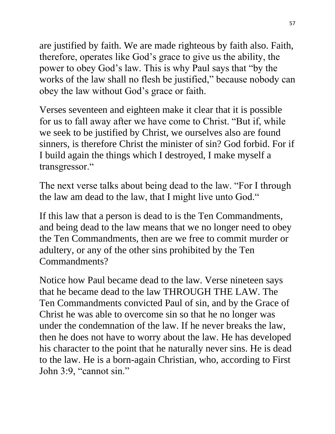are justified by faith. We are made righteous by faith also. Faith, therefore, operates like God's grace to give us the ability, the power to obey God's law. This is why Paul says that "by the works of the law shall no flesh be justified," because nobody can obey the law without God's grace or faith.

Verses seventeen and eighteen make it clear that it is possible for us to fall away after we have come to Christ. "But if, while we seek to be justified by Christ, we ourselves also are found sinners, is therefore Christ the minister of sin? God forbid. For if I build again the things which I destroyed, I make myself a transgressor."

The next verse talks about being dead to the law. "For I through the law am dead to the law, that I might live unto God."

If this law that a person is dead to is the Ten Commandments, and being dead to the law means that we no longer need to obey the Ten Commandments, then are we free to commit murder or adultery, or any of the other sins prohibited by the Ten Commandments?

Notice how Paul became dead to the law. Verse nineteen says that he became dead to the law THROUGH THE LAW. The Ten Commandments convicted Paul of sin, and by the Grace of Christ he was able to overcome sin so that he no longer was under the condemnation of the law. If he never breaks the law, then he does not have to worry about the law. He has developed his character to the point that he naturally never sins. He is dead to the law. He is a born-again Christian, who, according to First John 3:9, "cannot sin."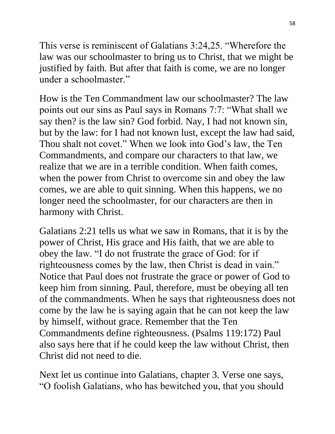This verse is reminiscent of Galatians 3:24,25. "Wherefore the law was our schoolmaster to bring us to Christ, that we might be justified by faith. But after that faith is come, we are no longer under a schoolmaster."

How is the Ten Commandment law our schoolmaster? The law points out our sins as Paul says in Romans 7:7: "What shall we say then? is the law sin? God forbid. Nay, I had not known sin, but by the law: for I had not known lust, except the law had said, Thou shalt not covet." When we look into God's law, the Ten Commandments, and compare our characters to that law, we realize that we are in a terrible condition. When faith comes, when the power from Christ to overcome sin and obey the law comes, we are able to quit sinning. When this happens, we no longer need the schoolmaster, for our characters are then in harmony with Christ.

Galatians 2:21 tells us what we saw in Romans, that it is by the power of Christ, His grace and His faith, that we are able to obey the law. "I do not frustrate the grace of God: for if righteousness comes by the law, then Christ is dead in vain." Notice that Paul does not frustrate the grace or power of God to keep him from sinning. Paul, therefore, must be obeying all ten of the commandments. When he says that righteousness does not come by the law he is saying again that he can not keep the law by himself, without grace. Remember that the Ten Commandments define righteousness. (Psalms 119:172) Paul also says here that if he could keep the law without Christ, then Christ did not need to die.

Next let us continue into Galatians, chapter 3. Verse one says, "O foolish Galatians, who has bewitched you, that you should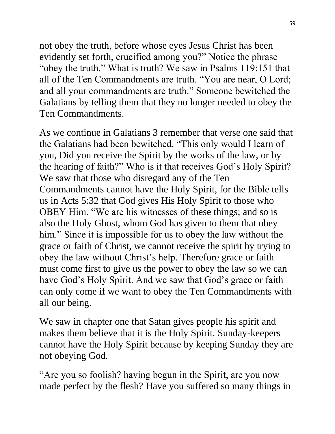not obey the truth, before whose eyes Jesus Christ has been evidently set forth, crucified among you?" Notice the phrase "obey the truth." What is truth? We saw in Psalms 119:151 that all of the Ten Commandments are truth. "You are near, O Lord; and all your commandments are truth." Someone bewitched the Galatians by telling them that they no longer needed to obey the Ten Commandments.

As we continue in Galatians 3 remember that verse one said that the Galatians had been bewitched. "This only would I learn of you, Did you receive the Spirit by the works of the law, or by the hearing of faith?" Who is it that receives God's Holy Spirit? We saw that those who disregard any of the Ten Commandments cannot have the Holy Spirit, for the Bible tells us in Acts 5:32 that God gives His Holy Spirit to those who OBEY Him. "We are his witnesses of these things; and so is also the Holy Ghost, whom God has given to them that obey him." Since it is impossible for us to obey the law without the grace or faith of Christ, we cannot receive the spirit by trying to obey the law without Christ's help. Therefore grace or faith must come first to give us the power to obey the law so we can have God's Holy Spirit. And we saw that God's grace or faith can only come if we want to obey the Ten Commandments with all our being.

We saw in chapter one that Satan gives people his spirit and makes them believe that it is the Holy Spirit. Sunday-keepers cannot have the Holy Spirit because by keeping Sunday they are not obeying God.

"Are you so foolish? having begun in the Spirit, are you now made perfect by the flesh? Have you suffered so many things in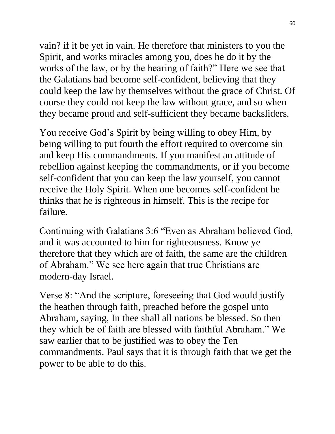vain? if it be yet in vain. He therefore that ministers to you the Spirit, and works miracles among you, does he do it by the works of the law, or by the hearing of faith?" Here we see that the Galatians had become self-confident, believing that they could keep the law by themselves without the grace of Christ. Of course they could not keep the law without grace, and so when they became proud and self-sufficient they became backsliders.

You receive God's Spirit by being willing to obey Him, by being willing to put fourth the effort required to overcome sin and keep His commandments. If you manifest an attitude of rebellion against keeping the commandments, or if you become self-confident that you can keep the law yourself, you cannot receive the Holy Spirit. When one becomes self-confident he thinks that he is righteous in himself. This is the recipe for failure.

Continuing with Galatians 3:6 "Even as Abraham believed God, and it was accounted to him for righteousness. Know ye therefore that they which are of faith, the same are the children of Abraham." We see here again that true Christians are modern-day Israel.

Verse 8: "And the scripture, foreseeing that God would justify the heathen through faith, preached before the gospel unto Abraham, saying, In thee shall all nations be blessed. So then they which be of faith are blessed with faithful Abraham." We saw earlier that to be justified was to obey the Ten commandments. Paul says that it is through faith that we get the power to be able to do this.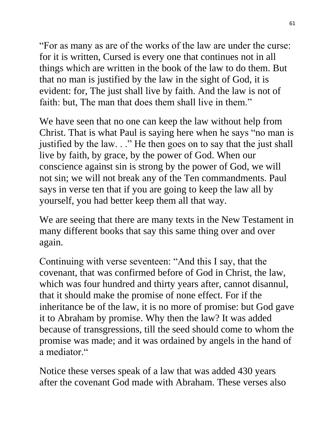"For as many as are of the works of the law are under the curse: for it is written, Cursed is every one that continues not in all things which are written in the book of the law to do them. But that no man is justified by the law in the sight of God, it is evident: for, The just shall live by faith. And the law is not of faith: but, The man that does them shall live in them."

We have seen that no one can keep the law without help from Christ. That is what Paul is saying here when he says "no man is justified by the law. . ." He then goes on to say that the just shall live by faith, by grace, by the power of God. When our conscience against sin is strong by the power of God, we will not sin; we will not break any of the Ten commandments. Paul says in verse ten that if you are going to keep the law all by yourself, you had better keep them all that way.

We are seeing that there are many texts in the New Testament in many different books that say this same thing over and over again.

Continuing with verse seventeen: "And this I say, that the covenant, that was confirmed before of God in Christ, the law, which was four hundred and thirty years after, cannot disannul, that it should make the promise of none effect. For if the inheritance be of the law, it is no more of promise: but God gave it to Abraham by promise. Why then the law? It was added because of transgressions, till the seed should come to whom the promise was made; and it was ordained by angels in the hand of a mediator."

Notice these verses speak of a law that was added 430 years after the covenant God made with Abraham. These verses also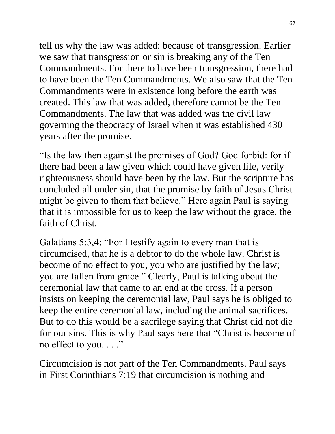tell us why the law was added: because of transgression. Earlier we saw that transgression or sin is breaking any of the Ten Commandments. For there to have been transgression, there had to have been the Ten Commandments. We also saw that the Ten Commandments were in existence long before the earth was created. This law that was added, therefore cannot be the Ten Commandments. The law that was added was the civil law governing the theocracy of Israel when it was established 430 years after the promise.

"Is the law then against the promises of God? God forbid: for if there had been a law given which could have given life, verily righteousness should have been by the law. But the scripture has concluded all under sin, that the promise by faith of Jesus Christ might be given to them that believe." Here again Paul is saying that it is impossible for us to keep the law without the grace, the faith of Christ.

Galatians 5:3,4: "For I testify again to every man that is circumcised, that he is a debtor to do the whole law. Christ is become of no effect to you, you who are justified by the law; you are fallen from grace." Clearly, Paul is talking about the ceremonial law that came to an end at the cross. If a person insists on keeping the ceremonial law, Paul says he is obliged to keep the entire ceremonial law, including the animal sacrifices. But to do this would be a sacrilege saying that Christ did not die for our sins. This is why Paul says here that "Christ is become of no effect to you. . . ."

Circumcision is not part of the Ten Commandments. Paul says in First Corinthians 7:19 that circumcision is nothing and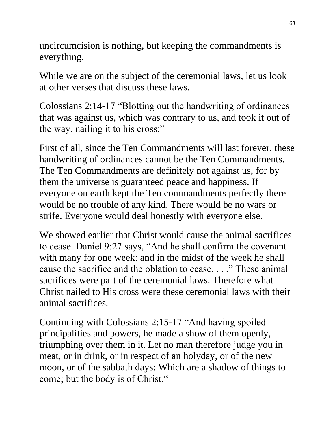uncircumcision is nothing, but keeping the commandments is everything.

While we are on the subject of the ceremonial laws, let us look at other verses that discuss these laws.

Colossians 2:14-17 "Blotting out the handwriting of ordinances that was against us, which was contrary to us, and took it out of the way, nailing it to his cross;"

First of all, since the Ten Commandments will last forever, these handwriting of ordinances cannot be the Ten Commandments. The Ten Commandments are definitely not against us, for by them the universe is guaranteed peace and happiness. If everyone on earth kept the Ten commandments perfectly there would be no trouble of any kind. There would be no wars or strife. Everyone would deal honestly with everyone else.

We showed earlier that Christ would cause the animal sacrifices to cease. Daniel 9:27 says, "And he shall confirm the covenant with many for one week: and in the midst of the week he shall cause the sacrifice and the oblation to cease, . . ." These animal sacrifices were part of the ceremonial laws. Therefore what Christ nailed to His cross were these ceremonial laws with their animal sacrifices.

Continuing with Colossians 2:15-17 "And having spoiled principalities and powers, he made a show of them openly, triumphing over them in it. Let no man therefore judge you in meat, or in drink, or in respect of an holyday, or of the new moon, or of the sabbath days: Which are a shadow of things to come; but the body is of Christ."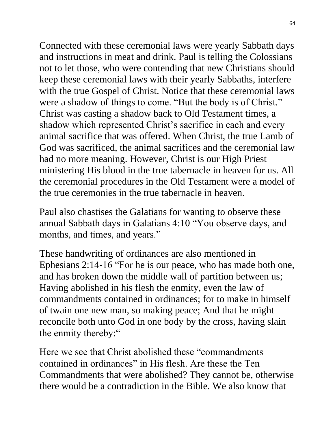Connected with these ceremonial laws were yearly Sabbath days and instructions in meat and drink. Paul is telling the Colossians not to let those, who were contending that new Christians should keep these ceremonial laws with their yearly Sabbaths, interfere with the true Gospel of Christ. Notice that these ceremonial laws were a shadow of things to come. "But the body is of Christ." Christ was casting a shadow back to Old Testament times, a shadow which represented Christ's sacrifice in each and every animal sacrifice that was offered. When Christ, the true Lamb of God was sacrificed, the animal sacrifices and the ceremonial law had no more meaning. However, Christ is our High Priest ministering His blood in the true tabernacle in heaven for us. All the ceremonial procedures in the Old Testament were a model of the true ceremonies in the true tabernacle in heaven.

Paul also chastises the Galatians for wanting to observe these annual Sabbath days in Galatians 4:10 "You observe days, and months, and times, and years."

These handwriting of ordinances are also mentioned in Ephesians 2:14-16 "For he is our peace, who has made both one, and has broken down the middle wall of partition between us; Having abolished in his flesh the enmity, even the law of commandments contained in ordinances; for to make in himself of twain one new man, so making peace; And that he might reconcile both unto God in one body by the cross, having slain the enmity thereby:"

Here we see that Christ abolished these "commandments contained in ordinances" in His flesh. Are these the Ten Commandments that were abolished? They cannot be, otherwise there would be a contradiction in the Bible. We also know that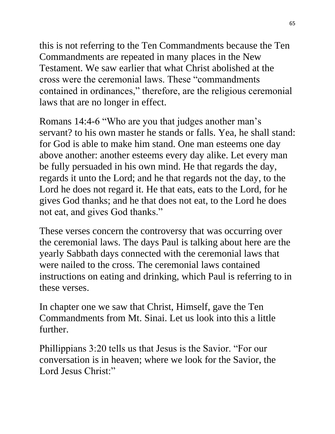this is not referring to the Ten Commandments because the Ten Commandments are repeated in many places in the New Testament. We saw earlier that what Christ abolished at the cross were the ceremonial laws. These "commandments contained in ordinances," therefore, are the religious ceremonial laws that are no longer in effect.

Romans 14:4-6 "Who are you that judges another man's servant? to his own master he stands or falls. Yea, he shall stand: for God is able to make him stand. One man esteems one day above another: another esteems every day alike. Let every man be fully persuaded in his own mind. He that regards the day, regards it unto the Lord; and he that regards not the day, to the Lord he does not regard it. He that eats, eats to the Lord, for he gives God thanks; and he that does not eat, to the Lord he does not eat, and gives God thanks."

These verses concern the controversy that was occurring over the ceremonial laws. The days Paul is talking about here are the yearly Sabbath days connected with the ceremonial laws that were nailed to the cross. The ceremonial laws contained instructions on eating and drinking, which Paul is referring to in these verses.

In chapter one we saw that Christ, Himself, gave the Ten Commandments from Mt. Sinai. Let us look into this a little further.

Phillippians 3:20 tells us that Jesus is the Savior. "For our conversation is in heaven; where we look for the Savior, the Lord Jesus Christ:"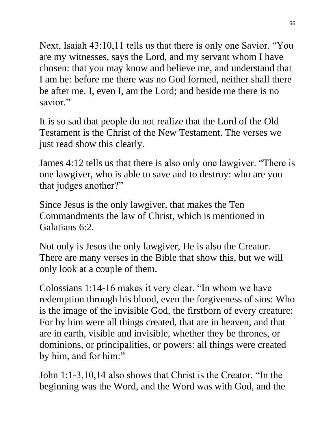Next, Isaiah 43:10,11 tells us that there is only one Savior. "You are my witnesses, says the Lord, and my servant whom I have chosen: that you may know and believe me, and understand that I am he: before me there was no God formed, neither shall there be after me. I, even I, am the Lord; and beside me there is no savior"

It is so sad that people do not realize that the Lord of the Old Testament is the Christ of the New Testament. The verses we just read show this clearly.

James 4:12 tells us that there is also only one lawgiver. "There is one lawgiver, who is able to save and to destroy: who are you that judges another?"

Since Jesus is the only lawgiver, that makes the Ten Commandments the law of Christ, which is mentioned in Galatians 6:2.

Not only is Jesus the only lawgiver, He is also the Creator. There are many verses in the Bible that show this, but we will only look at a couple of them.

Colossians 1:14-16 makes it very clear. "In whom we have redemption through his blood, even the forgiveness of sins: Who is the image of the invisible God, the firstborn of every creature: For by him were all things created, that are in heaven, and that are in earth, visible and invisible, whether they be thrones, or dominions, or principalities, or powers: all things were created by him, and for him:"

John 1:1-3,10,14 also shows that Christ is the Creator. "In the beginning was the Word, and the Word was with God, and the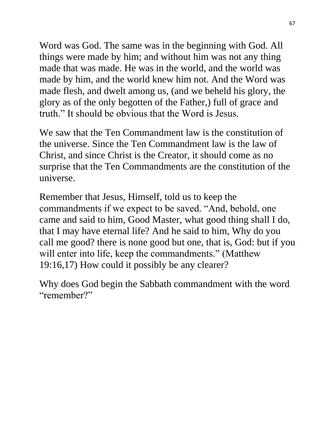Word was God. The same was in the beginning with God. All things were made by him; and without him was not any thing made that was made. He was in the world, and the world was made by him, and the world knew him not. And the Word was made flesh, and dwelt among us, (and we beheld his glory, the glory as of the only begotten of the Father,) full of grace and truth." It should be obvious that the Word is Jesus.

We saw that the Ten Commandment law is the constitution of the universe. Since the Ten Commandment law is the law of Christ, and since Christ is the Creator, it should come as no surprise that the Ten Commandments are the constitution of the universe.

Remember that Jesus, Himself, told us to keep the commandments if we expect to be saved. "And, behold, one came and said to him, Good Master, what good thing shall I do, that I may have eternal life? And he said to him, Why do you call me good? there is none good but one, that is, God: but if you will enter into life, keep the commandments." (Matthew 19:16,17) How could it possibly be any clearer?

Why does God begin the Sabbath commandment with the word "remember?"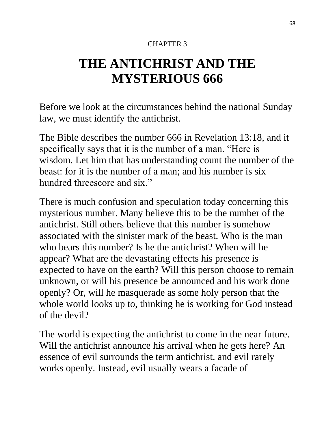#### CHAPTER 3

# **THE ANTICHRIST AND THE MYSTERIOUS 666**

Before we look at the circumstances behind the national Sunday law, we must identify the antichrist.

The Bible describes the number 666 in Revelation 13:18, and it specifically says that it is the number of a man. "Here is wisdom. Let him that has understanding count the number of the beast: for it is the number of a man; and his number is six hundred threescore and six."

There is much confusion and speculation today concerning this mysterious number. Many believe this to be the number of the antichrist. Still others believe that this number is somehow associated with the sinister mark of the beast. Who is the man who bears this number? Is he the antichrist? When will he appear? What are the devastating effects his presence is expected to have on the earth? Will this person choose to remain unknown, or will his presence be announced and his work done openly? Or, will he masquerade as some holy person that the whole world looks up to, thinking he is working for God instead of the devil?

The world is expecting the antichrist to come in the near future. Will the antichrist announce his arrival when he gets here? An essence of evil surrounds the term antichrist, and evil rarely works openly. Instead, evil usually wears a facade of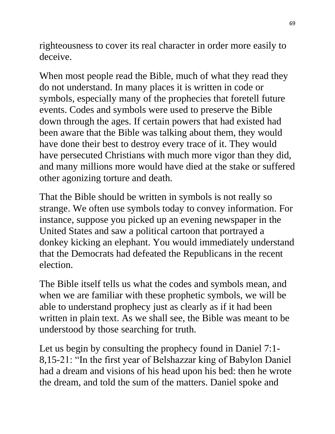righteousness to cover its real character in order more easily to deceive.

When most people read the Bible, much of what they read they do not understand. In many places it is written in code or symbols, especially many of the prophecies that foretell future events. Codes and symbols were used to preserve the Bible down through the ages. If certain powers that had existed had been aware that the Bible was talking about them, they would have done their best to destroy every trace of it. They would have persecuted Christians with much more vigor than they did, and many millions more would have died at the stake or suffered other agonizing torture and death.

That the Bible should be written in symbols is not really so strange. We often use symbols today to convey information. For instance, suppose you picked up an evening newspaper in the United States and saw a political cartoon that portrayed a donkey kicking an elephant. You would immediately understand that the Democrats had defeated the Republicans in the recent election.

The Bible itself tells us what the codes and symbols mean, and when we are familiar with these prophetic symbols, we will be able to understand prophecy just as clearly as if it had been written in plain text. As we shall see, the Bible was meant to be understood by those searching for truth.

Let us begin by consulting the prophecy found in Daniel 7:1- 8,15-21: "In the first year of Belshazzar king of Babylon Daniel had a dream and visions of his head upon his bed: then he wrote the dream, and told the sum of the matters. Daniel spoke and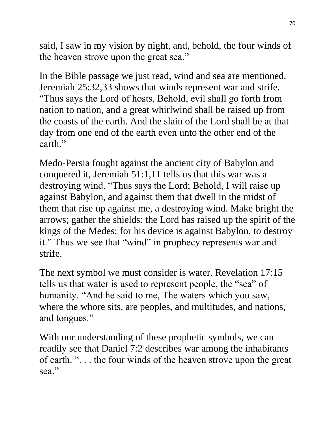said, I saw in my vision by night, and, behold, the four winds of the heaven strove upon the great sea."

In the Bible passage we just read, wind and sea are mentioned. Jeremiah 25:32,33 shows that winds represent war and strife. "Thus says the Lord of hosts, Behold, evil shall go forth from nation to nation, and a great whirlwind shall be raised up from the coasts of the earth. And the slain of the Lord shall be at that day from one end of the earth even unto the other end of the earth."

Medo-Persia fought against the ancient city of Babylon and conquered it, Jeremiah 51:1,11 tells us that this war was a destroying wind. "Thus says the Lord; Behold, I will raise up against Babylon, and against them that dwell in the midst of them that rise up against me, a destroying wind. Make bright the arrows; gather the shields: the Lord has raised up the spirit of the kings of the Medes: for his device is against Babylon, to destroy it." Thus we see that "wind" in prophecy represents war and strife.

The next symbol we must consider is water. Revelation 17:15 tells us that water is used to represent people, the "sea" of humanity. "And he said to me, The waters which you saw, where the whore sits, are peoples, and multitudes, and nations, and tongues."

With our understanding of these prophetic symbols, we can readily see that Daniel 7:2 describes war among the inhabitants of earth. ". . . the four winds of the heaven strove upon the great sea."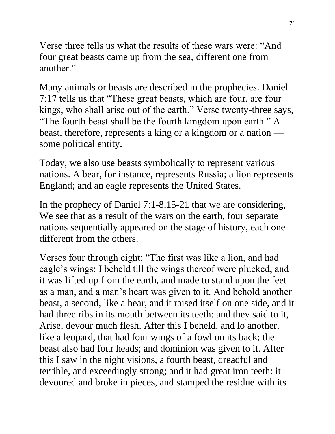Verse three tells us what the results of these wars were: "And four great beasts came up from the sea, different one from another."

Many animals or beasts are described in the prophecies. Daniel 7:17 tells us that "These great beasts, which are four, are four kings, who shall arise out of the earth." Verse twenty-three says, "The fourth beast shall be the fourth kingdom upon earth." A beast, therefore, represents a king or a kingdom or a nation some political entity.

Today, we also use beasts symbolically to represent various nations. A bear, for instance, represents Russia; a lion represents England; and an eagle represents the United States.

In the prophecy of Daniel 7:1-8,15-21 that we are considering, We see that as a result of the wars on the earth, four separate nations sequentially appeared on the stage of history, each one different from the others.

Verses four through eight: "The first was like a lion, and had eagle's wings: I beheld till the wings thereof were plucked, and it was lifted up from the earth, and made to stand upon the feet as a man, and a man's heart was given to it. And behold another beast, a second, like a bear, and it raised itself on one side, and it had three ribs in its mouth between its teeth: and they said to it, Arise, devour much flesh. After this I beheld, and lo another, like a leopard, that had four wings of a fowl on its back; the beast also had four heads; and dominion was given to it. After this I saw in the night visions, a fourth beast, dreadful and terrible, and exceedingly strong; and it had great iron teeth: it devoured and broke in pieces, and stamped the residue with its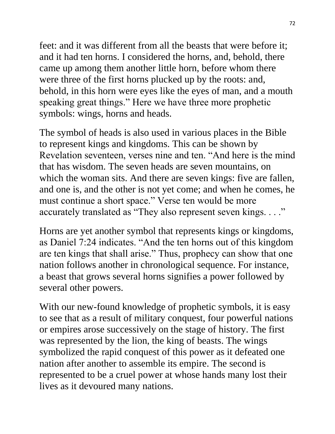feet: and it was different from all the beasts that were before it; and it had ten horns. I considered the horns, and, behold, there came up among them another little horn, before whom there were three of the first horns plucked up by the roots: and, behold, in this horn were eyes like the eyes of man, and a mouth speaking great things." Here we have three more prophetic symbols: wings, horns and heads.

The symbol of heads is also used in various places in the Bible to represent kings and kingdoms. This can be shown by Revelation seventeen, verses nine and ten. "And here is the mind that has wisdom. The seven heads are seven mountains, on which the woman sits. And there are seven kings: five are fallen, and one is, and the other is not yet come; and when he comes, he must continue a short space." Verse ten would be more accurately translated as "They also represent seven kings. . . ."

Horns are yet another symbol that represents kings or kingdoms, as Daniel 7:24 indicates. "And the ten horns out of this kingdom are ten kings that shall arise." Thus, prophecy can show that one nation follows another in chronological sequence. For instance, a beast that grows several horns signifies a power followed by several other powers.

With our new-found knowledge of prophetic symbols, it is easy to see that as a result of military conquest, four powerful nations or empires arose successively on the stage of history. The first was represented by the lion, the king of beasts. The wings symbolized the rapid conquest of this power as it defeated one nation after another to assemble its empire. The second is represented to be a cruel power at whose hands many lost their lives as it devoured many nations.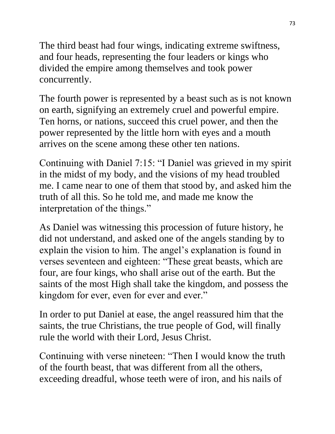The third beast had four wings, indicating extreme swiftness, and four heads, representing the four leaders or kings who divided the empire among themselves and took power concurrently.

The fourth power is represented by a beast such as is not known on earth, signifying an extremely cruel and powerful empire. Ten horns, or nations, succeed this cruel power, and then the power represented by the little horn with eyes and a mouth arrives on the scene among these other ten nations.

Continuing with Daniel 7:15: "I Daniel was grieved in my spirit in the midst of my body, and the visions of my head troubled me. I came near to one of them that stood by, and asked him the truth of all this. So he told me, and made me know the interpretation of the things."

As Daniel was witnessing this procession of future history, he did not understand, and asked one of the angels standing by to explain the vision to him. The angel's explanation is found in verses seventeen and eighteen: "These great beasts, which are four, are four kings, who shall arise out of the earth. But the saints of the most High shall take the kingdom, and possess the kingdom for ever, even for ever and ever."

In order to put Daniel at ease, the angel reassured him that the saints, the true Christians, the true people of God, will finally rule the world with their Lord, Jesus Christ.

Continuing with verse nineteen: "Then I would know the truth of the fourth beast, that was different from all the others, exceeding dreadful, whose teeth were of iron, and his nails of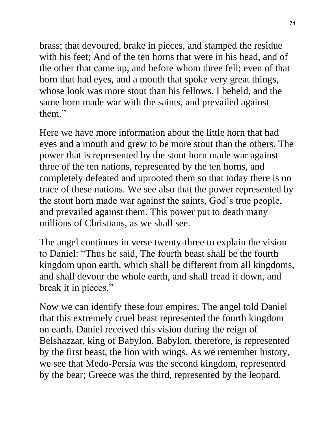brass; that devoured, brake in pieces, and stamped the residue with his feet; And of the ten horns that were in his head, and of the other that came up, and before whom three fell; even of that horn that had eyes, and a mouth that spoke very great things, whose look was more stout than his fellows. I beheld, and the same horn made war with the saints, and prevailed against them."

Here we have more information about the little horn that had eyes and a mouth and grew to be more stout than the others. The power that is represented by the stout horn made war against three of the ten nations, represented by the ten horns, and completely defeated and uprooted them so that today there is no trace of these nations. We see also that the power represented by the stout horn made war against the saints, God's true people, and prevailed against them. This power put to death many millions of Christians, as we shall see.

The angel continues in verse twenty-three to explain the vision to Daniel: "Thus he said, The fourth beast shall be the fourth kingdom upon earth, which shall be different from all kingdoms, and shall devour the whole earth, and shall tread it down, and break it in pieces."

Now we can identify these four empires. The angel told Daniel that this extremely cruel beast represented the fourth kingdom on earth. Daniel received this vision during the reign of Belshazzar, king of Babylon. Babylon, therefore, is represented by the first beast, the lion with wings. As we remember history, we see that Medo-Persia was the second kingdom, represented by the bear; Greece was the third, represented by the leopard.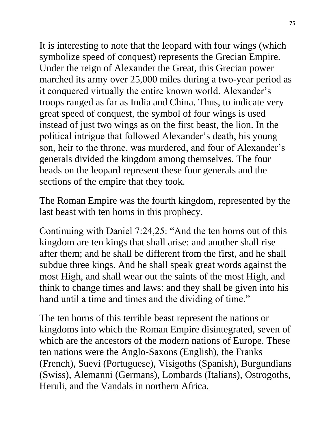It is interesting to note that the leopard with four wings (which symbolize speed of conquest) represents the Grecian Empire. Under the reign of Alexander the Great, this Grecian power marched its army over 25,000 miles during a two-year period as it conquered virtually the entire known world. Alexander's troops ranged as far as India and China. Thus, to indicate very great speed of conquest, the symbol of four wings is used instead of just two wings as on the first beast, the lion. In the political intrigue that followed Alexander's death, his young son, heir to the throne, was murdered, and four of Alexander's generals divided the kingdom among themselves. The four heads on the leopard represent these four generals and the sections of the empire that they took.

The Roman Empire was the fourth kingdom, represented by the last beast with ten horns in this prophecy.

Continuing with Daniel 7:24,25: "And the ten horns out of this kingdom are ten kings that shall arise: and another shall rise after them; and he shall be different from the first, and he shall subdue three kings. And he shall speak great words against the most High, and shall wear out the saints of the most High, and think to change times and laws: and they shall be given into his hand until a time and times and the dividing of time."

The ten horns of this terrible beast represent the nations or kingdoms into which the Roman Empire disintegrated, seven of which are the ancestors of the modern nations of Europe. These ten nations were the Anglo-Saxons (English), the Franks (French), Suevi (Portuguese), Visigoths (Spanish), Burgundians (Swiss), Alemanni (Germans), Lombards (Italians), Ostrogoths, Heruli, and the Vandals in northern Africa.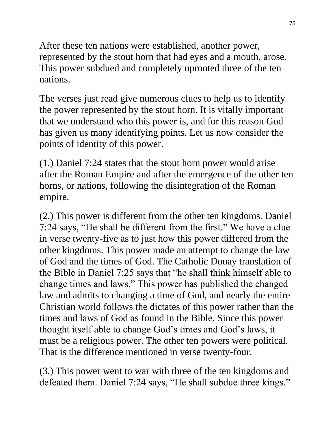After these ten nations were established, another power, represented by the stout horn that had eyes and a mouth, arose. This power subdued and completely uprooted three of the ten nations.

The verses just read give numerous clues to help us to identify the power represented by the stout horn. It is vitally important that we understand who this power is, and for this reason God has given us many identifying points. Let us now consider the points of identity of this power.

(1.) Daniel 7:24 states that the stout horn power would arise after the Roman Empire and after the emergence of the other ten horns, or nations, following the disintegration of the Roman empire.

(2.) This power is different from the other ten kingdoms. Daniel 7:24 says, "He shall be different from the first." We have a clue in verse twenty-five as to just how this power differed from the other kingdoms. This power made an attempt to change the law of God and the times of God. The Catholic Douay translation of the Bible in Daniel 7:25 says that "he shall think himself able to change times and laws." This power has published the changed law and admits to changing a time of God, and nearly the entire Christian world follows the dictates of this power rather than the times and laws of God as found in the Bible. Since this power thought itself able to change God's times and God's laws, it must be a religious power. The other ten powers were political. That is the difference mentioned in verse twenty-four.

(3.) This power went to war with three of the ten kingdoms and defeated them. Daniel 7:24 says, "He shall subdue three kings."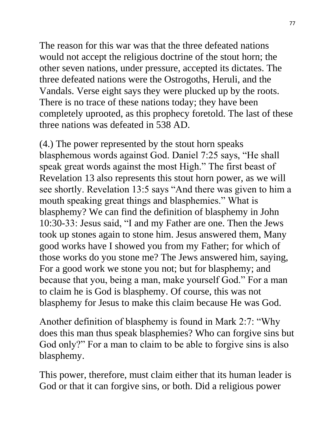The reason for this war was that the three defeated nations would not accept the religious doctrine of the stout horn; the other seven nations, under pressure, accepted its dictates. The three defeated nations were the Ostrogoths, Heruli, and the Vandals. Verse eight says they were plucked up by the roots. There is no trace of these nations today; they have been completely uprooted, as this prophecy foretold. The last of these three nations was defeated in 538 AD.

(4.) The power represented by the stout horn speaks blasphemous words against God. Daniel 7:25 says, "He shall speak great words against the most High." The first beast of Revelation 13 also represents this stout horn power, as we will see shortly. Revelation 13:5 says "And there was given to him a mouth speaking great things and blasphemies." What is blasphemy? We can find the definition of blasphemy in John 10:30-33: Jesus said, "I and my Father are one. Then the Jews took up stones again to stone him. Jesus answered them, Many good works have I showed you from my Father; for which of those works do you stone me? The Jews answered him, saying, For a good work we stone you not; but for blasphemy; and because that you, being a man, make yourself God." For a man to claim he is God is blasphemy. Of course, this was not blasphemy for Jesus to make this claim because He was God.

Another definition of blasphemy is found in Mark 2:7: "Why does this man thus speak blasphemies? Who can forgive sins but God only?" For a man to claim to be able to forgive sins is also blasphemy.

This power, therefore, must claim either that its human leader is God or that it can forgive sins, or both. Did a religious power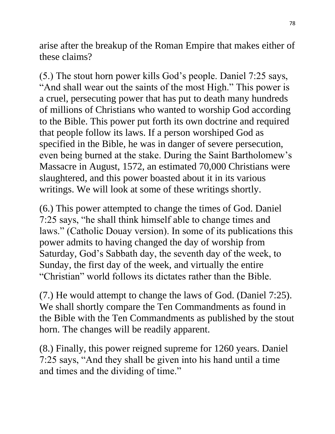arise after the breakup of the Roman Empire that makes either of these claims?

(5.) The stout horn power kills God's people. Daniel 7:25 says, "And shall wear out the saints of the most High." This power is a cruel, persecuting power that has put to death many hundreds of millions of Christians who wanted to worship God according to the Bible. This power put forth its own doctrine and required that people follow its laws. If a person worshiped God as specified in the Bible, he was in danger of severe persecution, even being burned at the stake. During the Saint Bartholomew's Massacre in August, 1572, an estimated 70,000 Christians were slaughtered, and this power boasted about it in its various writings. We will look at some of these writings shortly.

(6.) This power attempted to change the times of God. Daniel 7:25 says, "he shall think himself able to change times and laws." (Catholic Douay version). In some of its publications this power admits to having changed the day of worship from Saturday, God's Sabbath day, the seventh day of the week, to Sunday, the first day of the week, and virtually the entire "Christian" world follows its dictates rather than the Bible.

(7.) He would attempt to change the laws of God. (Daniel 7:25). We shall shortly compare the Ten Commandments as found in the Bible with the Ten Commandments as published by the stout horn. The changes will be readily apparent.

(8.) Finally, this power reigned supreme for 1260 years. Daniel 7:25 says, "And they shall be given into his hand until a time and times and the dividing of time."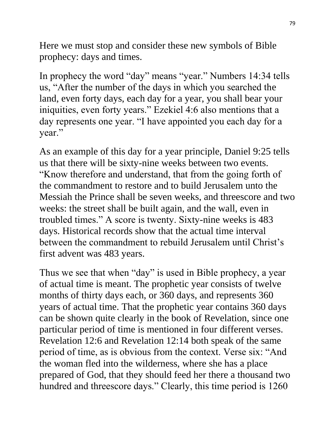Here we must stop and consider these new symbols of Bible prophecy: days and times.

In prophecy the word "day" means "year." Numbers 14:34 tells us, "After the number of the days in which you searched the land, even forty days, each day for a year, you shall bear your iniquities, even forty years." Ezekiel 4:6 also mentions that a day represents one year. "I have appointed you each day for a year."

As an example of this day for a year principle, Daniel 9:25 tells us that there will be sixty-nine weeks between two events. "Know therefore and understand, that from the going forth of the commandment to restore and to build Jerusalem unto the Messiah the Prince shall be seven weeks, and threescore and two weeks: the street shall be built again, and the wall, even in troubled times." A score is twenty. Sixty-nine weeks is 483 days. Historical records show that the actual time interval between the commandment to rebuild Jerusalem until Christ's first advent was 483 years.

Thus we see that when "day" is used in Bible prophecy, a year of actual time is meant. The prophetic year consists of twelve months of thirty days each, or 360 days, and represents 360 years of actual time. That the prophetic year contains 360 days can be shown quite clearly in the book of Revelation, since one particular period of time is mentioned in four different verses. Revelation 12:6 and Revelation 12:14 both speak of the same period of time, as is obvious from the context. Verse six: "And the woman fled into the wilderness, where she has a place prepared of God, that they should feed her there a thousand two hundred and threescore days." Clearly, this time period is 1260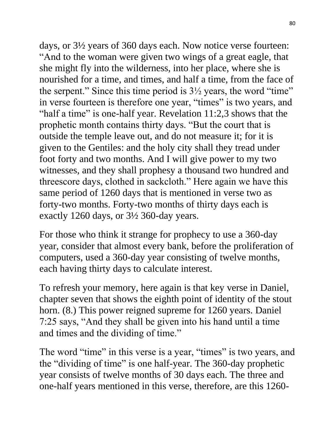days, or 3½ years of 360 days each. Now notice verse fourteen: "And to the woman were given two wings of a great eagle, that she might fly into the wilderness, into her place, where she is nourished for a time, and times, and half a time, from the face of the serpent." Since this time period is  $3\frac{1}{2}$  years, the word "time" in verse fourteen is therefore one year, "times" is two years, and "half a time" is one-half year. Revelation 11:2,3 shows that the prophetic month contains thirty days. "But the court that is outside the temple leave out, and do not measure it; for it is given to the Gentiles: and the holy city shall they tread under foot forty and two months. And I will give power to my two witnesses, and they shall prophesy a thousand two hundred and threescore days, clothed in sackcloth." Here again we have this same period of 1260 days that is mentioned in verse two as forty-two months. Forty-two months of thirty days each is exactly 1260 days, or 3½ 360-day years.

For those who think it strange for prophecy to use a 360-day year, consider that almost every bank, before the proliferation of computers, used a 360-day year consisting of twelve months, each having thirty days to calculate interest.

To refresh your memory, here again is that key verse in Daniel, chapter seven that shows the eighth point of identity of the stout horn. (8.) This power reigned supreme for 1260 years. Daniel 7:25 says, "And they shall be given into his hand until a time and times and the dividing of time."

The word "time" in this verse is a year, "times" is two years, and the "dividing of time" is one half-year. The 360-day prophetic year consists of twelve months of 30 days each. The three and one-half years mentioned in this verse, therefore, are this 1260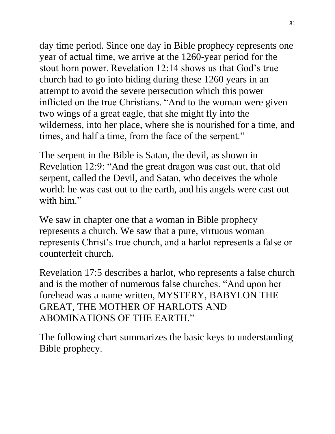day time period. Since one day in Bible prophecy represents one year of actual time, we arrive at the 1260-year period for the stout horn power. Revelation 12:14 shows us that God's true church had to go into hiding during these 1260 years in an attempt to avoid the severe persecution which this power inflicted on the true Christians. "And to the woman were given two wings of a great eagle, that she might fly into the wilderness, into her place, where she is nourished for a time, and times, and half a time, from the face of the serpent."

The serpent in the Bible is Satan, the devil, as shown in Revelation 12:9: "And the great dragon was cast out, that old serpent, called the Devil, and Satan, who deceives the whole world: he was cast out to the earth, and his angels were cast out with him"

We saw in chapter one that a woman in Bible prophecy represents a church. We saw that a pure, virtuous woman represents Christ's true church, and a harlot represents a false or counterfeit church.

Revelation 17:5 describes a harlot, who represents a false church and is the mother of numerous false churches. "And upon her forehead was a name written, MYSTERY, BABYLON THE GREAT, THE MOTHER OF HARLOTS AND ABOMINATIONS OF THE EARTH."

The following chart summarizes the basic keys to understanding Bible prophecy.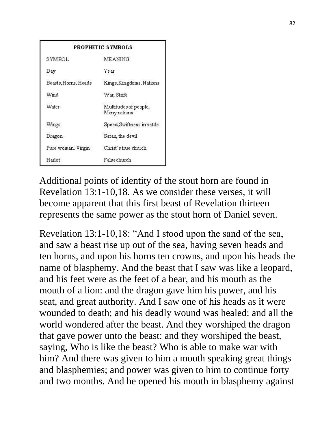|                      | PROPHETIC SYMBOLS                     |  |
|----------------------|---------------------------------------|--|
| SYMBOL.              | <b>MEANING</b>                        |  |
| Day                  | Year                                  |  |
| Beasts, Horns, Heads | Kings, Kingdoms, Nations              |  |
| Wind                 | War, Strife                           |  |
| Water                | Multitudes of people,<br>Many nations |  |
| Wings                | Speed, Swiftness inbattle             |  |
| Dragon               | Satan, the devil                      |  |
| Pure woman, Virgin   | Christ's true church                  |  |
| Harlot.              | False church                          |  |

Additional points of identity of the stout horn are found in Revelation 13:1-10,18. As we consider these verses, it will become apparent that this first beast of Revelation thirteen represents the same power as the stout horn of Daniel seven.

Revelation 13:1-10,18: "And I stood upon the sand of the sea, and saw a beast rise up out of the sea, having seven heads and ten horns, and upon his horns ten crowns, and upon his heads the name of blasphemy. And the beast that I saw was like a leopard, and his feet were as the feet of a bear, and his mouth as the mouth of a lion: and the dragon gave him his power, and his seat, and great authority. And I saw one of his heads as it were wounded to death; and his deadly wound was healed: and all the world wondered after the beast. And they worshiped the dragon that gave power unto the beast: and they worshiped the beast, saying, Who is like the beast? Who is able to make war with him? And there was given to him a mouth speaking great things and blasphemies; and power was given to him to continue forty and two months. And he opened his mouth in blasphemy against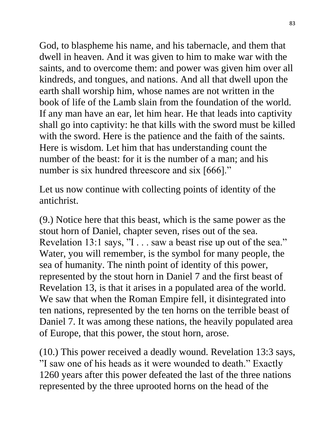God, to blaspheme his name, and his tabernacle, and them that dwell in heaven. And it was given to him to make war with the saints, and to overcome them: and power was given him over all kindreds, and tongues, and nations. And all that dwell upon the earth shall worship him, whose names are not written in the book of life of the Lamb slain from the foundation of the world. If any man have an ear, let him hear. He that leads into captivity shall go into captivity: he that kills with the sword must be killed with the sword. Here is the patience and the faith of the saints. Here is wisdom. Let him that has understanding count the number of the beast: for it is the number of a man; and his number is six hundred threescore and six [666]."

Let us now continue with collecting points of identity of the antichrist.

(9.) Notice here that this beast, which is the same power as the stout horn of Daniel, chapter seven, rises out of the sea. Revelation 13:1 says, "I . . . saw a beast rise up out of the sea." Water, you will remember, is the symbol for many people, the sea of humanity. The ninth point of identity of this power, represented by the stout horn in Daniel 7 and the first beast of Revelation 13, is that it arises in a populated area of the world. We saw that when the Roman Empire fell, it disintegrated into ten nations, represented by the ten horns on the terrible beast of Daniel 7. It was among these nations, the heavily populated area of Europe, that this power, the stout horn, arose.

(10.) This power received a deadly wound. Revelation 13:3 says, "I saw one of his heads as it were wounded to death." Exactly 1260 years after this power defeated the last of the three nations represented by the three uprooted horns on the head of the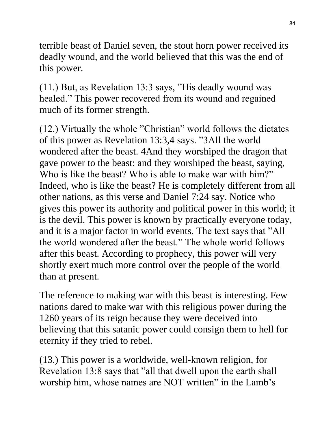terrible beast of Daniel seven, the stout horn power received its deadly wound, and the world believed that this was the end of this power.

(11.) But, as Revelation 13:3 says, "His deadly wound was healed." This power recovered from its wound and regained much of its former strength.

(12.) Virtually the whole "Christian" world follows the dictates of this power as Revelation 13:3,4 says. "3All the world wondered after the beast. 4And they worshiped the dragon that gave power to the beast: and they worshiped the beast, saying, Who is like the beast? Who is able to make war with him?" Indeed, who is like the beast? He is completely different from all other nations, as this verse and Daniel 7:24 say. Notice who gives this power its authority and political power in this world; it is the devil. This power is known by practically everyone today, and it is a major factor in world events. The text says that "All the world wondered after the beast." The whole world follows after this beast. According to prophecy, this power will very shortly exert much more control over the people of the world than at present.

The reference to making war with this beast is interesting. Few nations dared to make war with this religious power during the 1260 years of its reign because they were deceived into believing that this satanic power could consign them to hell for eternity if they tried to rebel.

(13.) This power is a worldwide, well-known religion, for Revelation 13:8 says that "all that dwell upon the earth shall worship him, whose names are NOT written" in the Lamb's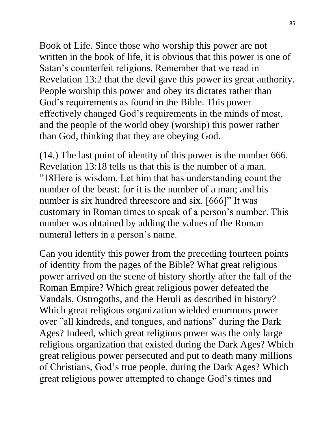Book of Life. Since those who worship this power are not written in the book of life, it is obvious that this power is one of Satan's counterfeit religions. Remember that we read in Revelation 13:2 that the devil gave this power its great authority. People worship this power and obey its dictates rather than God's requirements as found in the Bible. This power effectively changed God's requirements in the minds of most, and the people of the world obey (worship) this power rather than God, thinking that they are obeying God.

(14.) The last point of identity of this power is the number 666. Revelation 13:18 tells us that this is the number of a man. "18Here is wisdom. Let him that has understanding count the number of the beast: for it is the number of a man; and his number is six hundred threescore and six. [666]" It was customary in Roman times to speak of a person's number. This number was obtained by adding the values of the Roman numeral letters in a person's name.

Can you identify this power from the preceding fourteen points of identity from the pages of the Bible? What great religious power arrived on the scene of history shortly after the fall of the Roman Empire? Which great religious power defeated the Vandals, Ostrogoths, and the Heruli as described in history? Which great religious organization wielded enormous power over "all kindreds, and tongues, and nations" during the Dark Ages? Indeed, which great religious power was the only large religious organization that existed during the Dark Ages? Which great religious power persecuted and put to death many millions of Christians, God's true people, during the Dark Ages? Which great religious power attempted to change God's times and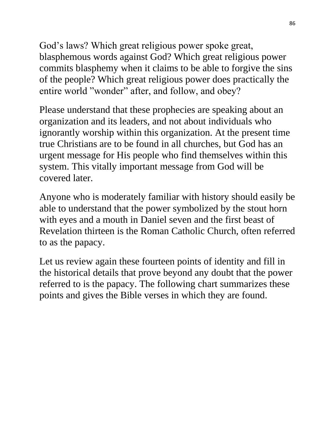God's laws? Which great religious power spoke great, blasphemous words against God? Which great religious power commits blasphemy when it claims to be able to forgive the sins of the people? Which great religious power does practically the entire world "wonder" after, and follow, and obey?

Please understand that these prophecies are speaking about an organization and its leaders, and not about individuals who ignorantly worship within this organization. At the present time true Christians are to be found in all churches, but God has an urgent message for His people who find themselves within this system. This vitally important message from God will be covered later.

Anyone who is moderately familiar with history should easily be able to understand that the power symbolized by the stout horn with eyes and a mouth in Daniel seven and the first beast of Revelation thirteen is the Roman Catholic Church, often referred to as the papacy.

Let us review again these fourteen points of identity and fill in the historical details that prove beyond any doubt that the power referred to is the papacy. The following chart summarizes these points and gives the Bible verses in which they are found.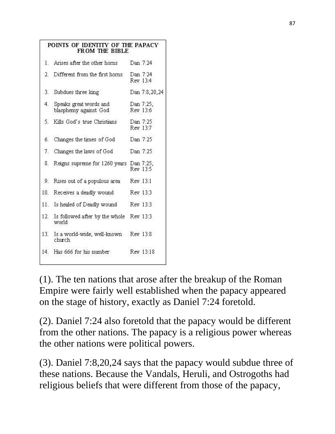|     | POINTS OF IDENTITY OF THE PAPACY<br>FROM THE BIBLE |          |                       |
|-----|----------------------------------------------------|----------|-----------------------|
| 1   | Arises after the other horns                       | Dan 7:24 |                       |
| 2.  | Different from the first horns                     |          | Dan 7:24<br>Rev 13:4  |
| 3.  | Subdues three king                                 |          | Dan 7:8,20,24         |
| 4.  | Speaks great words and<br>blasphemy against God    |          | Dan 7:25,<br>Rev 13:6 |
| 5.  | Kills God's true Christians                        |          | Dan 7:25<br>Rev 13:7  |
| б.  | Changes the times of God                           | Dan 7:25 |                       |
| 7.  | Changes the laws of God                            |          | Dan 7:25              |
| 8.  | Reigns supreme for 1260 years Dan 7:25,            |          | Rev 13:5              |
| 9.  | Rises out of a populous area                       | Rev 13:1 |                       |
| 10. | Receives a deadly wound                            |          | Rev 13:3              |
| 11. | Is healed of Deadly wound                          |          | Rev 13:3              |
| 12. | Is followed after by the whole<br>world            | Rev 13:3 |                       |
| 13. | Is a world-wide, well-known Rev 13:8<br>church     |          |                       |
| 14. | Has 666 for his number                             |          | Rev 13:18             |

(1). The ten nations that arose after the breakup of the Roman Empire were fairly well established when the papacy appeared on the stage of history, exactly as Daniel 7:24 foretold.

(2). Daniel 7:24 also foretold that the papacy would be different from the other nations. The papacy is a religious power whereas the other nations were political powers.

(3). Daniel 7:8,20,24 says that the papacy would subdue three of these nations. Because the Vandals, Heruli, and Ostrogoths had religious beliefs that were different from those of the papacy,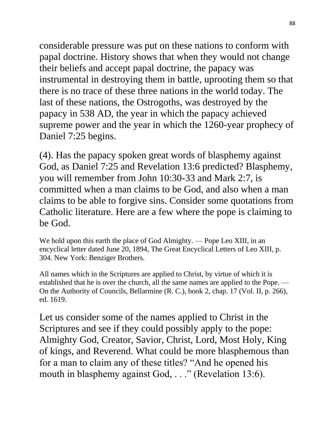considerable pressure was put on these nations to conform with papal doctrine. History shows that when they would not change their beliefs and accept papal doctrine, the papacy was instrumental in destroying them in battle, uprooting them so that there is no trace of these three nations in the world today. The last of these nations, the Ostrogoths, was destroyed by the papacy in 538 AD, the year in which the papacy achieved supreme power and the year in which the 1260-year prophecy of Daniel 7:25 begins.

(4). Has the papacy spoken great words of blasphemy against God, as Daniel 7:25 and Revelation 13:6 predicted? Blasphemy, you will remember from John 10:30-33 and Mark 2:7, is committed when a man claims to be God, and also when a man claims to be able to forgive sins. Consider some quotations from Catholic literature. Here are a few where the pope is claiming to be God.

We hold upon this earth the place of God Almighty. — Pope Leo XIII, in an encyclical letter dated June 20, 1894, The Great Encyclical Letters of Leo XIII, p. 304. New York: Benziger Brothers.

All names which in the Scriptures are applied to Christ, by virtue of which it is established that he is over the church, all the same names are applied to the Pope. -On the Authority of Councils, Bellarmine (R. C.), book 2, chap. 17 (Vol. II, p. 266), ed. 1619.

Let us consider some of the names applied to Christ in the Scriptures and see if they could possibly apply to the pope: Almighty God, Creator, Savior, Christ, Lord, Most Holy, King of kings, and Reverend. What could be more blasphemous than for a man to claim any of these titles? "And he opened his mouth in blasphemy against God, . . ." (Revelation 13:6).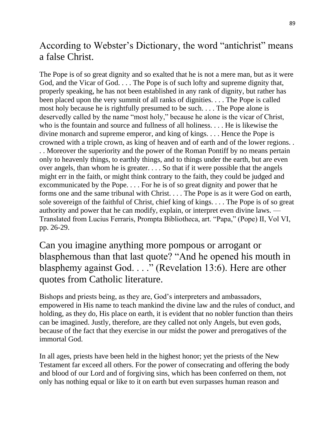#### According to Webster's Dictionary, the word "antichrist" means a false Christ.

The Pope is of so great dignity and so exalted that he is not a mere man, but as it were God, and the Vicar of God. . . . The Pope is of such lofty and supreme dignity that, properly speaking, he has not been established in any rank of dignity, but rather has been placed upon the very summit of all ranks of dignities. . . . The Pope is called most holy because he is rightfully presumed to be such. . . . The Pope alone is deservedly called by the name "most holy," because he alone is the vicar of Christ, who is the fountain and source and fullness of all holiness. . . . He is likewise the divine monarch and supreme emperor, and king of kings. . . . Hence the Pope is crowned with a triple crown, as king of heaven and of earth and of the lower regions. . . . Moreover the superiority and the power of the Roman Pontiff by no means pertain only to heavenly things, to earthly things, and to things under the earth, but are even over angels, than whom he is greater. . . . So that if it were possible that the angels might err in the faith, or might think contrary to the faith, they could be judged and excommunicated by the Pope. . . . For he is of so great dignity and power that he forms one and the same tribunal with Christ. . . . The Pope is as it were God on earth, sole sovereign of the faithful of Christ, chief king of kings. . . . The Pope is of so great authority and power that he can modify, explain, or interpret even divine laws. — Translated from Lucius Ferraris, Prompta Bibliotheca, art. "Papa," (Pope) II, Vol VI, pp. 26-29.

Can you imagine anything more pompous or arrogant or blasphemous than that last quote? "And he opened his mouth in blasphemy against God. . . ." (Revelation 13:6). Here are other quotes from Catholic literature.

Bishops and priests being, as they are, God's interpreters and ambassadors, empowered in His name to teach mankind the divine law and the rules of conduct, and holding, as they do, His place on earth, it is evident that no nobler function than theirs can be imagined. Justly, therefore, are they called not only Angels, but even gods, because of the fact that they exercise in our midst the power and prerogatives of the immortal God.

In all ages, priests have been held in the highest honor; yet the priests of the New Testament far exceed all others. For the power of consecrating and offering the body and blood of our Lord and of forgiving sins, which has been conferred on them, not only has nothing equal or like to it on earth but even surpasses human reason and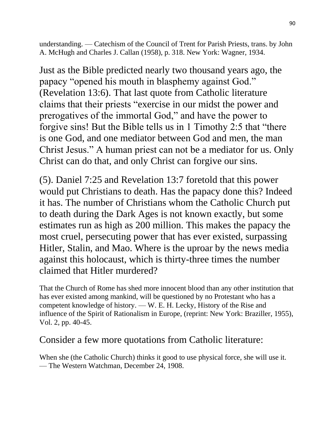understanding. — Catechism of the Council of Trent for Parish Priests, trans. by John A. McHugh and Charles J. Callan (1958), p. 318. New York: Wagner, 1934.

Just as the Bible predicted nearly two thousand years ago, the papacy "opened his mouth in blasphemy against God." (Revelation 13:6). That last quote from Catholic literature claims that their priests "exercise in our midst the power and prerogatives of the immortal God," and have the power to forgive sins! But the Bible tells us in 1 Timothy 2:5 that "there is one God, and one mediator between God and men, the man Christ Jesus." A human priest can not be a mediator for us. Only Christ can do that, and only Christ can forgive our sins.

(5). Daniel 7:25 and Revelation 13:7 foretold that this power would put Christians to death. Has the papacy done this? Indeed it has. The number of Christians whom the Catholic Church put to death during the Dark Ages is not known exactly, but some estimates run as high as 200 million. This makes the papacy the most cruel, persecuting power that has ever existed, surpassing Hitler, Stalin, and Mao. Where is the uproar by the news media against this holocaust, which is thirty-three times the number claimed that Hitler murdered?

That the Church of Rome has shed more innocent blood than any other institution that has ever existed among mankind, will be questioned by no Protestant who has a competent knowledge of history. — W. E. H. Lecky, History of the Rise and influence of the Spirit of Rationalism in Europe, (reprint: New York: Braziller, 1955), Vol. 2, pp. 40-45.

#### Consider a few more quotations from Catholic literature:

When she (the Catholic Church) thinks it good to use physical force, she will use it. — The Western Watchman, December 24, 1908.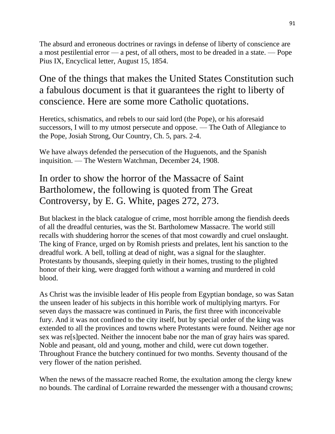The absurd and erroneous doctrines or ravings in defense of liberty of conscience are a most pestilential error — a pest, of all others, most to be dreaded in a state. — Pope Pius IX, Encyclical letter, August 15, 1854.

## One of the things that makes the United States Constitution such a fabulous document is that it guarantees the right to liberty of conscience. Here are some more Catholic quotations.

Heretics, schismatics, and rebels to our said lord (the Pope), or his aforesaid successors, I will to my utmost persecute and oppose. — The Oath of Allegiance to the Pope, Josiah Strong, Our Country, Ch. 5, pars. 2-4.

We have always defended the persecution of the Huguenots, and the Spanish inquisition. — The Western Watchman, December 24, 1908.

## In order to show the horror of the Massacre of Saint Bartholomew, the following is quoted from The Great Controversy, by E. G. White, pages 272, 273.

But blackest in the black catalogue of crime, most horrible among the fiendish deeds of all the dreadful centuries, was the St. Bartholomew Massacre. The world still recalls with shuddering horror the scenes of that most cowardly and cruel onslaught. The king of France, urged on by Romish priests and prelates, lent his sanction to the dreadful work. A bell, tolling at dead of night, was a signal for the slaughter. Protestants by thousands, sleeping quietly in their homes, trusting to the plighted honor of their king, were dragged forth without a warning and murdered in cold blood.

As Christ was the invisible leader of His people from Egyptian bondage, so was Satan the unseen leader of his subjects in this horrible work of multiplying martyrs. For seven days the massacre was continued in Paris, the first three with inconceivable fury. And it was not confined to the city itself, but by special order of the king was extended to all the provinces and towns where Protestants were found. Neither age nor sex was re[s]pected. Neither the innocent babe nor the man of gray hairs was spared. Noble and peasant, old and young, mother and child, were cut down together. Throughout France the butchery continued for two months. Seventy thousand of the very flower of the nation perished.

When the news of the massacre reached Rome, the exultation among the clergy knew no bounds. The cardinal of Lorraine rewarded the messenger with a thousand crowns;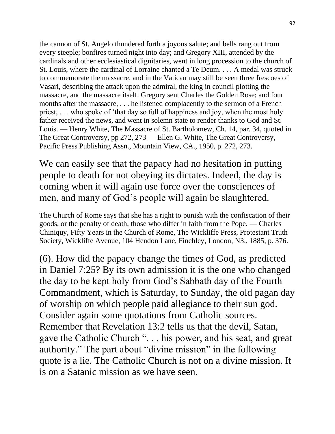the cannon of St. Angelo thundered forth a joyous salute; and bells rang out from every steeple; bonfires turned night into day; and Gregory XIII, attended by the cardinals and other ecclesiastical dignitaries, went in long procession to the church of St. Louis, where the cardinal of Lorraine chanted a Te Deum. . . . A medal was struck to commemorate the massacre, and in the Vatican may still be seen three frescoes of Vasari, describing the attack upon the admiral, the king in council plotting the massacre, and the massacre itself. Gregory sent Charles the Golden Rose; and four months after the massacre, . . . he listened complacently to the sermon of a French priest, . . . who spoke of 'that day so full of happiness and joy, when the most holy father received the news, and went in solemn state to render thanks to God and St. Louis. — Henry White, The Massacre of St. Bartholomew, Ch. 14, par. 34, quoted in The Great Controversy, pp 272, 273 — Ellen G. White, The Great Controversy, Pacific Press Publishing Assn., Mountain View, CA., 1950, p. 272, 273.

We can easily see that the papacy had no hesitation in putting people to death for not obeying its dictates. Indeed, the day is coming when it will again use force over the consciences of men, and many of God's people will again be slaughtered.

The Church of Rome says that she has a right to punish with the confiscation of their goods, or the penalty of death, those who differ in faith from the Pope. — Charles Chiniquy, Fifty Years in the Church of Rome, The Wickliffe Press, Protestant Truth Society, Wickliffe Avenue, 104 Hendon Lane, Finchley, London, N3., 1885, p. 376.

(6). How did the papacy change the times of God, as predicted in Daniel 7:25? By its own admission it is the one who changed the day to be kept holy from God's Sabbath day of the Fourth Commandment, which is Saturday, to Sunday, the old pagan day of worship on which people paid allegiance to their sun god. Consider again some quotations from Catholic sources. Remember that Revelation 13:2 tells us that the devil, Satan, gave the Catholic Church ". . . his power, and his seat, and great authority." The part about "divine mission" in the following quote is a lie. The Catholic Church is not on a divine mission. It is on a Satanic mission as we have seen.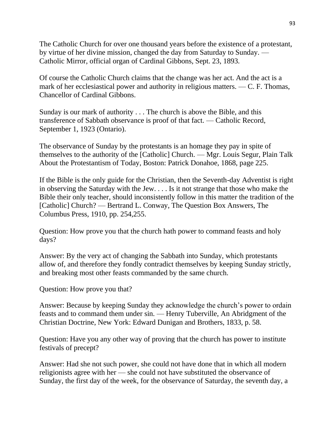The Catholic Church for over one thousand years before the existence of a protestant, by virtue of her divine mission, changed the day from Saturday to Sunday. — Catholic Mirror, official organ of Cardinal Gibbons, Sept. 23, 1893.

Of course the Catholic Church claims that the change was her act. And the act is a mark of her ecclesiastical power and authority in religious matters. — C. F. Thomas, Chancellor of Cardinal Gibbons.

Sunday is our mark of authority . . . The church is above the Bible, and this transference of Sabbath observance is proof of that fact. — Catholic Record, September 1, 1923 (Ontario).

The observance of Sunday by the protestants is an homage they pay in spite of themselves to the authority of the [Catholic] Church. — Mgr. Louis Segur, Plain Talk About the Protestantism of Today, Boston: Patrick Donahoe, 1868, page 225.

If the Bible is the only guide for the Christian, then the Seventh-day Adventist is right in observing the Saturday with the Jew. . . . Is it not strange that those who make the Bible their only teacher, should inconsistently follow in this matter the tradition of the [Catholic] Church? — Bertrand L. Conway, The Question Box Answers, The Columbus Press, 1910, pp. 254,255.

Question: How prove you that the church hath power to command feasts and holy days?

Answer: By the very act of changing the Sabbath into Sunday, which protestants allow of, and therefore they fondly contradict themselves by keeping Sunday strictly, and breaking most other feasts commanded by the same church.

Question: How prove you that?

Answer: Because by keeping Sunday they acknowledge the church's power to ordain feasts and to command them under sin. — Henry Tuberville, An Abridgment of the Christian Doctrine, New York: Edward Dunigan and Brothers, 1833, p. 58.

Question: Have you any other way of proving that the church has power to institute festivals of precept?

Answer: Had she not such power, she could not have done that in which all modern religionists agree with her — she could not have substituted the observance of Sunday, the first day of the week, for the observance of Saturday, the seventh day, a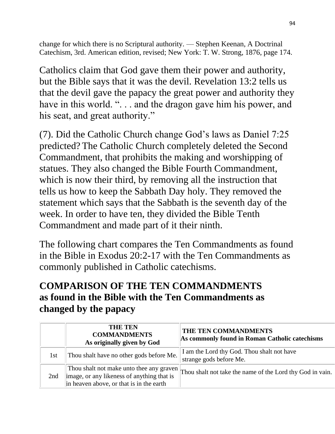change for which there is no Scriptural authority. — Stephen Keenan, A Doctrinal Catechism, 3rd. American edition, revised; New York: T. W. Strong, 1876, page 174.

Catholics claim that God gave them their power and authority, but the Bible says that it was the devil. Revelation 13:2 tells us that the devil gave the papacy the great power and authority they have in this world. ". . . and the dragon gave him his power, and his seat, and great authority."

(7). Did the Catholic Church change God's laws as Daniel 7:25 predicted? The Catholic Church completely deleted the Second Commandment, that prohibits the making and worshipping of statues. They also changed the Bible Fourth Commandment, which is now their third, by removing all the instruction that tells us how to keep the Sabbath Day holy. They removed the statement which says that the Sabbath is the seventh day of the week. In order to have ten, they divided the Bible Tenth Commandment and made part of it their ninth.

The following chart compares the Ten Commandments as found in the Bible in Exodus 20:2-17 with the Ten Commandments as commonly published in Catholic catechisms.

# **COMPARISON OF THE TEN COMMANDMENTS as found in the Bible with the Ten Commandments as changed by the papacy**

|     | <b>THE TEN</b><br><b>COMMANDMENTS</b><br>As originally given by God                                                                | THE TEN COMMANDMENTS<br>As commonly found in Roman Catholic catechisms |
|-----|------------------------------------------------------------------------------------------------------------------------------------|------------------------------------------------------------------------|
| 1st | Thou shalt have no other gods before Me.                                                                                           | I am the Lord thy God. Thou shalt not have<br>strange gods before Me.  |
| 2nd | Thou shalt not make unto thee any graven<br>image, or any likeness of anything that is<br>in heaven above, or that is in the earth | Thou shalt not take the name of the Lord thy God in vain.              |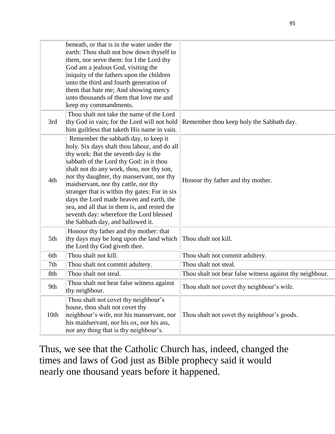|      | beneath, or that is in the water under the<br>earth: Thou shalt not bow down thyself to<br>them, nor serve them: for I the Lord thy<br>God am a jealous God, visiting the<br>iniquity of the fathers upon the children<br>unto the third and fourth generation of<br>them that hate me; And showing mercy<br>unto thousands of them that love me and<br>keep my commandments.                                                                                                                                                          |                                                          |
|------|----------------------------------------------------------------------------------------------------------------------------------------------------------------------------------------------------------------------------------------------------------------------------------------------------------------------------------------------------------------------------------------------------------------------------------------------------------------------------------------------------------------------------------------|----------------------------------------------------------|
| 3rd  | Thou shalt not take the name of the Lord<br>thy God in vain; for the Lord will not hold<br>him guiltless that taketh His name in vain.                                                                                                                                                                                                                                                                                                                                                                                                 | Remember thou keep holy the Sabbath day.                 |
| 4th  | Remember the sabbath day, to keep it<br>holy. Six days shalt thou labour, and do all<br>thy work: But the seventh day is the<br>sabbath of the Lord thy God: in it thou<br>shalt not do any work, thou, nor thy son,<br>nor thy daughter, thy manservant, nor thy<br>maidservant, nor thy cattle, nor thy<br>stranger that is within thy gates: For in six<br>days the Lord made heaven and earth, the<br>sea, and all that in them is, and rested the<br>seventh day: wherefore the Lord blessed<br>the Sabbath day, and hallowed it. | Honour thy father and thy mother.                        |
| 5th  | Honour thy father and thy mother: that<br>thy days may be long upon the land which<br>the Lord thy God giveth thee.                                                                                                                                                                                                                                                                                                                                                                                                                    | Thou shalt not kill.                                     |
| 6th  | Thou shalt not kill.                                                                                                                                                                                                                                                                                                                                                                                                                                                                                                                   | Thou shalt not commit adultery.                          |
| 7th  | Thou shalt not commit adultery.                                                                                                                                                                                                                                                                                                                                                                                                                                                                                                        | Thou shalt not steal.                                    |
| 8th  | Thou shalt not steal.                                                                                                                                                                                                                                                                                                                                                                                                                                                                                                                  | Thou shalt not bear false witness against thy neighbour. |
| 9th  | Thou shalt not bear false witness against<br>thy neighbour.                                                                                                                                                                                                                                                                                                                                                                                                                                                                            | Thou shalt not covet thy neighbour's wife.               |
| 10th | Thou shalt not covet thy neighbour's<br>house, thou shalt not covet thy<br>neighbour's wife, nor his manservant, nor<br>his maidservant, nor his ox, nor his ass,<br>nor any thing that is thy neighbour's.                                                                                                                                                                                                                                                                                                                            | Thou shalt not covet thy neighbour's goods.              |

Thus, we see that the Catholic Church has, indeed, changed the times and laws of God just as Bible prophecy said it would nearly one thousand years before it happened.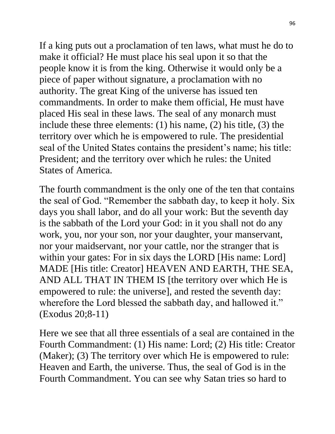If a king puts out a proclamation of ten laws, what must he do to make it official? He must place his seal upon it so that the people know it is from the king. Otherwise it would only be a piece of paper without signature, a proclamation with no authority. The great King of the universe has issued ten commandments. In order to make them official, He must have placed His seal in these laws. The seal of any monarch must include these three elements: (1) his name, (2) his title, (3) the territory over which he is empowered to rule. The presidential seal of the United States contains the president's name; his title: President; and the territory over which he rules: the United States of America.

The fourth commandment is the only one of the ten that contains the seal of God. "Remember the sabbath day, to keep it holy. Six days you shall labor, and do all your work: But the seventh day is the sabbath of the Lord your God: in it you shall not do any work, you, nor your son, nor your daughter, your manservant, nor your maidservant, nor your cattle, nor the stranger that is within your gates: For in six days the LORD [His name: Lord] MADE [His title: Creator] HEAVEN AND EARTH, THE SEA, AND ALL THAT IN THEM IS [the territory over which He is empowered to rule: the universe], and rested the seventh day: wherefore the Lord blessed the sabbath day, and hallowed it." (Exodus 20;8-11)

Here we see that all three essentials of a seal are contained in the Fourth Commandment: (1) His name: Lord; (2) His title: Creator (Maker); (3) The territory over which He is empowered to rule: Heaven and Earth, the universe. Thus, the seal of God is in the Fourth Commandment. You can see why Satan tries so hard to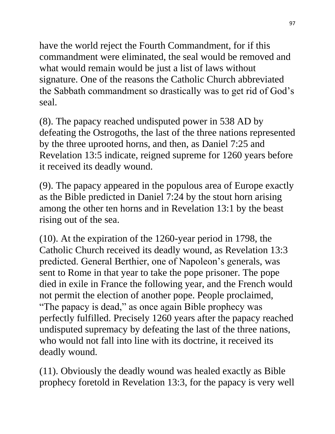have the world reject the Fourth Commandment, for if this commandment were eliminated, the seal would be removed and what would remain would be just a list of laws without signature. One of the reasons the Catholic Church abbreviated the Sabbath commandment so drastically was to get rid of God's seal.

(8). The papacy reached undisputed power in 538 AD by defeating the Ostrogoths, the last of the three nations represented by the three uprooted horns, and then, as Daniel 7:25 and Revelation 13:5 indicate, reigned supreme for 1260 years before it received its deadly wound.

(9). The papacy appeared in the populous area of Europe exactly as the Bible predicted in Daniel 7:24 by the stout horn arising among the other ten horns and in Revelation 13:1 by the beast rising out of the sea.

(10). At the expiration of the 1260-year period in 1798, the Catholic Church received its deadly wound, as Revelation 13:3 predicted. General Berthier, one of Napoleon's generals, was sent to Rome in that year to take the pope prisoner. The pope died in exile in France the following year, and the French would not permit the election of another pope. People proclaimed, "The papacy is dead," as once again Bible prophecy was perfectly fulfilled. Precisely 1260 years after the papacy reached undisputed supremacy by defeating the last of the three nations, who would not fall into line with its doctrine, it received its deadly wound.

(11). Obviously the deadly wound was healed exactly as Bible prophecy foretold in Revelation 13:3, for the papacy is very well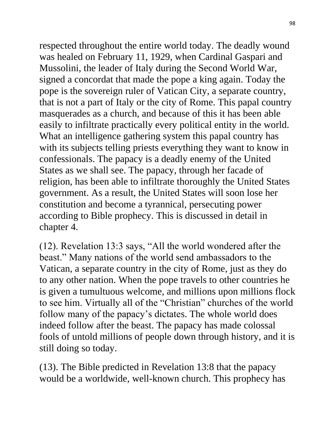respected throughout the entire world today. The deadly wound was healed on February 11, 1929, when Cardinal Gaspari and Mussolini, the leader of Italy during the Second World War, signed a concordat that made the pope a king again. Today the pope is the sovereign ruler of Vatican City, a separate country, that is not a part of Italy or the city of Rome. This papal country masquerades as a church, and because of this it has been able easily to infiltrate practically every political entity in the world. What an intelligence gathering system this papal country has with its subjects telling priests everything they want to know in confessionals. The papacy is a deadly enemy of the United States as we shall see. The papacy, through her facade of religion, has been able to infiltrate thoroughly the United States government. As a result, the United States will soon lose her constitution and become a tyrannical, persecuting power according to Bible prophecy. This is discussed in detail in chapter 4.

(12). Revelation 13:3 says, "All the world wondered after the beast." Many nations of the world send ambassadors to the Vatican, a separate country in the city of Rome, just as they do to any other nation. When the pope travels to other countries he is given a tumultuous welcome, and millions upon millions flock to see him. Virtually all of the "Christian" churches of the world follow many of the papacy's dictates. The whole world does indeed follow after the beast. The papacy has made colossal fools of untold millions of people down through history, and it is still doing so today.

(13). The Bible predicted in Revelation 13:8 that the papacy would be a worldwide, well-known church. This prophecy has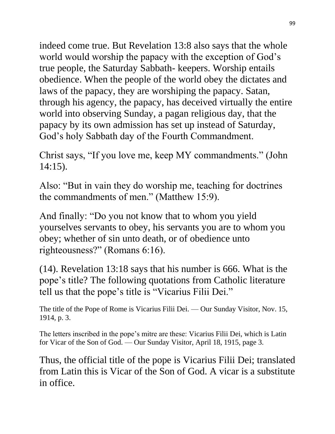indeed come true. But Revelation 13:8 also says that the whole world would worship the papacy with the exception of God's true people, the Saturday Sabbath- keepers. Worship entails obedience. When the people of the world obey the dictates and laws of the papacy, they are worshiping the papacy. Satan, through his agency, the papacy, has deceived virtually the entire world into observing Sunday, a pagan religious day, that the papacy by its own admission has set up instead of Saturday, God's holy Sabbath day of the Fourth Commandment.

Christ says, "If you love me, keep MY commandments." (John 14:15).

Also: "But in vain they do worship me, teaching for doctrines the commandments of men." (Matthew 15:9).

And finally: "Do you not know that to whom you yield yourselves servants to obey, his servants you are to whom you obey; whether of sin unto death, or of obedience unto righteousness?" (Romans 6:16).

(14). Revelation 13:18 says that his number is 666. What is the pope's title? The following quotations from Catholic literature tell us that the pope's title is "Vicarius Filii Dei."

The title of the Pope of Rome is Vicarius Filii Dei. — Our Sunday Visitor, Nov. 15, 1914, p. 3.

The letters inscribed in the pope's mitre are these: Vicarius Filii Dei, which is Latin for Vicar of the Son of God. — Our Sunday Visitor, April 18, 1915, page 3.

Thus, the official title of the pope is Vicarius Filii Dei; translated from Latin this is Vicar of the Son of God. A vicar is a substitute in office.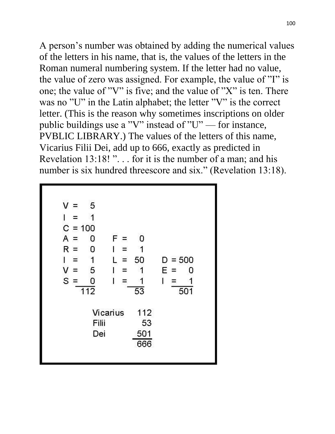100

A person's number was obtained by adding the numerical values of the letters in his name, that is, the values of the letters in the Roman numeral numbering system. If the letter had no value, the value of zero was assigned. For example, the value of "I" is one; the value of "V" is five; and the value of "X" is ten. There was no "U" in the Latin alphabet; the letter "V" is the correct letter. (This is the reason why sometimes inscriptions on older public buildings use a "V" instead of "U" — for instance, PVBLIC LIBRARY.) The values of the letters of this name, Vicarius Filii Dei, add up to 666, exactly as predicted in Revelation 13:18!"... for it is the number of a man; and his number is six hundred threescore and six." (Revelation 13:18).

| 5<br>$=$   |           |                          |             |
|------------|-----------|--------------------------|-------------|
| =          |           |                          |             |
| $C = 100$  |           |                          |             |
| 0<br>$=$   | F.<br>$=$ | 0                        |             |
| $R =$<br>Ω | ᆍ         |                          |             |
|            | $=$       | 50                       | $D = 500$   |
| 5<br>Ξ     |           | 1                        | Е<br>0<br>= |
| 0          |           |                          | I<br>Ξ      |
|            |           | $\overline{53}$          | 501         |
|            |           | 112                      |             |
|            |           | 53                       |             |
|            |           | 501<br>666               |             |
|            | 112       | Vicarius<br>Filii<br>Dei |             |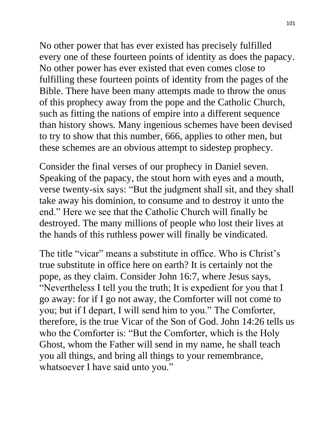No other power that has ever existed has precisely fulfilled every one of these fourteen points of identity as does the papacy. No other power has ever existed that even comes close to fulfilling these fourteen points of identity from the pages of the Bible. There have been many attempts made to throw the onus of this prophecy away from the pope and the Catholic Church, such as fitting the nations of empire into a different sequence than history shows. Many ingenious schemes have been devised to try to show that this number, 666, applies to other men, but these schemes are an obvious attempt to sidestep prophecy.

Consider the final verses of our prophecy in Daniel seven. Speaking of the papacy, the stout horn with eyes and a mouth, verse twenty-six says: "But the judgment shall sit, and they shall take away his dominion, to consume and to destroy it unto the end." Here we see that the Catholic Church will finally be destroyed. The many millions of people who lost their lives at the hands of this ruthless power will finally be vindicated.

The title "vicar" means a substitute in office. Who is Christ's true substitute in office here on earth? It is certainly not the pope, as they claim. Consider John 16:7, where Jesus says, "Nevertheless I tell you the truth; It is expedient for you that I go away: for if I go not away, the Comforter will not come to you; but if I depart, I will send him to you." The Comforter, therefore, is the true Vicar of the Son of God. John 14:26 tells us who the Comforter is: "But the Comforter, which is the Holy Ghost, whom the Father will send in my name, he shall teach you all things, and bring all things to your remembrance, whatsoever I have said unto you."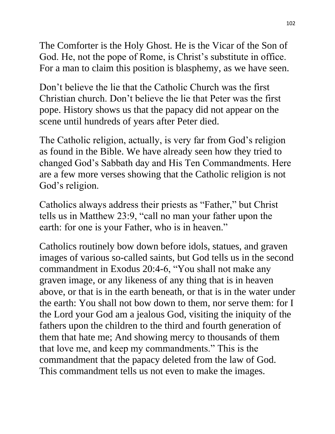The Comforter is the Holy Ghost. He is the Vicar of the Son of God. He, not the pope of Rome, is Christ's substitute in office. For a man to claim this position is blasphemy, as we have seen.

Don't believe the lie that the Catholic Church was the first Christian church. Don't believe the lie that Peter was the first pope. History shows us that the papacy did not appear on the scene until hundreds of years after Peter died.

The Catholic religion, actually, is very far from God's religion as found in the Bible. We have already seen how they tried to changed God's Sabbath day and His Ten Commandments. Here are a few more verses showing that the Catholic religion is not God's religion.

Catholics always address their priests as "Father," but Christ tells us in Matthew 23:9, "call no man your father upon the earth: for one is your Father, who is in heaven."

Catholics routinely bow down before idols, statues, and graven images of various so-called saints, but God tells us in the second commandment in Exodus 20:4-6, "You shall not make any graven image, or any likeness of any thing that is in heaven above, or that is in the earth beneath, or that is in the water under the earth: You shall not bow down to them, nor serve them: for I the Lord your God am a jealous God, visiting the iniquity of the fathers upon the children to the third and fourth generation of them that hate me; And showing mercy to thousands of them that love me, and keep my commandments." This is the commandment that the papacy deleted from the law of God. This commandment tells us not even to make the images.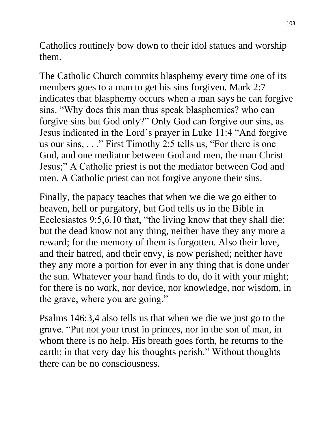Catholics routinely bow down to their idol statues and worship them.

The Catholic Church commits blasphemy every time one of its members goes to a man to get his sins forgiven. Mark 2:7 indicates that blasphemy occurs when a man says he can forgive sins. "Why does this man thus speak blasphemies? who can forgive sins but God only?" Only God can forgive our sins, as Jesus indicated in the Lord's prayer in Luke 11:4 "And forgive us our sins, . . ." First Timothy 2:5 tells us, "For there is one God, and one mediator between God and men, the man Christ Jesus;" A Catholic priest is not the mediator between God and men. A Catholic priest can not forgive anyone their sins.

Finally, the papacy teaches that when we die we go either to heaven, hell or purgatory, but God tells us in the Bible in Ecclesiastes 9:5,6,10 that, "the living know that they shall die: but the dead know not any thing, neither have they any more a reward; for the memory of them is forgotten. Also their love, and their hatred, and their envy, is now perished; neither have they any more a portion for ever in any thing that is done under the sun. Whatever your hand finds to do, do it with your might; for there is no work, nor device, nor knowledge, nor wisdom, in the grave, where you are going."

Psalms 146:3,4 also tells us that when we die we just go to the grave. "Put not your trust in princes, nor in the son of man, in whom there is no help. His breath goes forth, he returns to the earth; in that very day his thoughts perish." Without thoughts there can be no consciousness.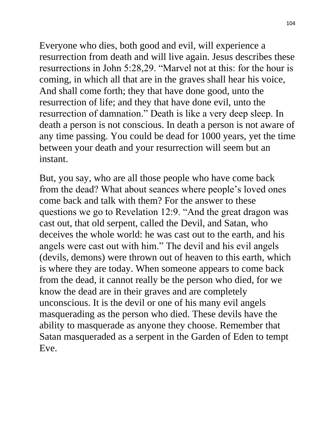Everyone who dies, both good and evil, will experience a resurrection from death and will live again. Jesus describes these resurrections in John 5:28,29. "Marvel not at this: for the hour is coming, in which all that are in the graves shall hear his voice, And shall come forth; they that have done good, unto the resurrection of life; and they that have done evil, unto the resurrection of damnation." Death is like a very deep sleep. In death a person is not conscious. In death a person is not aware of any time passing. You could be dead for 1000 years, yet the time between your death and your resurrection will seem but an instant.

But, you say, who are all those people who have come back from the dead? What about seances where people's loved ones come back and talk with them? For the answer to these questions we go to Revelation 12:9. "And the great dragon was cast out, that old serpent, called the Devil, and Satan, who deceives the whole world: he was cast out to the earth, and his angels were cast out with him." The devil and his evil angels (devils, demons) were thrown out of heaven to this earth, which is where they are today. When someone appears to come back from the dead, it cannot really be the person who died, for we know the dead are in their graves and are completely unconscious. It is the devil or one of his many evil angels masquerading as the person who died. These devils have the ability to masquerade as anyone they choose. Remember that Satan masqueraded as a serpent in the Garden of Eden to tempt Eve.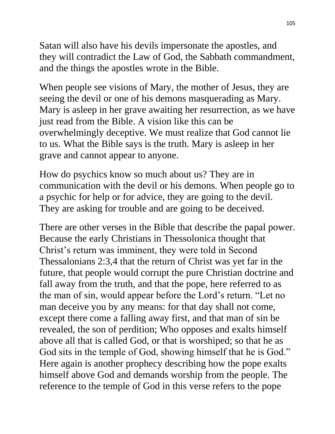Satan will also have his devils impersonate the apostles, and they will contradict the Law of God, the Sabbath commandment, and the things the apostles wrote in the Bible.

When people see visions of Mary, the mother of Jesus, they are seeing the devil or one of his demons masquerading as Mary. Mary is asleep in her grave awaiting her resurrection, as we have just read from the Bible. A vision like this can be overwhelmingly deceptive. We must realize that God cannot lie to us. What the Bible says is the truth. Mary is asleep in her grave and cannot appear to anyone.

How do psychics know so much about us? They are in communication with the devil or his demons. When people go to a psychic for help or for advice, they are going to the devil. They are asking for trouble and are going to be deceived.

There are other verses in the Bible that describe the papal power. Because the early Christians in Thessolonica thought that Christ's return was imminent, they were told in Second Thessalonians 2:3,4 that the return of Christ was yet far in the future, that people would corrupt the pure Christian doctrine and fall away from the truth, and that the pope, here referred to as the man of sin, would appear before the Lord's return. "Let no man deceive you by any means: for that day shall not come, except there come a falling away first, and that man of sin be revealed, the son of perdition; Who opposes and exalts himself above all that is called God, or that is worshiped; so that he as God sits in the temple of God, showing himself that he is God." Here again is another prophecy describing how the pope exalts himself above God and demands worship from the people. The reference to the temple of God in this verse refers to the pope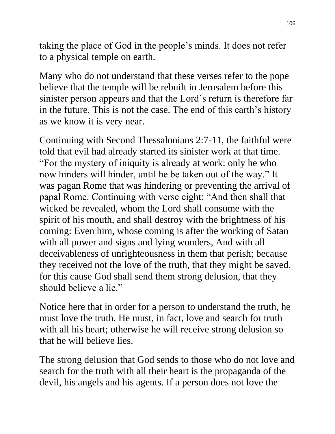taking the place of God in the people's minds. It does not refer to a physical temple on earth.

Many who do not understand that these verses refer to the pope believe that the temple will be rebuilt in Jerusalem before this sinister person appears and that the Lord's return is therefore far in the future. This is not the case. The end of this earth's history as we know it is very near.

Continuing with Second Thessalonians 2:7-11, the faithful were told that evil had already started its sinister work at that time. "For the mystery of iniquity is already at work: only he who now hinders will hinder, until he be taken out of the way." It was pagan Rome that was hindering or preventing the arrival of papal Rome. Continuing with verse eight: "And then shall that wicked be revealed, whom the Lord shall consume with the spirit of his mouth, and shall destroy with the brightness of his coming: Even him, whose coming is after the working of Satan with all power and signs and lying wonders, And with all deceivableness of unrighteousness in them that perish; because they received not the love of the truth, that they might be saved. for this cause God shall send them strong delusion, that they should believe a lie."

Notice here that in order for a person to understand the truth, he must love the truth. He must, in fact, love and search for truth with all his heart; otherwise he will receive strong delusion so that he will believe lies.

The strong delusion that God sends to those who do not love and search for the truth with all their heart is the propaganda of the devil, his angels and his agents. If a person does not love the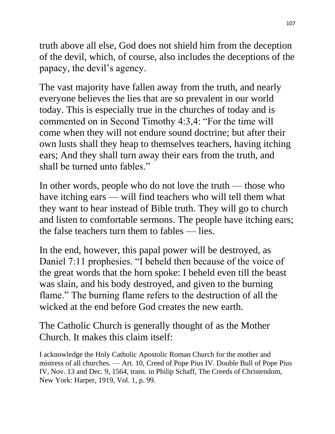truth above all else, God does not shield him from the deception of the devil, which, of course, also includes the deceptions of the papacy, the devil's agency.

The vast majority have fallen away from the truth, and nearly everyone believes the lies that are so prevalent in our world today. This is especially true in the churches of today and is commented on in Second Timothy 4:3,4: "For the time will come when they will not endure sound doctrine; but after their own lusts shall they heap to themselves teachers, having itching ears; And they shall turn away their ears from the truth, and shall be turned unto fables."

In other words, people who do not love the truth — those who have itching ears — will find teachers who will tell them what they want to hear instead of Bible truth. They will go to church and listen to comfortable sermons. The people have itching ears; the false teachers turn them to fables — lies.

In the end, however, this papal power will be destroyed, as Daniel 7:11 prophesies. "I beheld then because of the voice of the great words that the horn spoke: I beheld even till the beast was slain, and his body destroyed, and given to the burning flame." The burning flame refers to the destruction of all the wicked at the end before God creates the new earth.

The Catholic Church is generally thought of as the Mother Church. It makes this claim itself:

I acknowledge the Holy Catholic Apostolic Roman Church for the mother and mistress of all churches. — Art. 10, Creed of Pope Pius IV. Double Bull of Pope Pius IV, Nov. 13 and Dec. 9, 1564, trans. in Philip Schaff, The Creeds of Christendom, New York: Harper, 1919, Vol. 1, p. 99.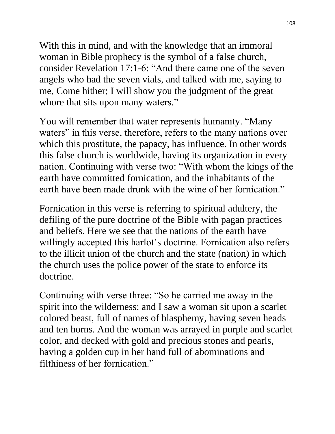With this in mind, and with the knowledge that an immoral woman in Bible prophecy is the symbol of a false church, consider Revelation 17:1-6: "And there came one of the seven angels who had the seven vials, and talked with me, saying to me, Come hither; I will show you the judgment of the great whore that sits upon many waters."

You will remember that water represents humanity. "Many waters" in this verse, therefore, refers to the many nations over which this prostitute, the papacy, has influence. In other words this false church is worldwide, having its organization in every nation. Continuing with verse two: "With whom the kings of the earth have committed fornication, and the inhabitants of the earth have been made drunk with the wine of her fornication."

Fornication in this verse is referring to spiritual adultery, the defiling of the pure doctrine of the Bible with pagan practices and beliefs. Here we see that the nations of the earth have willingly accepted this harlot's doctrine. Fornication also refers to the illicit union of the church and the state (nation) in which the church uses the police power of the state to enforce its doctrine.

Continuing with verse three: "So he carried me away in the spirit into the wilderness: and I saw a woman sit upon a scarlet colored beast, full of names of blasphemy, having seven heads and ten horns. And the woman was arrayed in purple and scarlet color, and decked with gold and precious stones and pearls, having a golden cup in her hand full of abominations and filthiness of her fornication."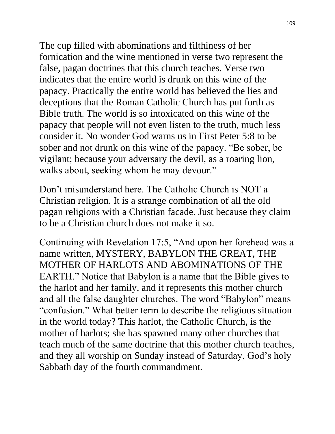The cup filled with abominations and filthiness of her fornication and the wine mentioned in verse two represent the false, pagan doctrines that this church teaches. Verse two indicates that the entire world is drunk on this wine of the papacy. Practically the entire world has believed the lies and deceptions that the Roman Catholic Church has put forth as Bible truth. The world is so intoxicated on this wine of the papacy that people will not even listen to the truth, much less consider it. No wonder God warns us in First Peter 5:8 to be sober and not drunk on this wine of the papacy. "Be sober, be vigilant; because your adversary the devil, as a roaring lion, walks about, seeking whom he may devour."

Don't misunderstand here. The Catholic Church is NOT a Christian religion. It is a strange combination of all the old pagan religions with a Christian facade. Just because they claim to be a Christian church does not make it so.

Continuing with Revelation 17:5, "And upon her forehead was a name written, MYSTERY, BABYLON THE GREAT, THE MOTHER OF HARLOTS AND ABOMINATIONS OF THE EARTH." Notice that Babylon is a name that the Bible gives to the harlot and her family, and it represents this mother church and all the false daughter churches. The word "Babylon" means "confusion." What better term to describe the religious situation in the world today? This harlot, the Catholic Church, is the mother of harlots; she has spawned many other churches that teach much of the same doctrine that this mother church teaches, and they all worship on Sunday instead of Saturday, God's holy Sabbath day of the fourth commandment.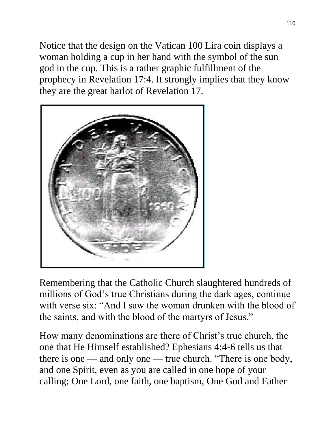Notice that the design on the Vatican 100 Lira coin displays a woman holding a cup in her hand with the symbol of the sun god in the cup. This is a rather graphic fulfillment of the prophecy in Revelation 17:4. It strongly implies that they know they are the great harlot of Revelation 17.



Remembering that the Catholic Church slaughtered hundreds of millions of God's true Christians during the dark ages, continue with verse six: "And I saw the woman drunken with the blood of the saints, and with the blood of the martyrs of Jesus."

How many denominations are there of Christ's true church, the one that He Himself established? Ephesians 4:4-6 tells us that there is one — and only one — true church. "There is one body, and one Spirit, even as you are called in one hope of your calling; One Lord, one faith, one baptism, One God and Father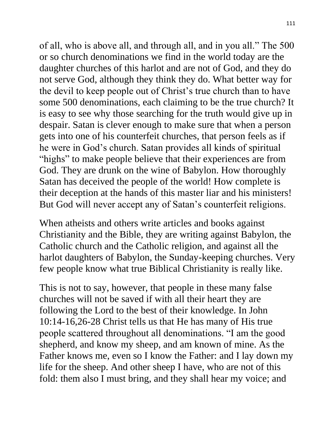of all, who is above all, and through all, and in you all." The 500 or so church denominations we find in the world today are the daughter churches of this harlot and are not of God, and they do not serve God, although they think they do. What better way for the devil to keep people out of Christ's true church than to have some 500 denominations, each claiming to be the true church? It is easy to see why those searching for the truth would give up in despair. Satan is clever enough to make sure that when a person gets into one of his counterfeit churches, that person feels as if he were in God's church. Satan provides all kinds of spiritual "highs" to make people believe that their experiences are from God. They are drunk on the wine of Babylon. How thoroughly Satan has deceived the people of the world! How complete is their deception at the hands of this master liar and his ministers! But God will never accept any of Satan's counterfeit religions.

When atheists and others write articles and books against Christianity and the Bible, they are writing against Babylon, the Catholic church and the Catholic religion, and against all the harlot daughters of Babylon, the Sunday-keeping churches. Very few people know what true Biblical Christianity is really like.

This is not to say, however, that people in these many false churches will not be saved if with all their heart they are following the Lord to the best of their knowledge. In John 10:14-16,26-28 Christ tells us that He has many of His true people scattered throughout all denominations. "I am the good shepherd, and know my sheep, and am known of mine. As the Father knows me, even so I know the Father: and I lay down my life for the sheep. And other sheep I have, who are not of this fold: them also I must bring, and they shall hear my voice; and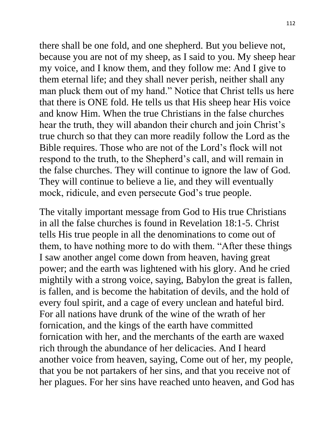there shall be one fold, and one shepherd. But you believe not, because you are not of my sheep, as I said to you. My sheep hear my voice, and I know them, and they follow me: And I give to them eternal life; and they shall never perish, neither shall any man pluck them out of my hand." Notice that Christ tells us here that there is ONE fold. He tells us that His sheep hear His voice and know Him. When the true Christians in the false churches hear the truth, they will abandon their church and join Christ's true church so that they can more readily follow the Lord as the Bible requires. Those who are not of the Lord's flock will not respond to the truth, to the Shepherd's call, and will remain in the false churches. They will continue to ignore the law of God. They will continue to believe a lie, and they will eventually mock, ridicule, and even persecute God's true people.

The vitally important message from God to His true Christians in all the false churches is found in Revelation 18:1-5. Christ tells His true people in all the denominations to come out of them, to have nothing more to do with them. "After these things I saw another angel come down from heaven, having great power; and the earth was lightened with his glory. And he cried mightily with a strong voice, saying, Babylon the great is fallen, is fallen, and is become the habitation of devils, and the hold of every foul spirit, and a cage of every unclean and hateful bird. For all nations have drunk of the wine of the wrath of her fornication, and the kings of the earth have committed fornication with her, and the merchants of the earth are waxed rich through the abundance of her delicacies. And I heard another voice from heaven, saying, Come out of her, my people, that you be not partakers of her sins, and that you receive not of her plagues. For her sins have reached unto heaven, and God has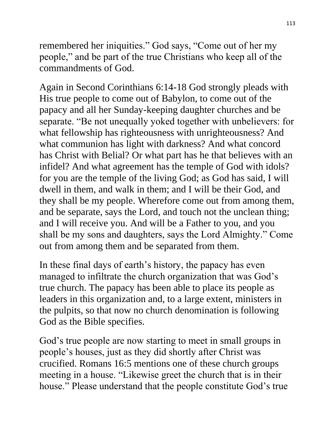remembered her iniquities." God says, "Come out of her my people," and be part of the true Christians who keep all of the commandments of God.

Again in Second Corinthians 6:14-18 God strongly pleads with His true people to come out of Babylon, to come out of the papacy and all her Sunday-keeping daughter churches and be separate. "Be not unequally yoked together with unbelievers: for what fellowship has righteousness with unrighteousness? And what communion has light with darkness? And what concord has Christ with Belial? Or what part has he that believes with an infidel? And what agreement has the temple of God with idols? for you are the temple of the living God; as God has said, I will dwell in them, and walk in them; and I will be their God, and they shall be my people. Wherefore come out from among them, and be separate, says the Lord, and touch not the unclean thing; and I will receive you. And will be a Father to you, and you shall be my sons and daughters, says the Lord Almighty." Come out from among them and be separated from them.

In these final days of earth's history, the papacy has even managed to infiltrate the church organization that was God's true church. The papacy has been able to place its people as leaders in this organization and, to a large extent, ministers in the pulpits, so that now no church denomination is following God as the Bible specifies.

God's true people are now starting to meet in small groups in people's houses, just as they did shortly after Christ was crucified. Romans 16:5 mentions one of these church groups meeting in a house. "Likewise greet the church that is in their house." Please understand that the people constitute God's true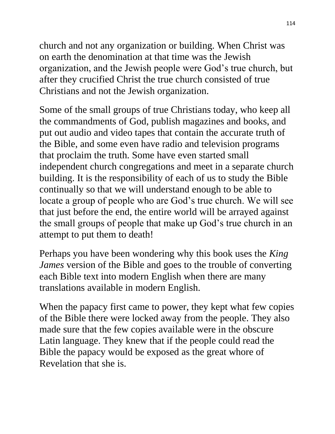church and not any organization or building. When Christ was on earth the denomination at that time was the Jewish organization, and the Jewish people were God's true church, but after they crucified Christ the true church consisted of true Christians and not the Jewish organization.

Some of the small groups of true Christians today, who keep all the commandments of God, publish magazines and books, and put out audio and video tapes that contain the accurate truth of the Bible, and some even have radio and television programs that proclaim the truth. Some have even started small independent church congregations and meet in a separate church building. It is the responsibility of each of us to study the Bible continually so that we will understand enough to be able to locate a group of people who are God's true church. We will see that just before the end, the entire world will be arrayed against the small groups of people that make up God's true church in an attempt to put them to death!

Perhaps you have been wondering why this book uses the *King James* version of the Bible and goes to the trouble of converting each Bible text into modern English when there are many translations available in modern English.

When the papacy first came to power, they kept what few copies of the Bible there were locked away from the people. They also made sure that the few copies available were in the obscure Latin language. They knew that if the people could read the Bible the papacy would be exposed as the great whore of Revelation that she is.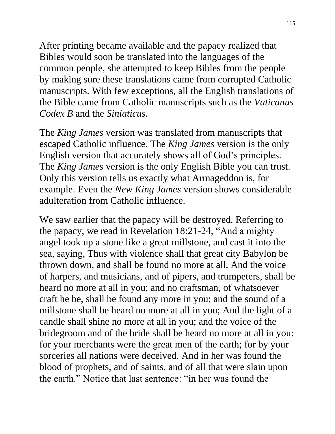After printing became available and the papacy realized that Bibles would soon be translated into the languages of the common people, she attempted to keep Bibles from the people by making sure these translations came from corrupted Catholic manuscripts. With few exceptions, all the English translations of the Bible came from Catholic manuscripts such as the *Vaticanus Codex B* and the *Siniaticus.*

The *King James* version was translated from manuscripts that escaped Catholic influence. The *King James* version is the only English version that accurately shows all of God's principles. The *King James* version is the only English Bible you can trust. Only this version tells us exactly what Armageddon is, for example. Even the *New King James* version shows considerable adulteration from Catholic influence.

We saw earlier that the papacy will be destroyed. Referring to the papacy, we read in Revelation 18:21-24, "And a mighty angel took up a stone like a great millstone, and cast it into the sea, saying, Thus with violence shall that great city Babylon be thrown down, and shall be found no more at all. And the voice of harpers, and musicians, and of pipers, and trumpeters, shall be heard no more at all in you; and no craftsman, of whatsoever craft he be, shall be found any more in you; and the sound of a millstone shall be heard no more at all in you; And the light of a candle shall shine no more at all in you; and the voice of the bridegroom and of the bride shall be heard no more at all in you: for your merchants were the great men of the earth; for by your sorceries all nations were deceived. And in her was found the blood of prophets, and of saints, and of all that were slain upon the earth." Notice that last sentence: "in her was found the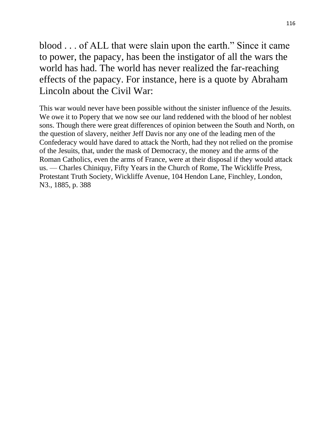blood . . . of ALL that were slain upon the earth." Since it came to power, the papacy, has been the instigator of all the wars the world has had. The world has never realized the far-reaching effects of the papacy. For instance, here is a quote by Abraham Lincoln about the Civil War:

This war would never have been possible without the sinister influence of the Jesuits. We owe it to Popery that we now see our land reddened with the blood of her noblest sons. Though there were great differences of opinion between the South and North, on the question of slavery, neither Jeff Davis nor any one of the leading men of the Confederacy would have dared to attack the North, had they not relied on the promise of the Jesuits, that, under the mask of Democracy, the money and the arms of the Roman Catholics, even the arms of France, were at their disposal if they would attack us. — Charles Chiniquy, Fifty Years in the Church of Rome, The Wickliffe Press, Protestant Truth Society, Wickliffe Avenue, 104 Hendon Lane, Finchley, London, N3., 1885, p. 388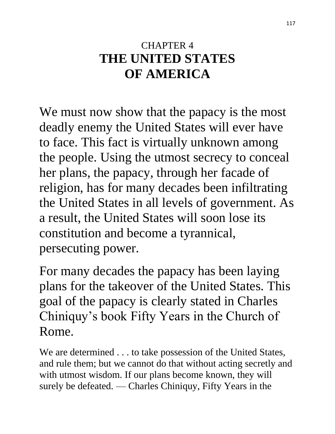### CHAPTER 4 **THE UNITED STATES OF AMERICA**

We must now show that the papacy is the most deadly enemy the United States will ever have to face. This fact is virtually unknown among the people. Using the utmost secrecy to conceal her plans, the papacy, through her facade of religion, has for many decades been infiltrating the United States in all levels of government. As a result, the United States will soon lose its constitution and become a tyrannical, persecuting power.

For many decades the papacy has been laying plans for the takeover of the United States. This goal of the papacy is clearly stated in Charles Chiniquy's book Fifty Years in the Church of Rome.

We are determined . . . to take possession of the United States, and rule them; but we cannot do that without acting secretly and with utmost wisdom. If our plans become known, they will surely be defeated. — Charles Chiniquy, Fifty Years in the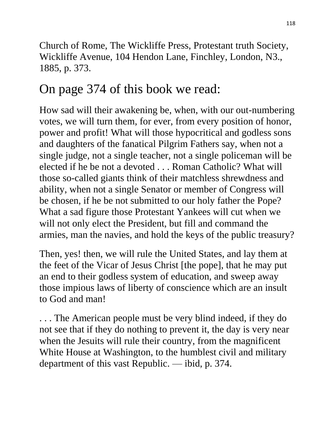Church of Rome, The Wickliffe Press, Protestant truth Society, Wickliffe Avenue, 104 Hendon Lane, Finchley, London, N3., 1885, p. 373.

# On page 374 of this book we read:

How sad will their awakening be, when, with our out-numbering votes, we will turn them, for ever, from every position of honor, power and profit! What will those hypocritical and godless sons and daughters of the fanatical Pilgrim Fathers say, when not a single judge, not a single teacher, not a single policeman will be elected if he be not a devoted . . . Roman Catholic? What will those so-called giants think of their matchless shrewdness and ability, when not a single Senator or member of Congress will be chosen, if he be not submitted to our holy father the Pope? What a sad figure those Protestant Yankees will cut when we will not only elect the President, but fill and command the armies, man the navies, and hold the keys of the public treasury?

Then, yes! then, we will rule the United States, and lay them at the feet of the Vicar of Jesus Christ [the pope], that he may put an end to their godless system of education, and sweep away those impious laws of liberty of conscience which are an insult to God and man!

. . . The American people must be very blind indeed, if they do not see that if they do nothing to prevent it, the day is very near when the Jesuits will rule their country, from the magnificent White House at Washington, to the humblest civil and military department of this vast Republic. — ibid, p. 374.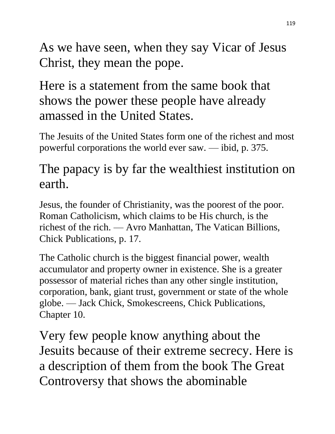As we have seen, when they say Vicar of Jesus Christ, they mean the pope.

Here is a statement from the same book that shows the power these people have already amassed in the United States.

The Jesuits of the United States form one of the richest and most powerful corporations the world ever saw. — ibid, p. 375.

#### The papacy is by far the wealthiest institution on earth.

Jesus, the founder of Christianity, was the poorest of the poor. Roman Catholicism, which claims to be His church, is the richest of the rich. — Avro Manhattan, The Vatican Billions, Chick Publications, p. 17.

The Catholic church is the biggest financial power, wealth accumulator and property owner in existence. She is a greater possessor of material riches than any other single institution, corporation, bank, giant trust, government or state of the whole globe. — Jack Chick, Smokescreens, Chick Publications, Chapter 10.

Very few people know anything about the Jesuits because of their extreme secrecy. Here is a description of them from the book The Great Controversy that shows the abominable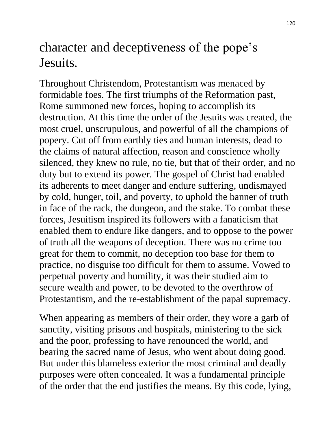### character and deceptiveness of the pope's Jesuits.

Throughout Christendom, Protestantism was menaced by formidable foes. The first triumphs of the Reformation past, Rome summoned new forces, hoping to accomplish its destruction. At this time the order of the Jesuits was created, the most cruel, unscrupulous, and powerful of all the champions of popery. Cut off from earthly ties and human interests, dead to the claims of natural affection, reason and conscience wholly silenced, they knew no rule, no tie, but that of their order, and no duty but to extend its power. The gospel of Christ had enabled its adherents to meet danger and endure suffering, undismayed by cold, hunger, toil, and poverty, to uphold the banner of truth in face of the rack, the dungeon, and the stake. To combat these forces, Jesuitism inspired its followers with a fanaticism that enabled them to endure like dangers, and to oppose to the power of truth all the weapons of deception. There was no crime too great for them to commit, no deception too base for them to practice, no disguise too difficult for them to assume. Vowed to perpetual poverty and humility, it was their studied aim to secure wealth and power, to be devoted to the overthrow of Protestantism, and the re-establishment of the papal supremacy.

When appearing as members of their order, they wore a garb of sanctity, visiting prisons and hospitals, ministering to the sick and the poor, professing to have renounced the world, and bearing the sacred name of Jesus, who went about doing good. But under this blameless exterior the most criminal and deadly purposes were often concealed. It was a fundamental principle of the order that the end justifies the means. By this code, lying,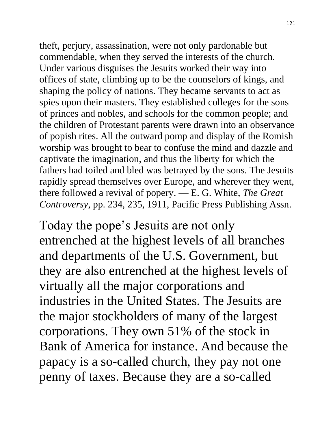theft, perjury, assassination, were not only pardonable but commendable, when they served the interests of the church. Under various disguises the Jesuits worked their way into offices of state, climbing up to be the counselors of kings, and shaping the policy of nations. They became servants to act as spies upon their masters. They established colleges for the sons of princes and nobles, and schools for the common people; and the children of Protestant parents were drawn into an observance of popish rites. All the outward pomp and display of the Romish worship was brought to bear to confuse the mind and dazzle and captivate the imagination, and thus the liberty for which the fathers had toiled and bled was betrayed by the sons. The Jesuits rapidly spread themselves over Europe, and wherever they went, there followed a revival of popery. — E. G. White, *The Great Controversy*, pp. 234, 235, 1911, Pacific Press Publishing Assn.

Today the pope's Jesuits are not only entrenched at the highest levels of all branches and departments of the U.S. Government, but they are also entrenched at the highest levels of virtually all the major corporations and industries in the United States. The Jesuits are the major stockholders of many of the largest corporations. They own 51% of the stock in Bank of America for instance. And because the papacy is a so-called church, they pay not one penny of taxes. Because they are a so-called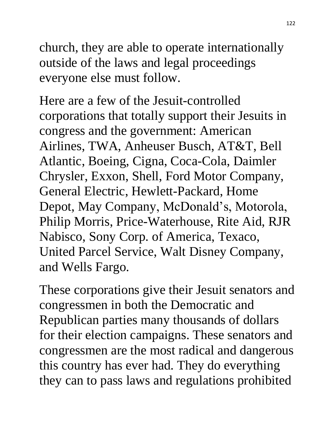church, they are able to operate internationally outside of the laws and legal proceedings everyone else must follow.

Here are a few of the Jesuit-controlled corporations that totally support their Jesuits in congress and the government: American Airlines, TWA, Anheuser Busch, AT&T, Bell Atlantic, Boeing, Cigna, Coca-Cola, Daimler Chrysler, Exxon, Shell, Ford Motor Company, General Electric, Hewlett-Packard, Home Depot, May Company, McDonald's, Motorola, Philip Morris, Price-Waterhouse, Rite Aid, RJR Nabisco, Sony Corp. of America, Texaco, United Parcel Service, Walt Disney Company, and Wells Fargo.

These corporations give their Jesuit senators and congressmen in both the Democratic and Republican parties many thousands of dollars for their election campaigns. These senators and congressmen are the most radical and dangerous this country has ever had. They do everything they can to pass laws and regulations prohibited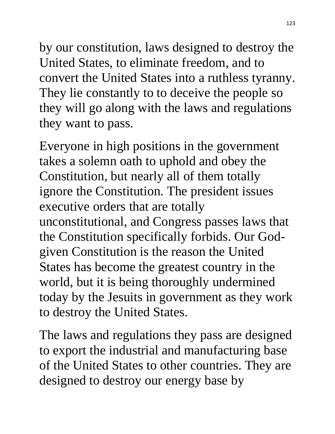by our constitution, laws designed to destroy the United States, to eliminate freedom, and to convert the United States into a ruthless tyranny. They lie constantly to to deceive the people so they will go along with the laws and regulations they want to pass.

Everyone in high positions in the government takes a solemn oath to uphold and obey the Constitution, but nearly all of them totally ignore the Constitution. The president issues executive orders that are totally unconstitutional, and Congress passes laws that the Constitution specifically forbids. Our Godgiven Constitution is the reason the United States has become the greatest country in the world, but it is being thoroughly undermined today by the Jesuits in government as they work to destroy the United States.

The laws and regulations they pass are designed to export the industrial and manufacturing base of the United States to other countries. They are designed to destroy our energy base by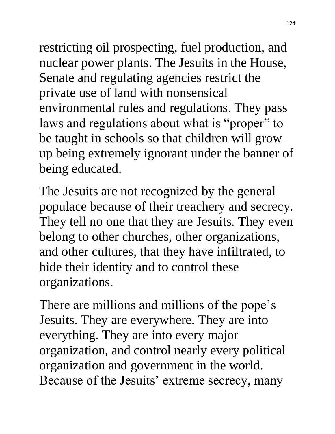restricting oil prospecting, fuel production, and nuclear power plants. The Jesuits in the House, Senate and regulating agencies restrict the private use of land with nonsensical environmental rules and regulations. They pass laws and regulations about what is "proper" to be taught in schools so that children will grow up being extremely ignorant under the banner of being educated.

The Jesuits are not recognized by the general populace because of their treachery and secrecy. They tell no one that they are Jesuits. They even belong to other churches, other organizations, and other cultures, that they have infiltrated, to hide their identity and to control these organizations.

There are millions and millions of the pope's Jesuits. They are everywhere. They are into everything. They are into every major organization, and control nearly every political organization and government in the world. Because of the Jesuits' extreme secrecy, many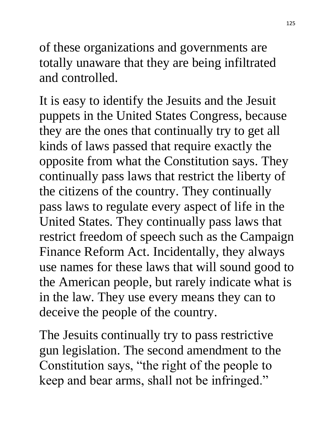of these organizations and governments are totally unaware that they are being infiltrated and controlled.

It is easy to identify the Jesuits and the Jesuit puppets in the United States Congress, because they are the ones that continually try to get all kinds of laws passed that require exactly the opposite from what the Constitution says. They continually pass laws that restrict the liberty of the citizens of the country. They continually pass laws to regulate every aspect of life in the United States. They continually pass laws that restrict freedom of speech such as the Campaign Finance Reform Act. Incidentally, they always use names for these laws that will sound good to the American people, but rarely indicate what is in the law. They use every means they can to deceive the people of the country.

The Jesuits continually try to pass restrictive gun legislation. The second amendment to the Constitution says, "the right of the people to keep and bear arms, shall not be infringed."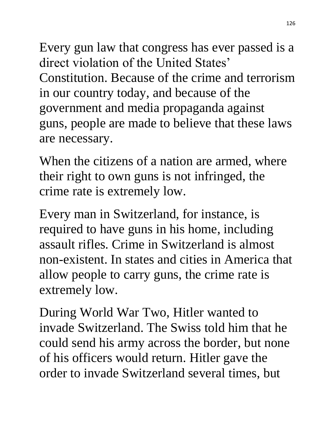Every gun law that congress has ever passed is a direct violation of the United States' Constitution. Because of the crime and terrorism in our country today, and because of the government and media propaganda against guns, people are made to believe that these laws are necessary.

When the citizens of a nation are armed, where their right to own guns is not infringed, the crime rate is extremely low.

Every man in Switzerland, for instance, is required to have guns in his home, including assault rifles. Crime in Switzerland is almost non-existent. In states and cities in America that allow people to carry guns, the crime rate is extremely low.

During World War Two, Hitler wanted to invade Switzerland. The Swiss told him that he could send his army across the border, but none of his officers would return. Hitler gave the order to invade Switzerland several times, but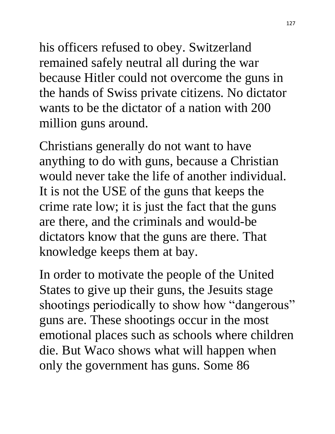his officers refused to obey. Switzerland remained safely neutral all during the war because Hitler could not overcome the guns in the hands of Swiss private citizens. No dictator wants to be the dictator of a nation with 200 million guns around.

Christians generally do not want to have anything to do with guns, because a Christian would never take the life of another individual. It is not the USE of the guns that keeps the crime rate low; it is just the fact that the guns are there, and the criminals and would-be dictators know that the guns are there. That knowledge keeps them at bay.

In order to motivate the people of the United States to give up their guns, the Jesuits stage shootings periodically to show how "dangerous" guns are. These shootings occur in the most emotional places such as schools where children die. But Waco shows what will happen when only the government has guns. Some 86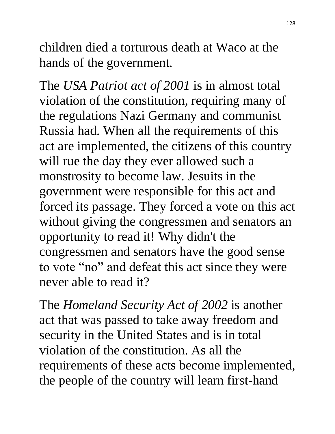children died a torturous death at Waco at the hands of the government.

The *USA Patriot act of 2001* is in almost total violation of the constitution, requiring many of the regulations Nazi Germany and communist Russia had. When all the requirements of this act are implemented, the citizens of this country will rue the day they ever allowed such a monstrosity to become law. Jesuits in the government were responsible for this act and forced its passage. They forced a vote on this act without giving the congressmen and senators an opportunity to read it! Why didn't the congressmen and senators have the good sense to vote "no" and defeat this act since they were never able to read it?

The *Homeland Security Act of 2002* is another act that was passed to take away freedom and security in the United States and is in total violation of the constitution. As all the requirements of these acts become implemented, the people of the country will learn first-hand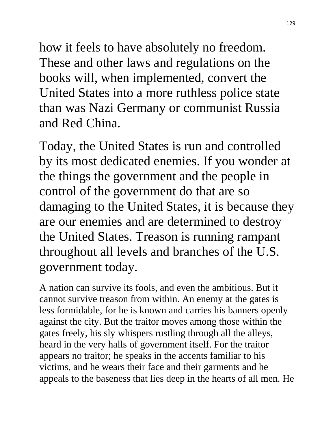how it feels to have absolutely no freedom. These and other laws and regulations on the books will, when implemented, convert the United States into a more ruthless police state than was Nazi Germany or communist Russia and Red China.

Today, the United States is run and controlled by its most dedicated enemies. If you wonder at the things the government and the people in control of the government do that are so damaging to the United States, it is because they are our enemies and are determined to destroy the United States. Treason is running rampant throughout all levels and branches of the U.S. government today.

A nation can survive its fools, and even the ambitious. But it cannot survive treason from within. An enemy at the gates is less formidable, for he is known and carries his banners openly against the city. But the traitor moves among those within the gates freely, his sly whispers rustling through all the alleys, heard in the very halls of government itself. For the traitor appears no traitor; he speaks in the accents familiar to his victims, and he wears their face and their garments and he appeals to the baseness that lies deep in the hearts of all men. He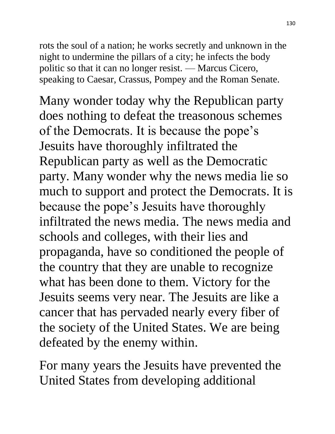rots the soul of a nation; he works secretly and unknown in the night to undermine the pillars of a city; he infects the body politic so that it can no longer resist. — Marcus Cicero, speaking to Caesar, Crassus, Pompey and the Roman Senate.

Many wonder today why the Republican party does nothing to defeat the treasonous schemes of the Democrats. It is because the pope's Jesuits have thoroughly infiltrated the Republican party as well as the Democratic party. Many wonder why the news media lie so much to support and protect the Democrats. It is because the pope's Jesuits have thoroughly infiltrated the news media. The news media and schools and colleges, with their lies and propaganda, have so conditioned the people of the country that they are unable to recognize what has been done to them. Victory for the Jesuits seems very near. The Jesuits are like a cancer that has pervaded nearly every fiber of the society of the United States. We are being defeated by the enemy within.

For many years the Jesuits have prevented the United States from developing additional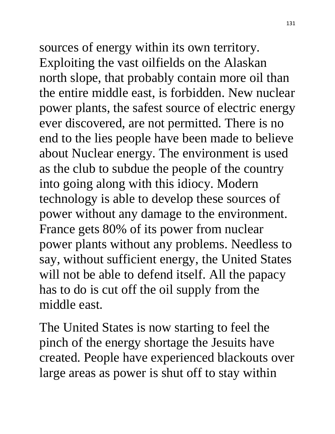sources of energy within its own territory. Exploiting the vast oilfields on the Alaskan north slope, that probably contain more oil than the entire middle east, is forbidden. New nuclear power plants, the safest source of electric energy ever discovered, are not permitted. There is no end to the lies people have been made to believe about Nuclear energy. The environment is used as the club to subdue the people of the country into going along with this idiocy. Modern technology is able to develop these sources of power without any damage to the environment. France gets 80% of its power from nuclear power plants without any problems. Needless to say, without sufficient energy, the United States will not be able to defend itself. All the papacy has to do is cut off the oil supply from the middle east.

The United States is now starting to feel the pinch of the energy shortage the Jesuits have created. People have experienced blackouts over large areas as power is shut off to stay within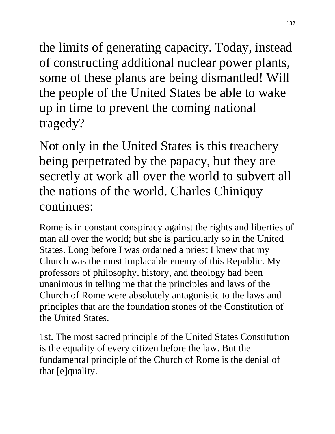the limits of generating capacity. Today, instead of constructing additional nuclear power plants, some of these plants are being dismantled! Will the people of the United States be able to wake up in time to prevent the coming national tragedy?

Not only in the United States is this treachery being perpetrated by the papacy, but they are secretly at work all over the world to subvert all the nations of the world. Charles Chiniquy continues:

Rome is in constant conspiracy against the rights and liberties of man all over the world; but she is particularly so in the United States. Long before I was ordained a priest I knew that my Church was the most implacable enemy of this Republic. My professors of philosophy, history, and theology had been unanimous in telling me that the principles and laws of the Church of Rome were absolutely antagonistic to the laws and principles that are the foundation stones of the Constitution of the United States.

1st. The most sacred principle of the United States Constitution is the equality of every citizen before the law. But the fundamental principle of the Church of Rome is the denial of that [e]quality.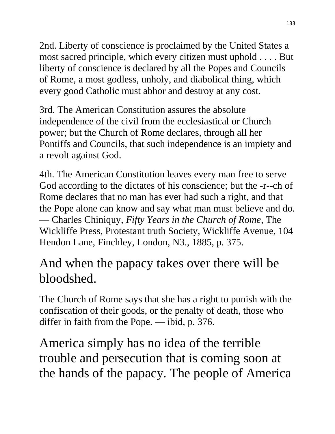2nd. Liberty of conscience is proclaimed by the United States a most sacred principle, which every citizen must uphold . . . . But liberty of conscience is declared by all the Popes and Councils of Rome, a most godless, unholy, and diabolical thing, which every good Catholic must abhor and destroy at any cost.

3rd. The American Constitution assures the absolute independence of the civil from the ecclesiastical or Church power; but the Church of Rome declares, through all her Pontiffs and Councils, that such independence is an impiety and a revolt against God.

4th. The American Constitution leaves every man free to serve God according to the dictates of his conscience; but the -r--ch of Rome declares that no man has ever had such a right, and that the Pope alone can know and say what man must believe and do. — Charles Chiniquy, *Fifty Years in the Church of Rome*, The Wickliffe Press, Protestant truth Society, Wickliffe Avenue, 104 Hendon Lane, Finchley, London, N3., 1885, p. 375.

## And when the papacy takes over there will be bloodshed.

The Church of Rome says that she has a right to punish with the confiscation of their goods, or the penalty of death, those who differ in faith from the Pope. — ibid, p. 376.

America simply has no idea of the terrible trouble and persecution that is coming soon at the hands of the papacy. The people of America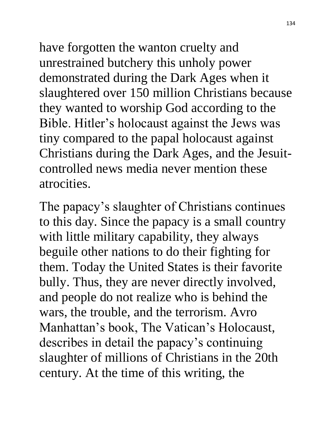have forgotten the wanton cruelty and unrestrained butchery this unholy power demonstrated during the Dark Ages when it slaughtered over 150 million Christians because they wanted to worship God according to the Bible. Hitler's holocaust against the Jews was tiny compared to the papal holocaust against Christians during the Dark Ages, and the Jesuitcontrolled news media never mention these atrocities.

The papacy's slaughter of Christians continues to this day. Since the papacy is a small country with little military capability, they always beguile other nations to do their fighting for them. Today the United States is their favorite bully. Thus, they are never directly involved, and people do not realize who is behind the wars, the trouble, and the terrorism. Avro Manhattan's book, The Vatican's Holocaust, describes in detail the papacy's continuing slaughter of millions of Christians in the 20th century. At the time of this writing, the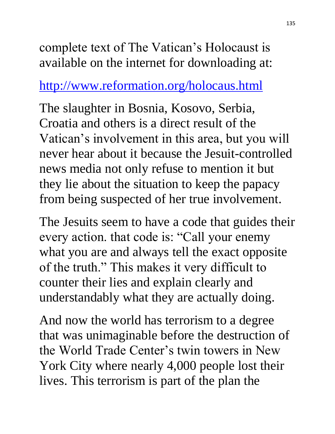complete text of The Vatican's Holocaust is available on the internet for downloading at:

#### <http://www.reformation.org/holocaus.html>

The slaughter in Bosnia, Kosovo, Serbia, Croatia and others is a direct result of the Vatican's involvement in this area, but you will never hear about it because the Jesuit-controlled news media not only refuse to mention it but they lie about the situation to keep the papacy from being suspected of her true involvement.

The Jesuits seem to have a code that guides their every action. that code is: "Call your enemy what you are and always tell the exact opposite of the truth." This makes it very difficult to counter their lies and explain clearly and understandably what they are actually doing.

And now the world has terrorism to a degree that was unimaginable before the destruction of the World Trade Center's twin towers in New York City where nearly 4,000 people lost their lives. This terrorism is part of the plan the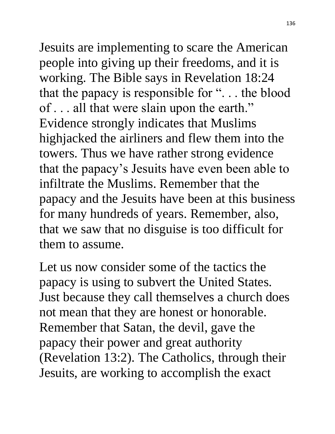Jesuits are implementing to scare the American people into giving up their freedoms, and it is working. The Bible says in Revelation 18:24 that the papacy is responsible for ". . . the blood of . . . all that were slain upon the earth." Evidence strongly indicates that Muslims highjacked the airliners and flew them into the towers. Thus we have rather strong evidence that the papacy's Jesuits have even been able to infiltrate the Muslims. Remember that the papacy and the Jesuits have been at this business for many hundreds of years. Remember, also, that we saw that no disguise is too difficult for them to assume.

Let us now consider some of the tactics the papacy is using to subvert the United States. Just because they call themselves a church does not mean that they are honest or honorable. Remember that Satan, the devil, gave the papacy their power and great authority (Revelation 13:2). The Catholics, through their Jesuits, are working to accomplish the exact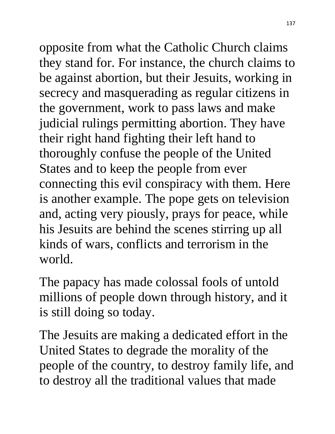opposite from what the Catholic Church claims they stand for. For instance, the church claims to be against abortion, but their Jesuits, working in secrecy and masquerading as regular citizens in the government, work to pass laws and make judicial rulings permitting abortion. They have their right hand fighting their left hand to thoroughly confuse the people of the United States and to keep the people from ever connecting this evil conspiracy with them. Here is another example. The pope gets on television and, acting very piously, prays for peace, while his Jesuits are behind the scenes stirring up all kinds of wars, conflicts and terrorism in the world.

The papacy has made colossal fools of untold millions of people down through history, and it is still doing so today.

The Jesuits are making a dedicated effort in the United States to degrade the morality of the people of the country, to destroy family life, and to destroy all the traditional values that made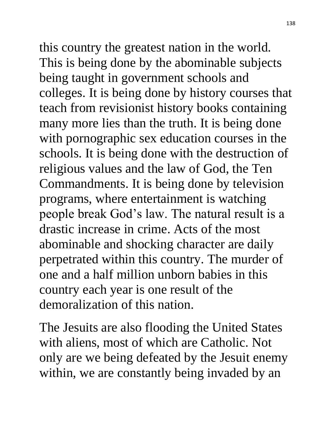this country the greatest nation in the world. This is being done by the abominable subjects being taught in government schools and colleges. It is being done by history courses that teach from revisionist history books containing many more lies than the truth. It is being done with pornographic sex education courses in the schools. It is being done with the destruction of religious values and the law of God, the Ten Commandments. It is being done by television programs, where entertainment is watching people break God's law. The natural result is a drastic increase in crime. Acts of the most abominable and shocking character are daily perpetrated within this country. The murder of one and a half million unborn babies in this country each year is one result of the demoralization of this nation.

The Jesuits are also flooding the United States with aliens, most of which are Catholic. Not only are we being defeated by the Jesuit enemy within, we are constantly being invaded by an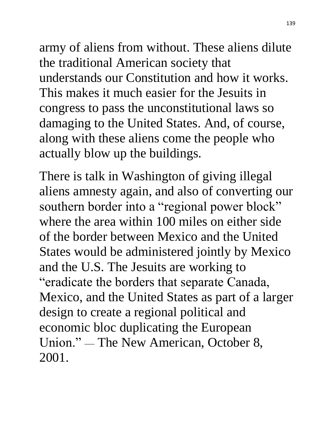army of aliens from without. These aliens dilute the traditional American society that understands our Constitution and how it works. This makes it much easier for the Jesuits in congress to pass the unconstitutional laws so damaging to the United States. And, of course, along with these aliens come the people who actually blow up the buildings.

There is talk in Washington of giving illegal aliens amnesty again, and also of converting our southern border into a "regional power block" where the area within 100 miles on either side of the border between Mexico and the United States would be administered jointly by Mexico and the U.S. The Jesuits are working to "eradicate the borders that separate Canada, Mexico, and the United States as part of a larger design to create a regional political and economic bloc duplicating the European Union." — The New American, October 8, 2001.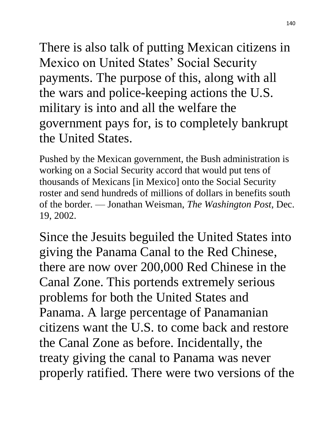There is also talk of putting Mexican citizens in Mexico on United States' Social Security payments. The purpose of this, along with all the wars and police-keeping actions the U.S. military is into and all the welfare the government pays for, is to completely bankrupt the United States.

Pushed by the Mexican government, the Bush administration is working on a Social Security accord that would put tens of thousands of Mexicans [in Mexico] onto the Social Security roster and send hundreds of millions of dollars in benefits south of the border. — Jonathan Weisman, *The Washington Post*, Dec. 19, 2002.

Since the Jesuits beguiled the United States into giving the Panama Canal to the Red Chinese, there are now over 200,000 Red Chinese in the Canal Zone. This portends extremely serious problems for both the United States and Panama. A large percentage of Panamanian citizens want the U.S. to come back and restore the Canal Zone as before. Incidentally, the treaty giving the canal to Panama was never properly ratified. There were two versions of the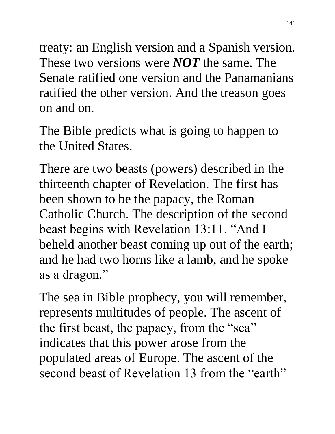treaty: an English version and a Spanish version. These two versions were *NOT* the same. The Senate ratified one version and the Panamanians ratified the other version. And the treason goes on and on.

The Bible predicts what is going to happen to the United States.

There are two beasts (powers) described in the thirteenth chapter of Revelation. The first has been shown to be the papacy, the Roman Catholic Church. The description of the second beast begins with Revelation 13:11. "And I beheld another beast coming up out of the earth; and he had two horns like a lamb, and he spoke as a dragon."

The sea in Bible prophecy, you will remember, represents multitudes of people. The ascent of the first beast, the papacy, from the "sea" indicates that this power arose from the populated areas of Europe. The ascent of the second beast of Revelation 13 from the "earth"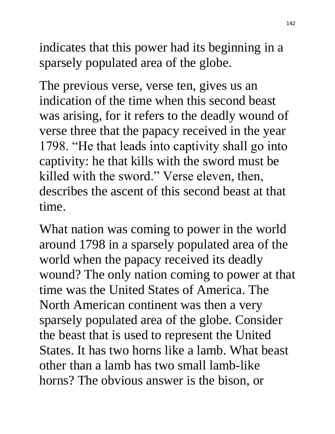indicates that this power had its beginning in a sparsely populated area of the globe.

The previous verse, verse ten, gives us an indication of the time when this second beast was arising, for it refers to the deadly wound of verse three that the papacy received in the year 1798. "He that leads into captivity shall go into captivity: he that kills with the sword must be killed with the sword." Verse eleven, then, describes the ascent of this second beast at that time.

What nation was coming to power in the world around 1798 in a sparsely populated area of the world when the papacy received its deadly wound? The only nation coming to power at that time was the United States of America. The North American continent was then a very sparsely populated area of the globe. Consider the beast that is used to represent the United States. It has two horns like a lamb. What beast other than a lamb has two small lamb-like horns? The obvious answer is the bison, or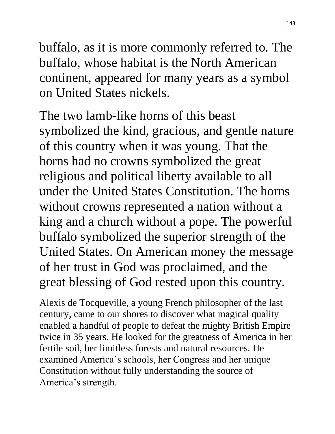buffalo, as it is more commonly referred to. The buffalo, whose habitat is the North American continent, appeared for many years as a symbol on United States nickels.

The two lamb-like horns of this beast symbolized the kind, gracious, and gentle nature of this country when it was young. That the horns had no crowns symbolized the great religious and political liberty available to all under the United States Constitution. The horns without crowns represented a nation without a king and a church without a pope. The powerful buffalo symbolized the superior strength of the United States. On American money the message of her trust in God was proclaimed, and the great blessing of God rested upon this country.

Alexis de Tocqueville, a young French philosopher of the last century, came to our shores to discover what magical quality enabled a handful of people to defeat the mighty British Empire twice in 35 years. He looked for the greatness of America in her fertile soil, her limitless forests and natural resources. He examined America's schools, her Congress and her unique Constitution without fully understanding the source of America's strength.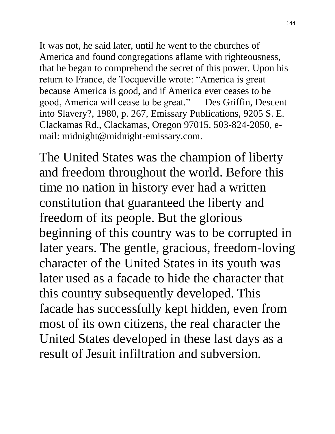It was not, he said later, until he went to the churches of America and found congregations aflame with righteousness, that he began to comprehend the secret of this power. Upon his return to France, de Tocqueville wrote: "America is great because America is good, and if America ever ceases to be good, America will cease to be great." — Des Griffin, Descent into Slavery?, 1980, p. 267, Emissary Publications, 9205 S. E. Clackamas Rd., Clackamas, Oregon 97015, 503-824-2050, email: midnight@midnight-emissary.com.

The United States was the champion of liberty and freedom throughout the world. Before this time no nation in history ever had a written constitution that guaranteed the liberty and freedom of its people. But the glorious beginning of this country was to be corrupted in later years. The gentle, gracious, freedom-loving character of the United States in its youth was later used as a facade to hide the character that this country subsequently developed. This facade has successfully kept hidden, even from most of its own citizens, the real character the United States developed in these last days as a result of Jesuit infiltration and subversion.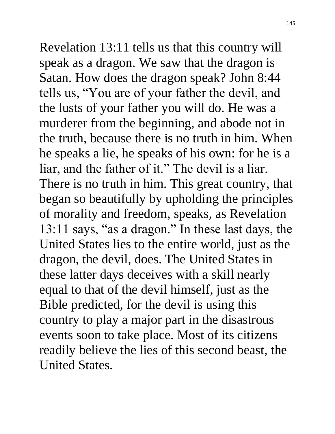Revelation 13:11 tells us that this country will speak as a dragon. We saw that the dragon is Satan. How does the dragon speak? John 8:44 tells us, "You are of your father the devil, and the lusts of your father you will do. He was a murderer from the beginning, and abode not in the truth, because there is no truth in him. When he speaks a lie, he speaks of his own: for he is a liar, and the father of it." The devil is a liar. There is no truth in him. This great country, that began so beautifully by upholding the principles of morality and freedom, speaks, as Revelation 13:11 says, "as a dragon." In these last days, the United States lies to the entire world, just as the dragon, the devil, does. The United States in these latter days deceives with a skill nearly equal to that of the devil himself, just as the Bible predicted, for the devil is using this country to play a major part in the disastrous events soon to take place. Most of its citizens readily believe the lies of this second beast, the United States.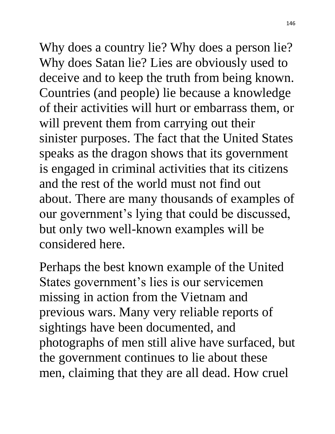Why does a country lie? Why does a person lie? Why does Satan lie? Lies are obviously used to deceive and to keep the truth from being known. Countries (and people) lie because a knowledge of their activities will hurt or embarrass them, or will prevent them from carrying out their sinister purposes. The fact that the United States speaks as the dragon shows that its government is engaged in criminal activities that its citizens and the rest of the world must not find out about. There are many thousands of examples of our government's lying that could be discussed, but only two well-known examples will be considered here.

Perhaps the best known example of the United States government's lies is our servicemen missing in action from the Vietnam and previous wars. Many very reliable reports of sightings have been documented, and photographs of men still alive have surfaced, but the government continues to lie about these men, claiming that they are all dead. How cruel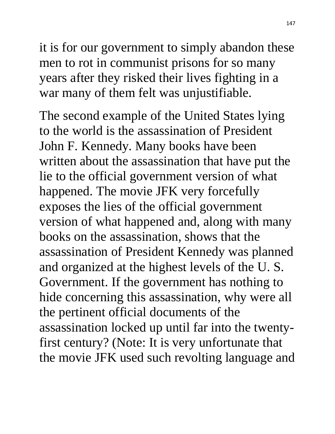it is for our government to simply abandon these men to rot in communist prisons for so many years after they risked their lives fighting in a war many of them felt was unjustifiable.

The second example of the United States lying to the world is the assassination of President John F. Kennedy. Many books have been written about the assassination that have put the lie to the official government version of what happened. The movie JFK very forcefully exposes the lies of the official government version of what happened and, along with many books on the assassination, shows that the assassination of President Kennedy was planned and organized at the highest levels of the U. S. Government. If the government has nothing to hide concerning this assassination, why were all the pertinent official documents of the assassination locked up until far into the twentyfirst century? (Note: It is very unfortunate that the movie JFK used such revolting language and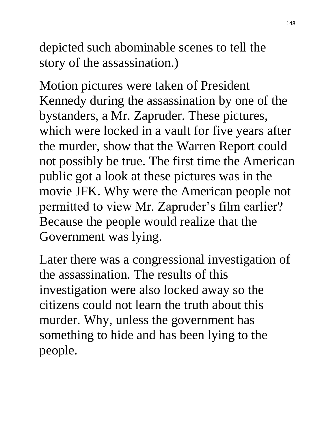depicted such abominable scenes to tell the story of the assassination.)

Motion pictures were taken of President Kennedy during the assassination by one of the bystanders, a Mr. Zapruder. These pictures, which were locked in a vault for five years after the murder, show that the Warren Report could not possibly be true. The first time the American public got a look at these pictures was in the movie JFK. Why were the American people not permitted to view Mr. Zapruder's film earlier? Because the people would realize that the Government was lying.

Later there was a congressional investigation of the assassination. The results of this investigation were also locked away so the citizens could not learn the truth about this murder. Why, unless the government has something to hide and has been lying to the people.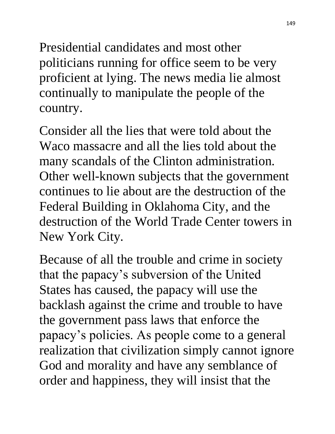Presidential candidates and most other politicians running for office seem to be very proficient at lying. The news media lie almost continually to manipulate the people of the country.

Consider all the lies that were told about the Waco massacre and all the lies told about the many scandals of the Clinton administration. Other well-known subjects that the government continues to lie about are the destruction of the Federal Building in Oklahoma City, and the destruction of the World Trade Center towers in New York City.

Because of all the trouble and crime in society that the papacy's subversion of the United States has caused, the papacy will use the backlash against the crime and trouble to have the government pass laws that enforce the papacy's policies. As people come to a general realization that civilization simply cannot ignore God and morality and have any semblance of order and happiness, they will insist that the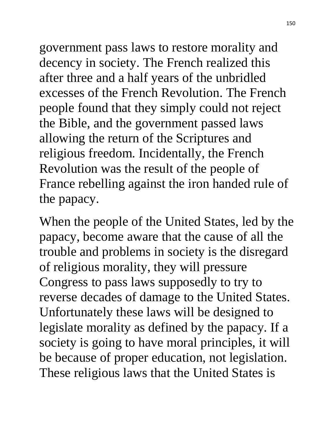government pass laws to restore morality and decency in society. The French realized this after three and a half years of the unbridled excesses of the French Revolution. The French people found that they simply could not reject the Bible, and the government passed laws allowing the return of the Scriptures and religious freedom. Incidentally, the French Revolution was the result of the people of France rebelling against the iron handed rule of the papacy.

When the people of the United States, led by the papacy, become aware that the cause of all the trouble and problems in society is the disregard of religious morality, they will pressure Congress to pass laws supposedly to try to reverse decades of damage to the United States. Unfortunately these laws will be designed to legislate morality as defined by the papacy. If a society is going to have moral principles, it will be because of proper education, not legislation. These religious laws that the United States is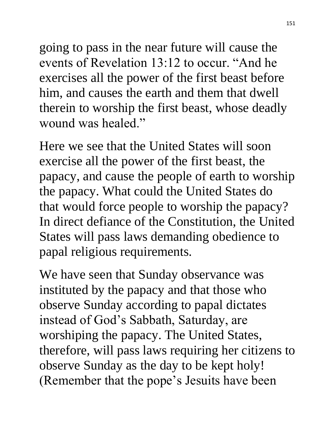going to pass in the near future will cause the events of Revelation 13:12 to occur. "And he exercises all the power of the first beast before him, and causes the earth and them that dwell therein to worship the first beast, whose deadly wound was healed."

Here we see that the United States will soon exercise all the power of the first beast, the papacy, and cause the people of earth to worship the papacy. What could the United States do that would force people to worship the papacy? In direct defiance of the Constitution, the United States will pass laws demanding obedience to papal religious requirements.

We have seen that Sunday observance was instituted by the papacy and that those who observe Sunday according to papal dictates instead of God's Sabbath, Saturday, are worshiping the papacy. The United States, therefore, will pass laws requiring her citizens to observe Sunday as the day to be kept holy! (Remember that the pope's Jesuits have been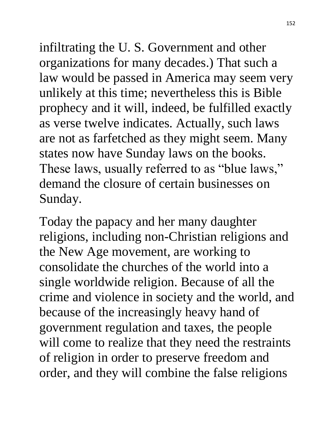infiltrating the U. S. Government and other organizations for many decades.) That such a law would be passed in America may seem very unlikely at this time; nevertheless this is Bible prophecy and it will, indeed, be fulfilled exactly as verse twelve indicates. Actually, such laws are not as farfetched as they might seem. Many states now have Sunday laws on the books. These laws, usually referred to as "blue laws," demand the closure of certain businesses on Sunday.

Today the papacy and her many daughter religions, including non-Christian religions and the New Age movement, are working to consolidate the churches of the world into a single worldwide religion. Because of all the crime and violence in society and the world, and because of the increasingly heavy hand of government regulation and taxes, the people will come to realize that they need the restraints of religion in order to preserve freedom and order, and they will combine the false religions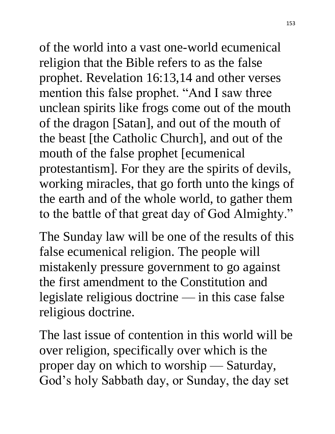of the world into a vast one-world ecumenical religion that the Bible refers to as the false prophet. Revelation 16:13,14 and other verses mention this false prophet. "And I saw three unclean spirits like frogs come out of the mouth of the dragon [Satan], and out of the mouth of the beast [the Catholic Church], and out of the mouth of the false prophet [ecumenical protestantism]. For they are the spirits of devils, working miracles, that go forth unto the kings of the earth and of the whole world, to gather them to the battle of that great day of God Almighty."

The Sunday law will be one of the results of this false ecumenical religion. The people will mistakenly pressure government to go against the first amendment to the Constitution and legislate religious doctrine — in this case false religious doctrine.

The last issue of contention in this world will be over religion, specifically over which is the proper day on which to worship — Saturday, God's holy Sabbath day, or Sunday, the day set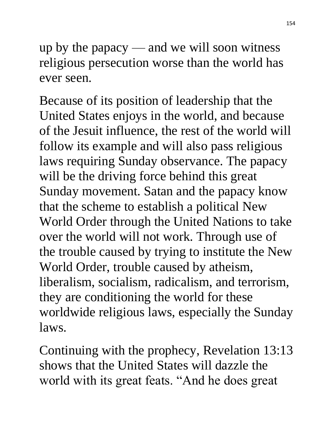up by the papacy — and we will soon witness religious persecution worse than the world has ever seen.

Because of its position of leadership that the United States enjoys in the world, and because of the Jesuit influence, the rest of the world will follow its example and will also pass religious laws requiring Sunday observance. The papacy will be the driving force behind this great Sunday movement. Satan and the papacy know that the scheme to establish a political New World Order through the United Nations to take over the world will not work. Through use of the trouble caused by trying to institute the New World Order, trouble caused by atheism, liberalism, socialism, radicalism, and terrorism, they are conditioning the world for these worldwide religious laws, especially the Sunday laws.

Continuing with the prophecy, Revelation 13:13 shows that the United States will dazzle the world with its great feats. "And he does great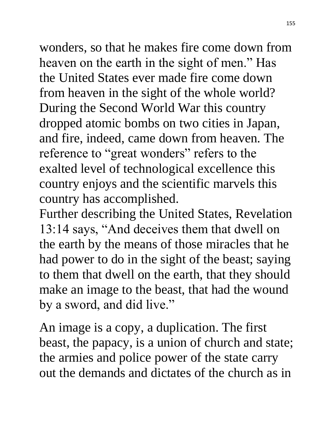wonders, so that he makes fire come down from heaven on the earth in the sight of men." Has the United States ever made fire come down from heaven in the sight of the whole world? During the Second World War this country dropped atomic bombs on two cities in Japan, and fire, indeed, came down from heaven. The reference to "great wonders" refers to the exalted level of technological excellence this country enjoys and the scientific marvels this country has accomplished.

Further describing the United States, Revelation 13:14 says, "And deceives them that dwell on the earth by the means of those miracles that he had power to do in the sight of the beast; saying to them that dwell on the earth, that they should make an image to the beast, that had the wound by a sword, and did live."

An image is a copy, a duplication. The first beast, the papacy, is a union of church and state; the armies and police power of the state carry out the demands and dictates of the church as in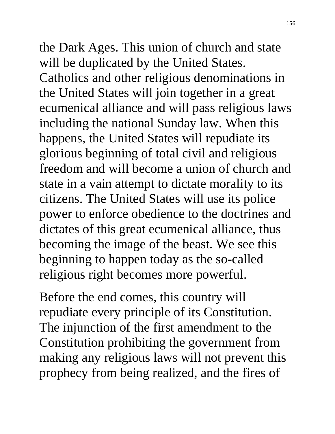the Dark Ages. This union of church and state will be duplicated by the United States. Catholics and other religious denominations in the United States will join together in a great ecumenical alliance and will pass religious laws including the national Sunday law. When this happens, the United States will repudiate its glorious beginning of total civil and religious freedom and will become a union of church and state in a vain attempt to dictate morality to its citizens. The United States will use its police power to enforce obedience to the doctrines and dictates of this great ecumenical alliance, thus becoming the image of the beast. We see this beginning to happen today as the so-called religious right becomes more powerful.

Before the end comes, this country will repudiate every principle of its Constitution. The injunction of the first amendment to the Constitution prohibiting the government from making any religious laws will not prevent this prophecy from being realized, and the fires of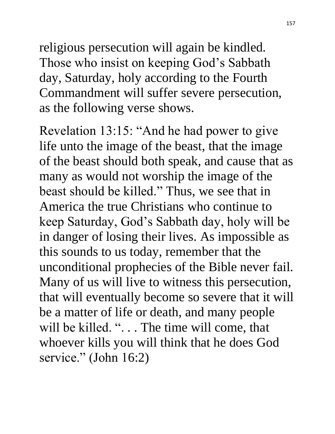religious persecution will again be kindled. Those who insist on keeping God's Sabbath day, Saturday, holy according to the Fourth Commandment will suffer severe persecution, as the following verse shows.

Revelation 13:15: "And he had power to give life unto the image of the beast, that the image of the beast should both speak, and cause that as many as would not worship the image of the beast should be killed." Thus, we see that in America the true Christians who continue to keep Saturday, God's Sabbath day, holy will be in danger of losing their lives. As impossible as this sounds to us today, remember that the unconditional prophecies of the Bible never fail. Many of us will live to witness this persecution, that will eventually become so severe that it will be a matter of life or death, and many people will be killed. ". . . The time will come, that whoever kills you will think that he does God service." (John 16:2)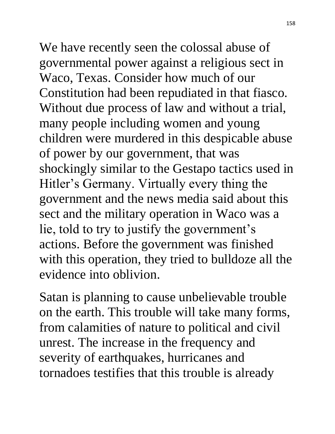We have recently seen the colossal abuse of governmental power against a religious sect in Waco, Texas. Consider how much of our Constitution had been repudiated in that fiasco. Without due process of law and without a trial, many people including women and young children were murdered in this despicable abuse of power by our government, that was shockingly similar to the Gestapo tactics used in Hitler's Germany. Virtually every thing the government and the news media said about this sect and the military operation in Waco was a lie, told to try to justify the government's actions. Before the government was finished with this operation, they tried to bulldoze all the evidence into oblivion.

Satan is planning to cause unbelievable trouble on the earth. This trouble will take many forms, from calamities of nature to political and civil unrest. The increase in the frequency and severity of earthquakes, hurricanes and tornadoes testifies that this trouble is already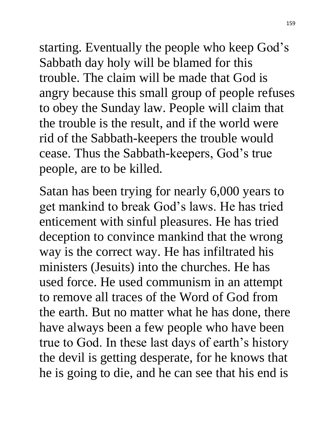starting. Eventually the people who keep God's Sabbath day holy will be blamed for this trouble. The claim will be made that God is angry because this small group of people refuses to obey the Sunday law. People will claim that the trouble is the result, and if the world were rid of the Sabbath-keepers the trouble would cease. Thus the Sabbath-keepers, God's true people, are to be killed.

Satan has been trying for nearly 6,000 years to get mankind to break God's laws. He has tried enticement with sinful pleasures. He has tried deception to convince mankind that the wrong way is the correct way. He has infiltrated his ministers (Jesuits) into the churches. He has used force. He used communism in an attempt to remove all traces of the Word of God from the earth. But no matter what he has done, there have always been a few people who have been true to God. In these last days of earth's history the devil is getting desperate, for he knows that he is going to die, and he can see that his end is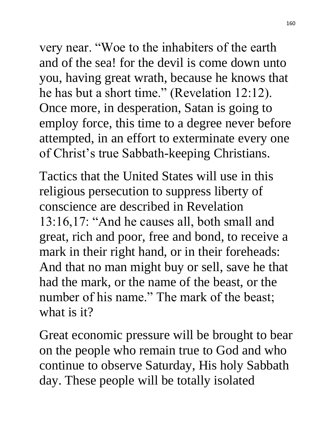very near. "Woe to the inhabiters of the earth and of the sea! for the devil is come down unto you, having great wrath, because he knows that he has but a short time." (Revelation 12:12). Once more, in desperation, Satan is going to employ force, this time to a degree never before attempted, in an effort to exterminate every one of Christ's true Sabbath-keeping Christians.

Tactics that the United States will use in this religious persecution to suppress liberty of conscience are described in Revelation 13:16,17: "And he causes all, both small and great, rich and poor, free and bond, to receive a mark in their right hand, or in their foreheads: And that no man might buy or sell, save he that had the mark, or the name of the beast, or the number of his name." The mark of the beast; what is it?

Great economic pressure will be brought to bear on the people who remain true to God and who continue to observe Saturday, His holy Sabbath day. These people will be totally isolated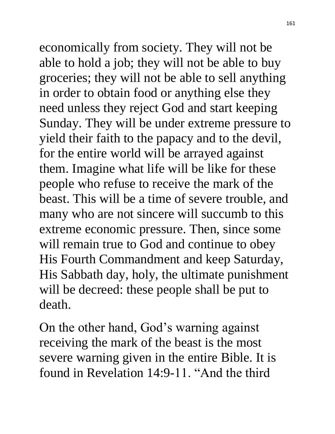economically from society. They will not be able to hold a job; they will not be able to buy groceries; they will not be able to sell anything in order to obtain food or anything else they need unless they reject God and start keeping Sunday. They will be under extreme pressure to yield their faith to the papacy and to the devil, for the entire world will be arrayed against them. Imagine what life will be like for these people who refuse to receive the mark of the beast. This will be a time of severe trouble, and many who are not sincere will succumb to this extreme economic pressure. Then, since some will remain true to God and continue to obey His Fourth Commandment and keep Saturday, His Sabbath day, holy, the ultimate punishment will be decreed: these people shall be put to death.

On the other hand, God's warning against receiving the mark of the beast is the most severe warning given in the entire Bible. It is found in Revelation 14:9-11. "And the third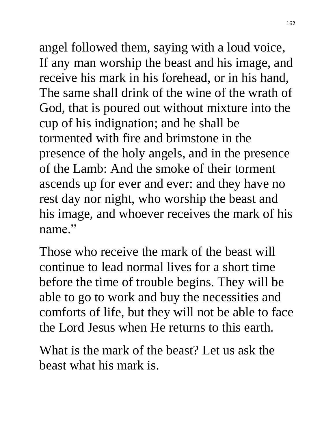angel followed them, saying with a loud voice, If any man worship the beast and his image, and receive his mark in his forehead, or in his hand, The same shall drink of the wine of the wrath of God, that is poured out without mixture into the cup of his indignation; and he shall be tormented with fire and brimstone in the presence of the holy angels, and in the presence of the Lamb: And the smoke of their torment ascends up for ever and ever: and they have no rest day nor night, who worship the beast and his image, and whoever receives the mark of his name."

Those who receive the mark of the beast will continue to lead normal lives for a short time before the time of trouble begins. They will be able to go to work and buy the necessities and comforts of life, but they will not be able to face the Lord Jesus when He returns to this earth.

What is the mark of the beast? Let us ask the beast what his mark is.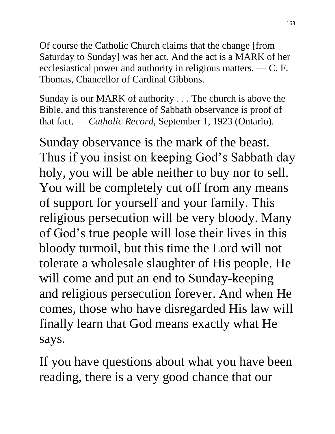Of course the Catholic Church claims that the change [from Saturday to Sunday] was her act. And the act is a MARK of her ecclesiastical power and authority in religious matters. — C. F. Thomas, Chancellor of Cardinal Gibbons.

Sunday is our MARK of authority . . . The church is above the Bible, and this transference of Sabbath observance is proof of that fact. — *Catholic Record*, September 1, 1923 (Ontario).

Sunday observance is the mark of the beast. Thus if you insist on keeping God's Sabbath day holy, you will be able neither to buy nor to sell. You will be completely cut off from any means of support for yourself and your family. This religious persecution will be very bloody. Many of God's true people will lose their lives in this bloody turmoil, but this time the Lord will not tolerate a wholesale slaughter of His people. He will come and put an end to Sunday-keeping and religious persecution forever. And when He comes, those who have disregarded His law will finally learn that God means exactly what He says.

If you have questions about what you have been reading, there is a very good chance that our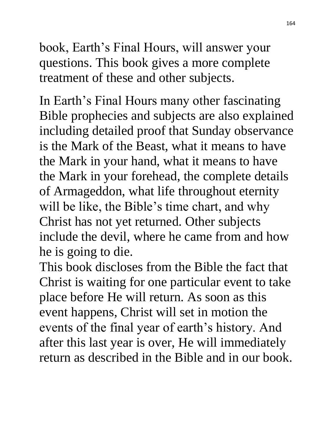book, Earth's Final Hours, will answer your questions. This book gives a more complete treatment of these and other subjects.

In Earth's Final Hours many other fascinating Bible prophecies and subjects are also explained including detailed proof that Sunday observance is the Mark of the Beast, what it means to have the Mark in your hand, what it means to have the Mark in your forehead, the complete details of Armageddon, what life throughout eternity will be like, the Bible's time chart, and why Christ has not yet returned. Other subjects include the devil, where he came from and how he is going to die.

This book discloses from the Bible the fact that Christ is waiting for one particular event to take place before He will return. As soon as this event happens, Christ will set in motion the events of the final year of earth's history. And after this last year is over, He will immediately return as described in the Bible and in our book.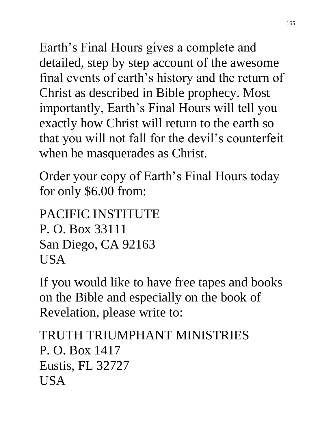Earth's Final Hours gives a complete and detailed, step by step account of the awesome final events of earth's history and the return of Christ as described in Bible prophecy. Most importantly, Earth's Final Hours will tell you exactly how Christ will return to the earth so that you will not fall for the devil's counterfeit when he masquerades as Christ.

Order your copy of Earth's Final Hours today for only \$6.00 from:

```
PACIFIC INSTITUTE
P. O. Box 33111
San Diego, CA 92163
USA
```
If you would like to have free tapes and books on the Bible and especially on the book of Revelation, please write to:

```
TRUTH TRIUMPHANT MINISTRIES
P. O. Box 1417
Eustis, FL 32727
USA
```